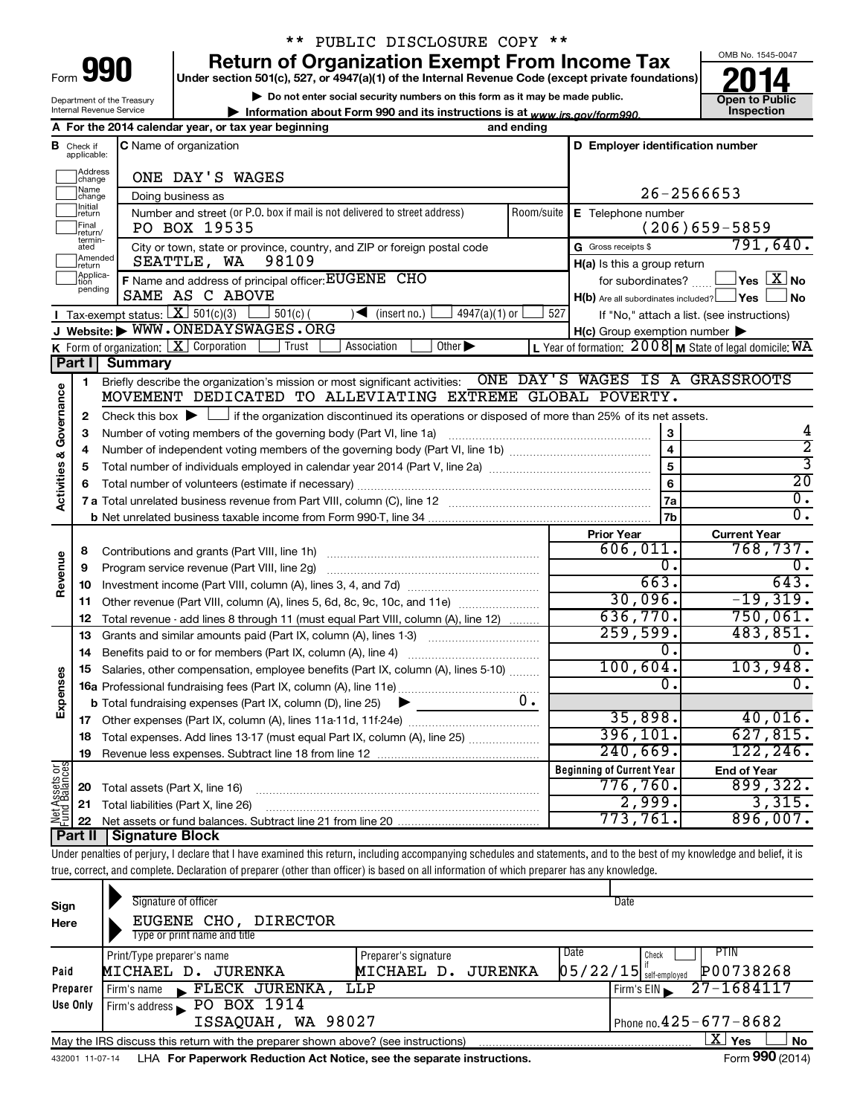| Form |  |
|------|--|

Department of the Treasury Internal Revenue Service

## \*\* PUBLIC DISCLOSURE COPY \*\*

**Under section 501(c), 527, or 4947(a)(1) of the Internal Revenue Code (except private foundations) 990 Return of Organization Exempt From Income Tax 1990 2014 Divide the section 501(c)**, 527, or 4947(a)(1) of the Internal Revenue Code (except private foundations) **2014** 

**| Do not enter social security numbers on this form as it may be made public.**

**| Information about Form 990 and its instructions is at www.irs.gov/form990.** | Inspection



|                                |                               | A For the 2014 calendar year, or tax year beginning                                                                                         | and ending |                                                     |                                                           |
|--------------------------------|-------------------------------|---------------------------------------------------------------------------------------------------------------------------------------------|------------|-----------------------------------------------------|-----------------------------------------------------------|
|                                | <b>B</b> Check if applicable: | <b>C</b> Name of organization                                                                                                               |            | D Employer identification number                    |                                                           |
|                                | Address<br>change             | ONE DAY'S WAGES                                                                                                                             |            |                                                     |                                                           |
|                                | Name<br>change                | Doing business as                                                                                                                           |            |                                                     | $26 - 2566653$                                            |
|                                | <b>Initial</b><br>return      | Number and street (or P.O. box if mail is not delivered to street address)                                                                  | Room/suite | E Telephone number                                  |                                                           |
|                                | Final<br>return/              | PO BOX 19535                                                                                                                                |            |                                                     | $(206)659 - 5859$                                         |
|                                | termin-<br>ated               | City or town, state or province, country, and ZIP or foreign postal code                                                                    |            | G Gross receipts \$                                 | 791,640.                                                  |
|                                | Amended<br>return             | SEATTLE, WA<br>98109                                                                                                                        |            | $H(a)$ is this a group return                       |                                                           |
|                                | Applica-<br>pending           | F Name and address of principal officer: EUGENE CHO                                                                                         |            | for subordinates?                                   | $Yes \quad X$ No                                          |
|                                |                               | SAME AS C ABOVE                                                                                                                             |            | H(b) Are all subordinates included?                 | <b>No</b><br>⊥Yes                                         |
|                                |                               | <b>I</b> Tax-exempt status: $\boxed{\mathbf{X}}$ 501(c)(3)<br>$4947(a)(1)$ or<br>$501(c)$ (<br>$\sqrt{\frac{1}{1}}$ (insert no.)            | 527        |                                                     | If "No," attach a list. (see instructions)                |
|                                |                               | J Website: WWW.ONEDAYSWAGES.ORG                                                                                                             |            | $H(c)$ Group exemption number $\blacktriangleright$ |                                                           |
|                                |                               | Other $\blacktriangleright$<br><b>K</b> Form of organization: $X$ Corporation<br>Association<br>Trust                                       |            |                                                     | L Year of formation: $2008$ M State of legal domicile: WA |
|                                | Part I                        | Summary                                                                                                                                     |            | ONE DAY'S WAGES IS A GRASSROOTS                     |                                                           |
|                                | $\mathbf{1}$                  | Briefly describe the organization's mission or most significant activities:<br>MOVEMENT DEDICATED TO ALLEVIATING EXTREME GLOBAL POVERTY.    |            |                                                     |                                                           |
| Activities & Governance        |                               | Check this box $\blacktriangleright$ $\Box$ if the organization discontinued its operations or disposed of more than 25% of its net assets. |            |                                                     |                                                           |
|                                | 2<br>3                        | Number of voting members of the governing body (Part VI, line 1a)                                                                           |            | 3                                                   | 4                                                         |
|                                | 4                             |                                                                                                                                             |            | $\overline{\mathbf{4}}$                             | $\overline{2}$                                            |
|                                | 5                             |                                                                                                                                             |            | 5                                                   | $\overline{3}$                                            |
|                                | 6                             |                                                                                                                                             |            | 6                                                   | $\overline{20}$                                           |
|                                |                               |                                                                                                                                             |            | 7a                                                  | $\overline{0}$ .                                          |
|                                |                               |                                                                                                                                             |            | 7b                                                  | $\overline{\mathfrak{o}}$ .                               |
|                                |                               |                                                                                                                                             |            | <b>Prior Year</b>                                   | <b>Current Year</b>                                       |
|                                | 8                             | Contributions and grants (Part VIII, line 1h)                                                                                               |            | 606,011                                             | 768,737 <b>.</b>                                          |
| Revenue                        | 9                             | Program service revenue (Part VIII, line 2g)                                                                                                |            | σ.                                                  | 0.                                                        |
|                                | 10                            |                                                                                                                                             |            | 663.                                                | 643.                                                      |
|                                | 11                            | Other revenue (Part VIII, column (A), lines 5, 6d, 8c, 9c, 10c, and 11e)                                                                    |            | 30,096.                                             | $-19,319.$                                                |
|                                | 12                            | Total revenue - add lines 8 through 11 (must equal Part VIII, column (A), line 12)                                                          |            | 636,770.                                            | 750,061.                                                  |
|                                | 13                            | Grants and similar amounts paid (Part IX, column (A), lines 1-3)                                                                            |            | 259,599.                                            | 483,851.                                                  |
|                                | 14                            |                                                                                                                                             |            | 0.                                                  | $\overline{0}$ .                                          |
|                                | 15                            | Salaries, other compensation, employee benefits (Part IX, column (A), lines 5-10)                                                           |            | 100,604.                                            | 103,948.                                                  |
| Expenses                       |                               |                                                                                                                                             |            | 0.                                                  | 0.                                                        |
|                                |                               | <b>b</b> Total fundraising expenses (Part IX, column (D), line 25)<br>▶                                                                     | $0 \cdot$  | 35,898.                                             | 40,016.                                                   |
|                                | 17                            |                                                                                                                                             |            | 396, 101.                                           | 627,815.                                                  |
|                                | 18                            | Total expenses. Add lines 13-17 (must equal Part IX, column (A), line 25)                                                                   |            | 240,669.                                            | 122, 246.                                                 |
|                                | 19                            |                                                                                                                                             |            | <b>Beginning of Current Year</b>                    |                                                           |
| Net Assets or<br>Fund Balances | 20                            | Total assets (Part X, line 16)                                                                                                              |            | 776,760.                                            | <b>End of Year</b><br>899, 322.                           |
|                                | 21                            | Total liabilities (Part X, line 26)                                                                                                         |            | 2,999.                                              | 3,315.                                                    |
|                                | 22                            |                                                                                                                                             |            | 773,761.                                            | 896,007.                                                  |
|                                | Part II                       | <b>Signature Block</b>                                                                                                                      |            |                                                     |                                                           |

Under penalties of perjury, I declare that I have examined this return, including accompanying schedules and statements, and to the best of my knowledge and belief, it is true, correct, and complete. Declaration of preparer (other than officer) is based on all information of which preparer has any knowledge.

| Sign<br>Here    | Signature of officer<br>EUGENE CHO, DIRECTOR<br>Type or print name and title      |                       | Date                                               |
|-----------------|-----------------------------------------------------------------------------------|-----------------------|----------------------------------------------------|
|                 | Print/Type preparer's name                                                        | Preparer's signature  | Date<br>PTIN<br>Check                              |
| Paid            | MICHAEL D.<br>JURENKA                                                             | JURENKA<br>MICHAEL D. | P00738268<br>$\left[05/22/15\right]$ self-employed |
| Preparer        | FLECK JURENKA,<br>Firm's name                                                     | LLP                   | 27-1684117<br>Firm's EIN                           |
| Use Only        | Firm's address $\blacktriangleright$ PO BOX 1914                                  |                       |                                                    |
|                 | ISSAQUAH, WA 98027                                                                |                       | Phone no. $425 - 677 - 8682$                       |
|                 | May the IRS discuss this return with the preparer shown above? (see instructions) |                       | x<br>Yes<br>No                                     |
| 432001 11-07-14 | LHA For Paperwork Reduction Act Notice, see the separate instructions.            |                       | Form 990 (2014)                                    |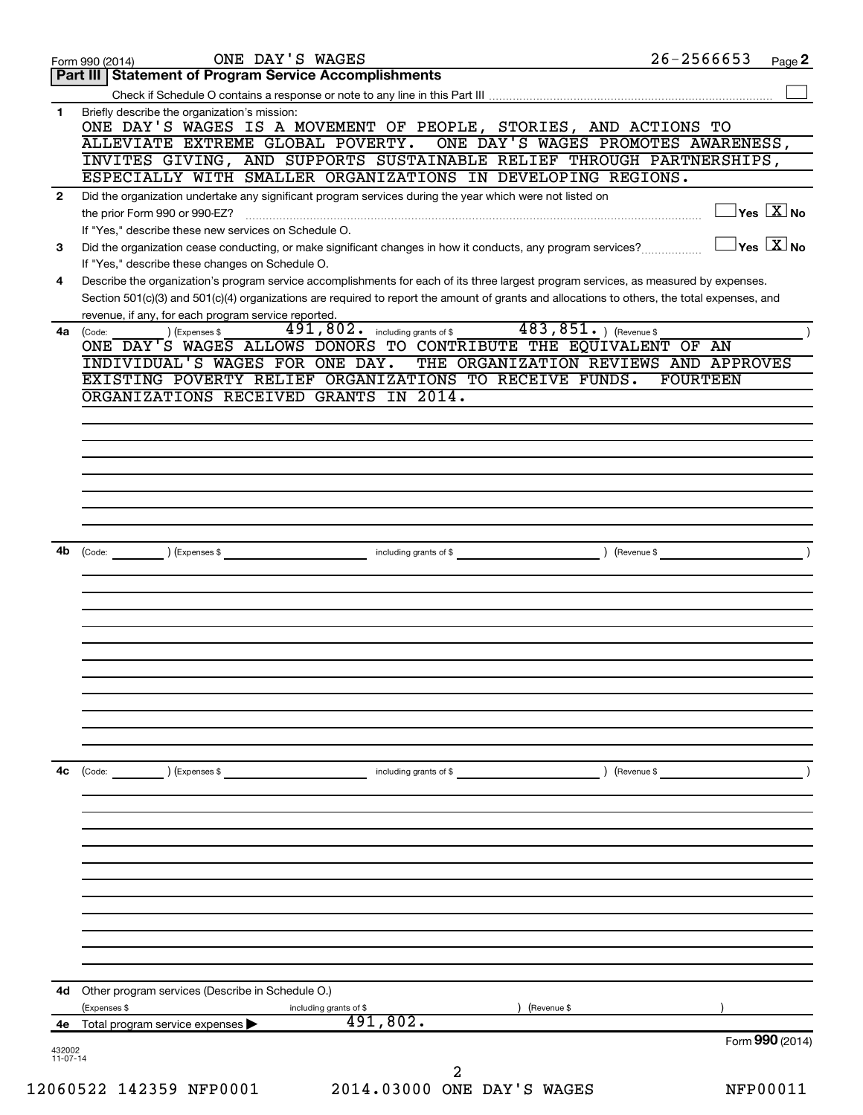|              | ONE DAY'S WAGES<br>$26 - 2566653$<br>Form 990 (2014)                                                                                             | Page 2 |
|--------------|--------------------------------------------------------------------------------------------------------------------------------------------------|--------|
|              | Part III   Statement of Program Service Accomplishments                                                                                          |        |
|              |                                                                                                                                                  |        |
| $\mathbf{1}$ | Briefly describe the organization's mission:                                                                                                     |        |
|              | ONE DAY'S WAGES IS A MOVEMENT OF PEOPLE, STORIES, AND ACTIONS TO                                                                                 |        |
|              | ALLEVIATE EXTREME GLOBAL POVERTY. ONE DAY'S WAGES PROMOTES AWARENESS,<br>INVITES GIVING, AND SUPPORTS SUSTAINABLE RELIEF THROUGH PARTNERSHIPS,   |        |
|              | ESPECIALLY WITH SMALLER ORGANIZATIONS IN DEVELOPING REGIONS.                                                                                     |        |
|              | Did the organization undertake any significant program services during the year which were not listed on                                         |        |
| $\mathbf{2}$ | $\exists$ Yes $\boxed{\text{X}}$ No<br>the prior Form 990 or 990-EZ?                                                                             |        |
|              | If "Yes," describe these new services on Schedule O.                                                                                             |        |
| 3            | $\Box$ Yes $\boxed{\text{X}}$ No<br>Did the organization cease conducting, or make significant changes in how it conducts, any program services? |        |
|              | If "Yes," describe these changes on Schedule O.                                                                                                  |        |
| 4            | Describe the organization's program service accomplishments for each of its three largest program services, as measured by expenses.             |        |
|              | Section 501(c)(3) and 501(c)(4) organizations are required to report the amount of grants and allocations to others, the total expenses, and     |        |
|              | revenue, if any, for each program service reported.                                                                                              |        |
| 4a           | 483,851. ) (Revenue \$<br>$\overline{491}$ , $802$ . including grants of \$<br>(Expenses \$<br>(Code:                                            |        |
|              | ONE DAY'S WAGES ALLOWS DONORS TO CONTRIBUTE THE EQUIVALENT OF AN                                                                                 |        |
|              | THE ORGANIZATION REVIEWS AND APPROVES<br>INDIVIDUAL'S WAGES FOR ONE DAY.                                                                         |        |
|              | EXISTING POVERTY RELIEF ORGANIZATIONS TO RECEIVE FUNDS.<br><b>FOURTEEN</b>                                                                       |        |
|              | ORGANIZATIONS RECEIVED GRANTS IN 2014.                                                                                                           |        |
|              |                                                                                                                                                  |        |
|              |                                                                                                                                                  |        |
|              |                                                                                                                                                  |        |
|              |                                                                                                                                                  |        |
|              |                                                                                                                                                  |        |
|              |                                                                                                                                                  |        |
|              |                                                                                                                                                  |        |
|              |                                                                                                                                                  |        |
| 4b           |                                                                                                                                                  |        |
|              |                                                                                                                                                  |        |
|              |                                                                                                                                                  |        |
|              |                                                                                                                                                  |        |
|              |                                                                                                                                                  |        |
|              |                                                                                                                                                  |        |
|              |                                                                                                                                                  |        |
|              |                                                                                                                                                  |        |
|              |                                                                                                                                                  |        |
|              |                                                                                                                                                  |        |
|              |                                                                                                                                                  |        |
|              |                                                                                                                                                  |        |
| 4с           | ) (Revenue \$<br>(Code: ) (Expenses \$<br>including grants of \$                                                                                 |        |
|              |                                                                                                                                                  |        |
|              |                                                                                                                                                  |        |
|              |                                                                                                                                                  |        |
|              |                                                                                                                                                  |        |
|              |                                                                                                                                                  |        |
|              |                                                                                                                                                  |        |
|              |                                                                                                                                                  |        |
|              |                                                                                                                                                  |        |
|              |                                                                                                                                                  |        |
|              |                                                                                                                                                  |        |
|              |                                                                                                                                                  |        |
|              |                                                                                                                                                  |        |
| 4d           | Other program services (Describe in Schedule O.)                                                                                                 |        |
|              | (Expenses \$<br>) (Revenue \$<br>including grants of \$                                                                                          |        |
| 4e           | 491,802.<br>Total program service expenses                                                                                                       |        |
| 432002       | Form 990 (2014)                                                                                                                                  |        |
| $11-07-14$   |                                                                                                                                                  |        |
|              |                                                                                                                                                  |        |
|              | 12060522 142359 NFP0001<br>2014.03000 ONE DAY'S WAGES<br><b>NFP00011</b>                                                                         |        |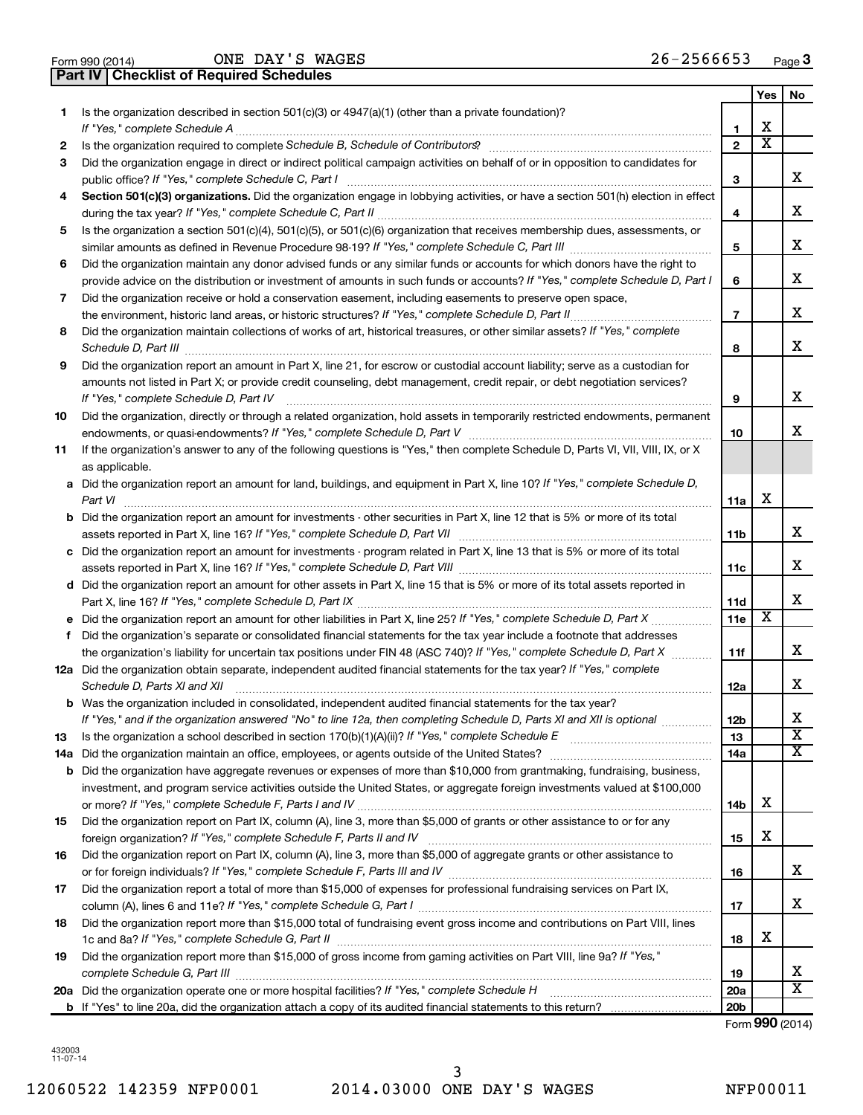| Form 990 (2014) |  |  |
|-----------------|--|--|

**Part IV Checklist of Required Schedules**

|     |                                                                                                                                                    |                 | Yes                     | No                      |
|-----|----------------------------------------------------------------------------------------------------------------------------------------------------|-----------------|-------------------------|-------------------------|
| 1   | Is the organization described in section 501(c)(3) or 4947(a)(1) (other than a private foundation)?                                                |                 |                         |                         |
|     |                                                                                                                                                    | 1               | х                       |                         |
| 2   |                                                                                                                                                    | $\mathbf{2}$    | $\overline{\mathbf{X}}$ |                         |
| З   | Did the organization engage in direct or indirect political campaign activities on behalf of or in opposition to candidates for                    |                 |                         |                         |
|     | public office? If "Yes," complete Schedule C, Part I                                                                                               | 3               |                         | X.                      |
| 4   | Section 501(c)(3) organizations. Did the organization engage in lobbying activities, or have a section 501(h) election in effect                   |                 |                         |                         |
|     |                                                                                                                                                    | 4               |                         | x                       |
| 5   | Is the organization a section 501(c)(4), 501(c)(5), or 501(c)(6) organization that receives membership dues, assessments, or                       |                 |                         |                         |
|     |                                                                                                                                                    | 5               |                         | x                       |
| 6   | Did the organization maintain any donor advised funds or any similar funds or accounts for which donors have the right to                          |                 |                         |                         |
|     | provide advice on the distribution or investment of amounts in such funds or accounts? If "Yes," complete Schedule D, Part I                       | 6               |                         | x                       |
| 7   | Did the organization receive or hold a conservation easement, including easements to preserve open space,                                          |                 |                         |                         |
|     |                                                                                                                                                    | $\overline{7}$  |                         | х                       |
| 8   | Did the organization maintain collections of works of art, historical treasures, or other similar assets? If "Yes," complete                       |                 |                         | х                       |
|     |                                                                                                                                                    | 8               |                         |                         |
| 9   | Did the organization report an amount in Part X, line 21, for escrow or custodial account liability; serve as a custodian for                      |                 |                         |                         |
|     | amounts not listed in Part X; or provide credit counseling, debt management, credit repair, or debt negotiation services?                          |                 |                         | x                       |
|     | If "Yes," complete Schedule D, Part IV                                                                                                             | 9               |                         |                         |
| 10  | Did the organization, directly or through a related organization, hold assets in temporarily restricted endowments, permanent                      |                 |                         | x                       |
|     |                                                                                                                                                    | 10              |                         |                         |
| 11  | If the organization's answer to any of the following questions is "Yes," then complete Schedule D, Parts VI, VII, VIII, IX, or X<br>as applicable. |                 |                         |                         |
|     | a Did the organization report an amount for land, buildings, and equipment in Part X, line 10? If "Yes," complete Schedule D,                      |                 |                         |                         |
|     |                                                                                                                                                    | 11a             | X                       |                         |
|     | <b>b</b> Did the organization report an amount for investments - other securities in Part X, line 12 that is 5% or more of its total               |                 |                         |                         |
|     |                                                                                                                                                    | 11b             |                         | x                       |
|     | c Did the organization report an amount for investments - program related in Part X, line 13 that is 5% or more of its total                       |                 |                         |                         |
|     |                                                                                                                                                    | 11c             |                         | х                       |
|     | d Did the organization report an amount for other assets in Part X, line 15 that is 5% or more of its total assets reported in                     |                 |                         |                         |
|     |                                                                                                                                                    | 11d             |                         | х                       |
|     | e Did the organization report an amount for other liabilities in Part X, line 25? If "Yes," complete Schedule D, Part X manures                    | 11e             | х                       |                         |
| f   | Did the organization's separate or consolidated financial statements for the tax year include a footnote that addresses                            |                 |                         |                         |
|     | the organization's liability for uncertain tax positions under FIN 48 (ASC 740)? If "Yes," complete Schedule D, Part X                             | 11f             |                         | x.                      |
|     | 12a Did the organization obtain separate, independent audited financial statements for the tax year? If "Yes," complete                            |                 |                         |                         |
|     | Schedule D, Parts XI and XII                                                                                                                       | 12a             |                         | x                       |
|     | <b>b</b> Was the organization included in consolidated, independent audited financial statements for the tax year?                                 |                 |                         |                         |
|     | If "Yes." and if the organization answered "No" to line 12a, then completing Schedule D. Parts XI and XII is optional                              | 12b             |                         | х                       |
| 13  |                                                                                                                                                    | 13              |                         | $\overline{\textbf{X}}$ |
| 14a |                                                                                                                                                    | 14a             |                         | x                       |
|     | <b>b</b> Did the organization have aggregate revenues or expenses of more than \$10,000 from grantmaking, fundraising, business,                   |                 |                         |                         |
|     | investment, and program service activities outside the United States, or aggregate foreign investments valued at \$100,000                         |                 |                         |                         |
|     |                                                                                                                                                    | 14b             | х                       |                         |
| 15  | Did the organization report on Part IX, column (A), line 3, more than \$5,000 of grants or other assistance to or for any                          |                 |                         |                         |
|     |                                                                                                                                                    | 15              | х                       |                         |
| 16  | Did the organization report on Part IX, column (A), line 3, more than \$5,000 of aggregate grants or other assistance to                           |                 |                         |                         |
|     |                                                                                                                                                    | 16              |                         | х                       |
| 17  | Did the organization report a total of more than \$15,000 of expenses for professional fundraising services on Part IX,                            |                 |                         |                         |
|     |                                                                                                                                                    | 17              |                         | x                       |
| 18  | Did the organization report more than \$15,000 total of fundraising event gross income and contributions on Part VIII, lines                       |                 |                         |                         |
|     |                                                                                                                                                    | 18              | х                       |                         |
| 19  | Did the organization report more than \$15,000 of gross income from gaming activities on Part VIII, line 9a? If "Yes,"                             |                 |                         | х                       |
|     |                                                                                                                                                    | 19              |                         | $\overline{\textbf{X}}$ |
|     |                                                                                                                                                    | <b>20a</b>      |                         |                         |
|     |                                                                                                                                                    | 20 <sub>b</sub> |                         |                         |

Form (2014) **990**

432003 11-07-14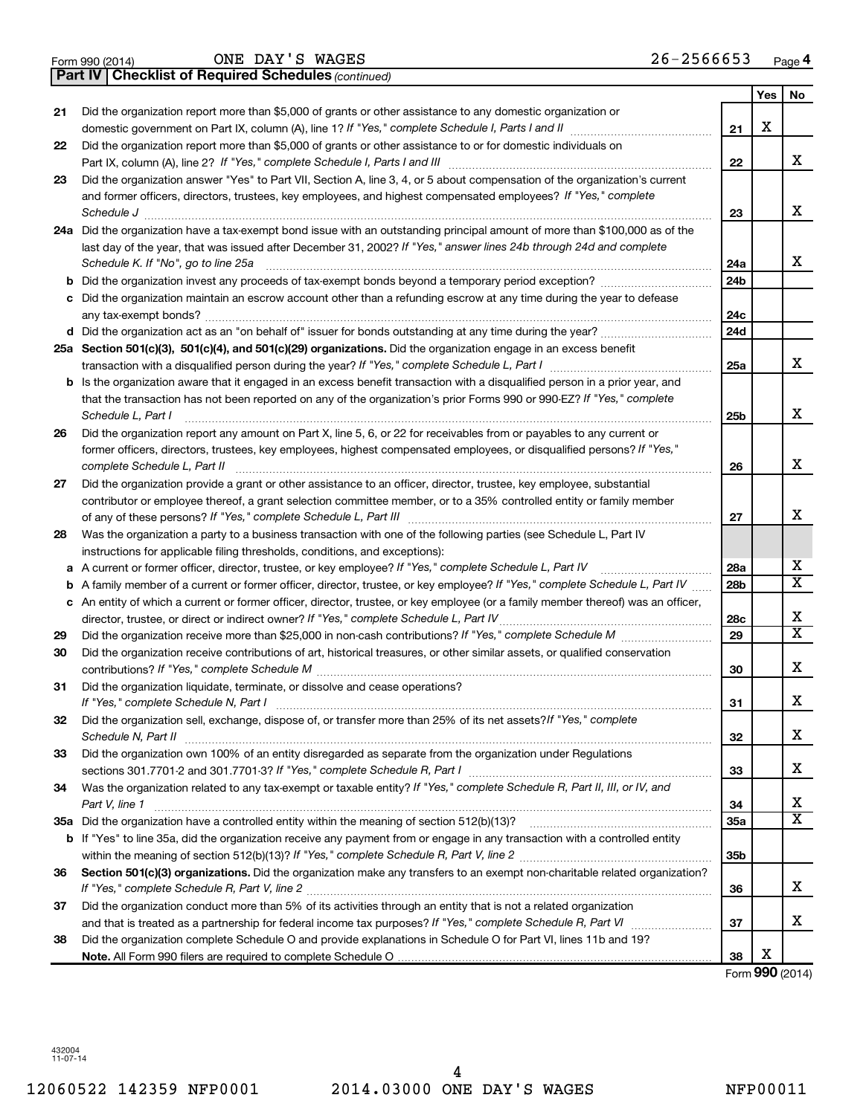|  | Form 990 (2014) |
|--|-----------------|
|  |                 |

|    | <b>Part IV   Checklist of Required Schedules (continued)</b>                                                                      |                 |     |                         |
|----|-----------------------------------------------------------------------------------------------------------------------------------|-----------------|-----|-------------------------|
|    |                                                                                                                                   |                 | Yes | No                      |
| 21 | Did the organization report more than \$5,000 of grants or other assistance to any domestic organization or                       |                 |     |                         |
|    |                                                                                                                                   | 21              | X   |                         |
| 22 | Did the organization report more than \$5,000 of grants or other assistance to or for domestic individuals on                     |                 |     |                         |
|    |                                                                                                                                   | 22              |     | x                       |
| 23 | Did the organization answer "Yes" to Part VII, Section A, line 3, 4, or 5 about compensation of the organization's current        |                 |     |                         |
|    | and former officers, directors, trustees, key employees, and highest compensated employees? If "Yes," complete                    |                 |     |                         |
|    | Schedule J <b>Exercise Construction Construction Construction Construction Construction</b>                                       | 23              |     | x                       |
|    | 24a Did the organization have a tax-exempt bond issue with an outstanding principal amount of more than \$100,000 as of the       |                 |     |                         |
|    | last day of the year, that was issued after December 31, 2002? If "Yes," answer lines 24b through 24d and complete                |                 |     |                         |
|    | Schedule K. If "No", go to line 25a                                                                                               | 24a             |     | x                       |
| b  |                                                                                                                                   | 24 <sub>b</sub> |     |                         |
|    | Did the organization maintain an escrow account other than a refunding escrow at any time during the year to defease              |                 |     |                         |
|    |                                                                                                                                   | 24c             |     |                         |
|    |                                                                                                                                   | 24d             |     |                         |
|    | 25a Section 501(c)(3), 501(c)(4), and 501(c)(29) organizations. Did the organization engage in an excess benefit                  |                 |     |                         |
|    |                                                                                                                                   | 25a             |     | x                       |
| b  | Is the organization aware that it engaged in an excess benefit transaction with a disqualified person in a prior year, and        |                 |     |                         |
|    | that the transaction has not been reported on any of the organization's prior Forms 990 or 990-EZ? If "Yes," complete             |                 |     |                         |
|    | Schedule L, Part I                                                                                                                | 25b             |     | х                       |
| 26 | Did the organization report any amount on Part X, line 5, 6, or 22 for receivables from or payables to any current or             |                 |     |                         |
|    | former officers, directors, trustees, key employees, highest compensated employees, or disqualified persons? If "Yes,"            |                 |     |                         |
|    | complete Schedule L, Part II                                                                                                      | 26              |     | х                       |
| 27 | Did the organization provide a grant or other assistance to an officer, director, trustee, key employee, substantial              |                 |     |                         |
|    | contributor or employee thereof, a grant selection committee member, or to a 35% controlled entity or family member               |                 |     |                         |
|    |                                                                                                                                   | 27              |     | x                       |
| 28 | Was the organization a party to a business transaction with one of the following parties (see Schedule L, Part IV                 |                 |     |                         |
|    | instructions for applicable filing thresholds, conditions, and exceptions):                                                       |                 |     |                         |
| а  | A current or former officer, director, trustee, or key employee? If "Yes," complete Schedule L, Part IV                           | 28a             |     | х                       |
| b  | A family member of a current or former officer, director, trustee, or key employee? If "Yes," complete Schedule L, Part IV        | 28 <sub>b</sub> |     | $\overline{\textbf{X}}$ |
|    | c An entity of which a current or former officer, director, trustee, or key employee (or a family member thereof) was an officer, |                 |     |                         |
|    | director, trustee, or direct or indirect owner? If "Yes," complete Schedule L, Part IV                                            | 28c             |     | X                       |
| 29 |                                                                                                                                   | 29              |     | $\overline{\textbf{X}}$ |
| 30 | Did the organization receive contributions of art, historical treasures, or other similar assets, or qualified conservation       |                 |     |                         |
|    |                                                                                                                                   | 30              |     | х                       |
| 31 | Did the organization liquidate, terminate, or dissolve and cease operations?                                                      |                 |     |                         |
|    |                                                                                                                                   | 31              |     | Χ                       |
| 32 | Did the organization sell, exchange, dispose of, or transfer more than 25% of its net assets? If "Yes," complete                  |                 |     |                         |
|    |                                                                                                                                   | 32              |     | x                       |
| 33 | Did the organization own 100% of an entity disregarded as separate from the organization under Regulations                        |                 |     |                         |
|    |                                                                                                                                   | 33              |     | x                       |
| 34 | Was the organization related to any tax-exempt or taxable entity? If "Yes," complete Schedule R, Part II, III, or IV, and         |                 |     |                         |
|    | Part V, line 1                                                                                                                    | 34              |     | х                       |
|    |                                                                                                                                   | 35a             |     | $\overline{\text{X}}$   |
|    | b If "Yes" to line 35a, did the organization receive any payment from or engage in any transaction with a controlled entity       |                 |     |                         |
|    |                                                                                                                                   | 35 <sub>b</sub> |     |                         |
| 36 | Section 501(c)(3) organizations. Did the organization make any transfers to an exempt non-charitable related organization?        |                 |     |                         |
|    |                                                                                                                                   | 36              |     | x                       |
| 37 | Did the organization conduct more than 5% of its activities through an entity that is not a related organization                  |                 |     |                         |
|    |                                                                                                                                   | 37              |     | х                       |
| 38 | Did the organization complete Schedule O and provide explanations in Schedule O for Part VI, lines 11b and 19?                    |                 |     |                         |
|    |                                                                                                                                   | 38              | х   |                         |

Form (2014) **990**

432004 11-07-14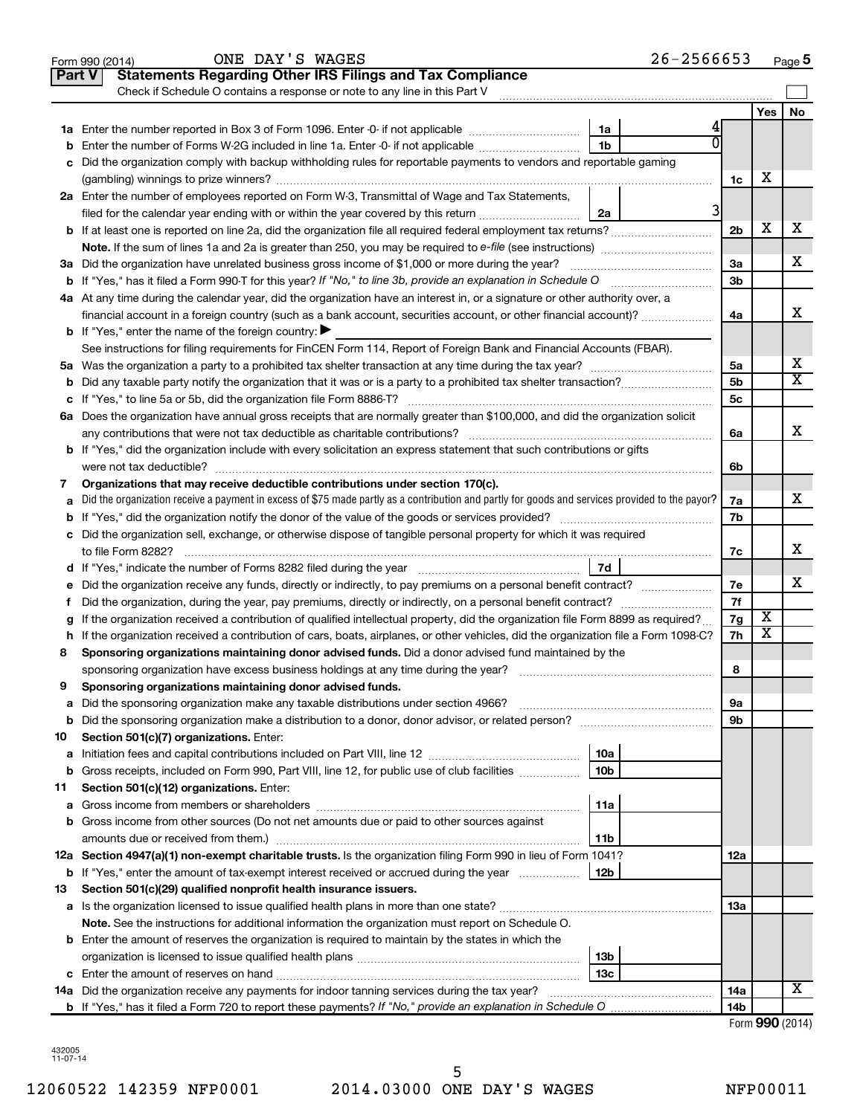|               | $26 - 2566653$<br>ONE DAY'S WAGES<br>Form 990 (2014)                                                                                                                                                                          |                 |     | Page 5          |
|---------------|-------------------------------------------------------------------------------------------------------------------------------------------------------------------------------------------------------------------------------|-----------------|-----|-----------------|
| <b>Part V</b> | <b>Statements Regarding Other IRS Filings and Tax Compliance</b>                                                                                                                                                              |                 |     |                 |
|               | Check if Schedule O contains a response or note to any line in this Part V                                                                                                                                                    |                 |     |                 |
|               |                                                                                                                                                                                                                               |                 | Yes | No              |
|               | 1a                                                                                                                                                                                                                            |                 |     |                 |
| b             | Enter the number of Forms W-2G included in line 1a. Enter -0- if not applicable<br>1b                                                                                                                                         |                 |     |                 |
| с             | Did the organization comply with backup withholding rules for reportable payments to vendors and reportable gaming                                                                                                            |                 |     |                 |
|               |                                                                                                                                                                                                                               | 1c              | х   |                 |
|               | 2a Enter the number of employees reported on Form W-3, Transmittal of Wage and Tax Statements,                                                                                                                                |                 |     |                 |
|               | 31<br>filed for the calendar year ending with or within the year covered by this return<br>2a                                                                                                                                 |                 |     |                 |
|               |                                                                                                                                                                                                                               | 2 <sub>b</sub>  | X   | х               |
|               |                                                                                                                                                                                                                               |                 |     |                 |
|               | 3a Did the organization have unrelated business gross income of \$1,000 or more during the year?                                                                                                                              | 3a              |     | х               |
|               |                                                                                                                                                                                                                               | 3 <sub>b</sub>  |     |                 |
|               | 4a At any time during the calendar year, did the organization have an interest in, or a signature or other authority over, a                                                                                                  |                 |     |                 |
|               | financial account in a foreign country (such as a bank account, securities account, or other financial account)?                                                                                                              | 4a              |     | х               |
|               | <b>b</b> If "Yes," enter the name of the foreign country:                                                                                                                                                                     |                 |     |                 |
|               | See instructions for filing requirements for FinCEN Form 114, Report of Foreign Bank and Financial Accounts (FBAR).                                                                                                           |                 |     |                 |
|               |                                                                                                                                                                                                                               | 5a              |     | х               |
| b             |                                                                                                                                                                                                                               | 5 <sub>b</sub>  |     | X               |
| с             |                                                                                                                                                                                                                               | 5c              |     |                 |
|               | 6a Does the organization have annual gross receipts that are normally greater than \$100,000, and did the organization solicit                                                                                                |                 |     |                 |
|               | any contributions that were not tax deductible as charitable contributions?                                                                                                                                                   | 6a              |     | х               |
|               | <b>b</b> If "Yes," did the organization include with every solicitation an express statement that such contributions or gifts                                                                                                 |                 |     |                 |
|               | were not tax deductible?                                                                                                                                                                                                      | 6b              |     |                 |
| 7             | Organizations that may receive deductible contributions under section 170(c).                                                                                                                                                 |                 |     | x               |
| а             | Did the organization receive a payment in excess of \$75 made partly as a contribution and partly for goods and services provided to the payor?                                                                               | 7a              |     |                 |
| b             |                                                                                                                                                                                                                               | 7b              |     |                 |
|               | c Did the organization sell, exchange, or otherwise dispose of tangible personal property for which it was required<br>to file Form 8282?                                                                                     | 7c              |     | x               |
|               | 7d                                                                                                                                                                                                                            |                 |     |                 |
| е             | d If "Yes," indicate the number of Forms 8282 filed during the year [11] [11] The Sear [11] The Sear [11] The Sear [11] The Sear [11] The Sear [11] The Sear [11] The Sear [11] The Sear [11] The Sear [11] The Sear [11] The | 7e              |     | х               |
| f.            | Did the organization, during the year, pay premiums, directly or indirectly, on a personal benefit contract?                                                                                                                  | 7f              |     |                 |
| g             | If the organization received a contribution of qualified intellectual property, did the organization file Form 8899 as required?                                                                                              | 7g              | X   |                 |
|               | h If the organization received a contribution of cars, boats, airplanes, or other vehicles, did the organization file a Form 1098-C?                                                                                          | 7h              | X   |                 |
| 8             | Sponsoring organizations maintaining donor advised funds. Did a donor advised fund maintained by the                                                                                                                          |                 |     |                 |
|               | sponsoring organization have excess business holdings at any time during the year?                                                                                                                                            | 8               |     |                 |
| 9             | Sponsoring organizations maintaining donor advised funds.                                                                                                                                                                     |                 |     |                 |
| а             | Did the sponsoring organization make any taxable distributions under section 4966?                                                                                                                                            | 9a              |     |                 |
| b             |                                                                                                                                                                                                                               | 9b              |     |                 |
| 10            | Section 501(c)(7) organizations. Enter:                                                                                                                                                                                       |                 |     |                 |
| а             | 10a                                                                                                                                                                                                                           |                 |     |                 |
| b             | Gross receipts, included on Form 990, Part VIII, line 12, for public use of club facilities<br>10 <sub>b</sub>                                                                                                                |                 |     |                 |
| 11            | Section 501(c)(12) organizations. Enter:                                                                                                                                                                                      |                 |     |                 |
| а             | 11a                                                                                                                                                                                                                           |                 |     |                 |
| b             | Gross income from other sources (Do not net amounts due or paid to other sources against                                                                                                                                      |                 |     |                 |
|               | 11b                                                                                                                                                                                                                           |                 |     |                 |
|               | 12a Section 4947(a)(1) non-exempt charitable trusts. Is the organization filing Form 990 in lieu of Form 1041?                                                                                                                | 12a             |     |                 |
| b             | If "Yes," enter the amount of tax-exempt interest received or accrued during the year<br>12b                                                                                                                                  |                 |     |                 |
| 13            | Section 501(c)(29) qualified nonprofit health insurance issuers.                                                                                                                                                              |                 |     |                 |
| а             |                                                                                                                                                                                                                               | 13a             |     |                 |
|               | Note. See the instructions for additional information the organization must report on Schedule O.                                                                                                                             |                 |     |                 |
| b             | Enter the amount of reserves the organization is required to maintain by the states in which the                                                                                                                              |                 |     |                 |
|               | 13 <sub>b</sub>                                                                                                                                                                                                               |                 |     |                 |
| с             | 13с                                                                                                                                                                                                                           |                 |     |                 |
| 14a           | Did the organization receive any payments for indoor tanning services during the tax year?                                                                                                                                    | 14a             |     | х               |
|               |                                                                                                                                                                                                                               | 14 <sub>b</sub> |     |                 |
|               |                                                                                                                                                                                                                               |                 |     | Form 990 (2014) |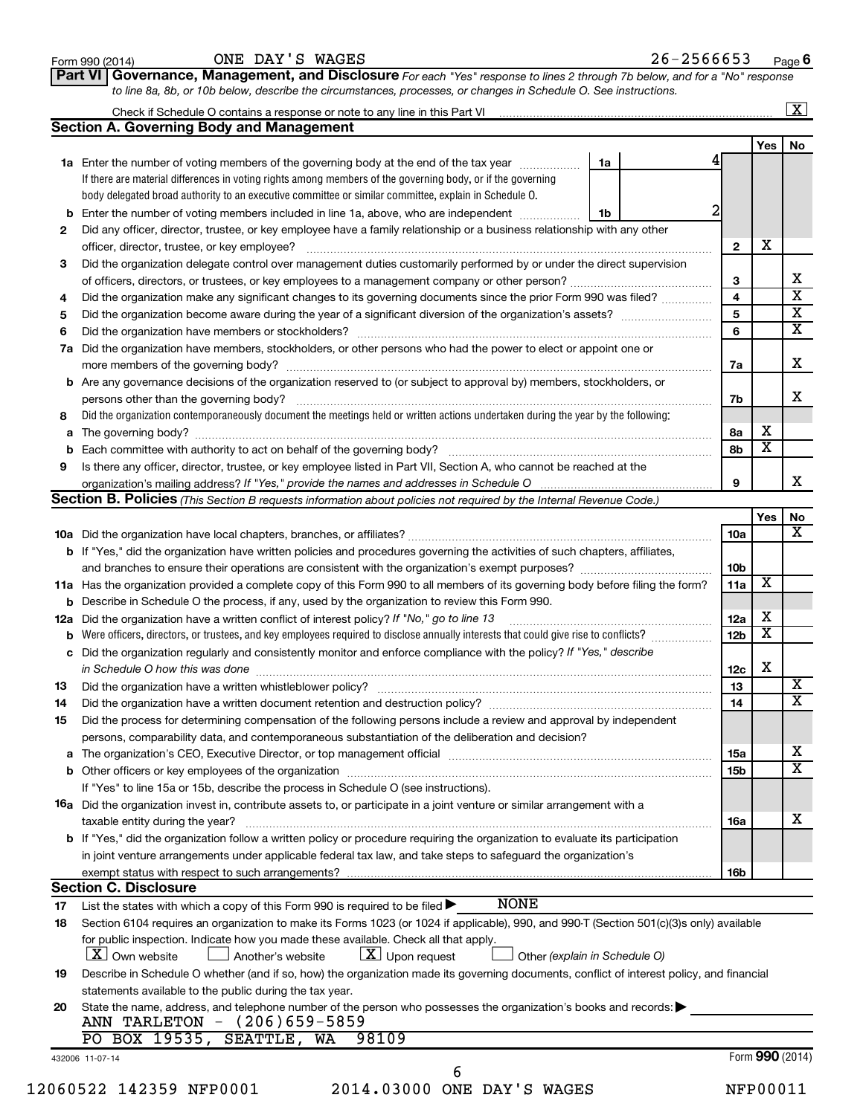|    |                                                                                                                                                                                                                                        |                               |                 | Yes                     | No                      |
|----|----------------------------------------------------------------------------------------------------------------------------------------------------------------------------------------------------------------------------------------|-------------------------------|-----------------|-------------------------|-------------------------|
|    | <b>1a</b> Enter the number of voting members of the governing body at the end of the tax year                                                                                                                                          | 1a                            | 4               |                         |                         |
|    | If there are material differences in voting rights among members of the governing body, or if the governing                                                                                                                            |                               |                 |                         |                         |
|    | body delegated broad authority to an executive committee or similar committee, explain in Schedule O.                                                                                                                                  |                               |                 |                         |                         |
|    | <b>b</b> Enter the number of voting members included in line 1a, above, who are independent                                                                                                                                            | 1b                            | 2               |                         |                         |
| 2  | Did any officer, director, trustee, or key employee have a family relationship or a business relationship with any other                                                                                                               |                               |                 |                         |                         |
|    | officer, director, trustee, or key employee?                                                                                                                                                                                           |                               | $\mathbf{2}$    | X                       |                         |
| 3  | Did the organization delegate control over management duties customarily performed by or under the direct supervision                                                                                                                  |                               |                 |                         |                         |
|    |                                                                                                                                                                                                                                        |                               | 3               |                         | х                       |
| 4  | Did the organization make any significant changes to its governing documents since the prior Form 990 was filed?                                                                                                                       |                               | 4               |                         | $\overline{\mathbf{x}}$ |
| 5  |                                                                                                                                                                                                                                        |                               | 5               |                         | $\overline{\mathbf{X}}$ |
| 6  |                                                                                                                                                                                                                                        |                               | 6               |                         | $\overline{\mathbf{x}}$ |
|    | 7a Did the organization have members, stockholders, or other persons who had the power to elect or appoint one or                                                                                                                      |                               | 7a              |                         | X                       |
|    | b Are any governance decisions of the organization reserved to (or subject to approval by) members, stockholders, or                                                                                                                   |                               |                 |                         |                         |
|    |                                                                                                                                                                                                                                        |                               | 7b              |                         | x                       |
| 8  | Did the organization contemporaneously document the meetings held or written actions undertaken during the vear by the following:                                                                                                      |                               |                 |                         |                         |
|    |                                                                                                                                                                                                                                        |                               | 8a              | х                       |                         |
|    |                                                                                                                                                                                                                                        |                               | 8b              | $\overline{\mathbf{X}}$ |                         |
| 9  | Is there any officer, director, trustee, or key employee listed in Part VII, Section A, who cannot be reached at the                                                                                                                   |                               |                 |                         |                         |
|    |                                                                                                                                                                                                                                        |                               | 9               |                         | x                       |
|    | <b>Section B. Policies</b> (This Section B requests information about policies not required by the Internal Revenue Code.)                                                                                                             |                               |                 |                         |                         |
|    |                                                                                                                                                                                                                                        |                               |                 | Yes                     | No                      |
|    |                                                                                                                                                                                                                                        |                               | 10a             |                         | X                       |
|    | <b>b</b> If "Yes," did the organization have written policies and procedures governing the activities of such chapters, affiliates,                                                                                                    |                               |                 |                         |                         |
|    |                                                                                                                                                                                                                                        |                               | 10 <sub>b</sub> |                         |                         |
|    | 11a Has the organization provided a complete copy of this Form 990 to all members of its governing body before filing the form?                                                                                                        |                               | 11a             | X                       |                         |
|    | <b>b</b> Describe in Schedule O the process, if any, used by the organization to review this Form 990.                                                                                                                                 |                               |                 |                         |                         |
|    | 12a Did the organization have a written conflict of interest policy? If "No," go to line 13                                                                                                                                            |                               | 12a             | х                       |                         |
| b  |                                                                                                                                                                                                                                        |                               | 12 <sub>b</sub> | X                       |                         |
|    | c Did the organization regularly and consistently monitor and enforce compliance with the policy? If "Yes," describe<br>in Schedule O how this was done manufactured and continuum control of the state of the state of the state of t |                               | 12c             | X                       |                         |
| 13 |                                                                                                                                                                                                                                        |                               | 13              |                         | x                       |
| 14 |                                                                                                                                                                                                                                        |                               | 14              |                         | X                       |
| 15 | Did the process for determining compensation of the following persons include a review and approval by independent                                                                                                                     |                               |                 |                         |                         |
|    | persons, comparability data, and contemporaneous substantiation of the deliberation and decision?                                                                                                                                      |                               |                 |                         |                         |
|    |                                                                                                                                                                                                                                        |                               | 15a             |                         | Χ                       |
|    |                                                                                                                                                                                                                                        |                               | 15b             |                         | $\overline{\textbf{X}}$ |
|    | If "Yes" to line 15a or 15b, describe the process in Schedule O (see instructions).                                                                                                                                                    |                               |                 |                         |                         |
|    | 16a Did the organization invest in, contribute assets to, or participate in a joint venture or similar arrangement with a<br>taxable entity during the year?                                                                           |                               | 16a             |                         | x                       |
|    | b If "Yes," did the organization follow a written policy or procedure requiring the organization to evaluate its participation                                                                                                         |                               |                 |                         |                         |
|    | in joint venture arrangements under applicable federal tax law, and take steps to safeguard the organization's                                                                                                                         |                               |                 |                         |                         |
|    |                                                                                                                                                                                                                                        |                               | 16b             |                         |                         |
|    | <b>Section C. Disclosure</b>                                                                                                                                                                                                           |                               |                 |                         |                         |
| 17 | <b>NONE</b><br>List the states with which a copy of this Form 990 is required to be filed $\blacktriangleright$                                                                                                                        |                               |                 |                         |                         |
| 18 | Section 6104 requires an organization to make its Forms 1023 (or 1024 if applicable), 990, and 990-T (Section 501(c)(3)s only) available                                                                                               |                               |                 |                         |                         |
|    | for public inspection. Indicate how you made these available. Check all that apply.<br><b>X</b> Own website<br>$\lfloor x \rfloor$ Upon request<br>Another's website                                                                   | Other (explain in Schedule O) |                 |                         |                         |
|    |                                                                                                                                                                                                                                        |                               |                 |                         |                         |
|    |                                                                                                                                                                                                                                        |                               |                 |                         |                         |
| 19 | Describe in Schedule O whether (and if so, how) the organization made its governing documents, conflict of interest policy, and financial                                                                                              |                               |                 |                         |                         |
| 20 | statements available to the public during the tax year.<br>State the name, address, and telephone number of the person who possesses the organization's books and records:<br>ANN TARLETON - (206)659-5859                             |                               |                 |                         |                         |
|    | PO BOX 19535, SEATTLE, WA<br>98109                                                                                                                                                                                                     |                               |                 |                         |                         |
|    | 432006 11-07-14                                                                                                                                                                                                                        |                               |                 | Form 990 (2014)         |                         |

**Part VI** Governance, Management, and Disclosure For each "Yes" response to lines 2 through 7b below, and for a "No" response

Form 990 (2014) Page ONE DAY'S WAGES 26-2566653

**6**

 $\boxed{\text{X}}$ 

*to line 8a, 8b, or 10b below, describe the circumstances, processes, or changes in Schedule O. See instructions.*

Check if Schedule O contains a response or note to any line in this Part VI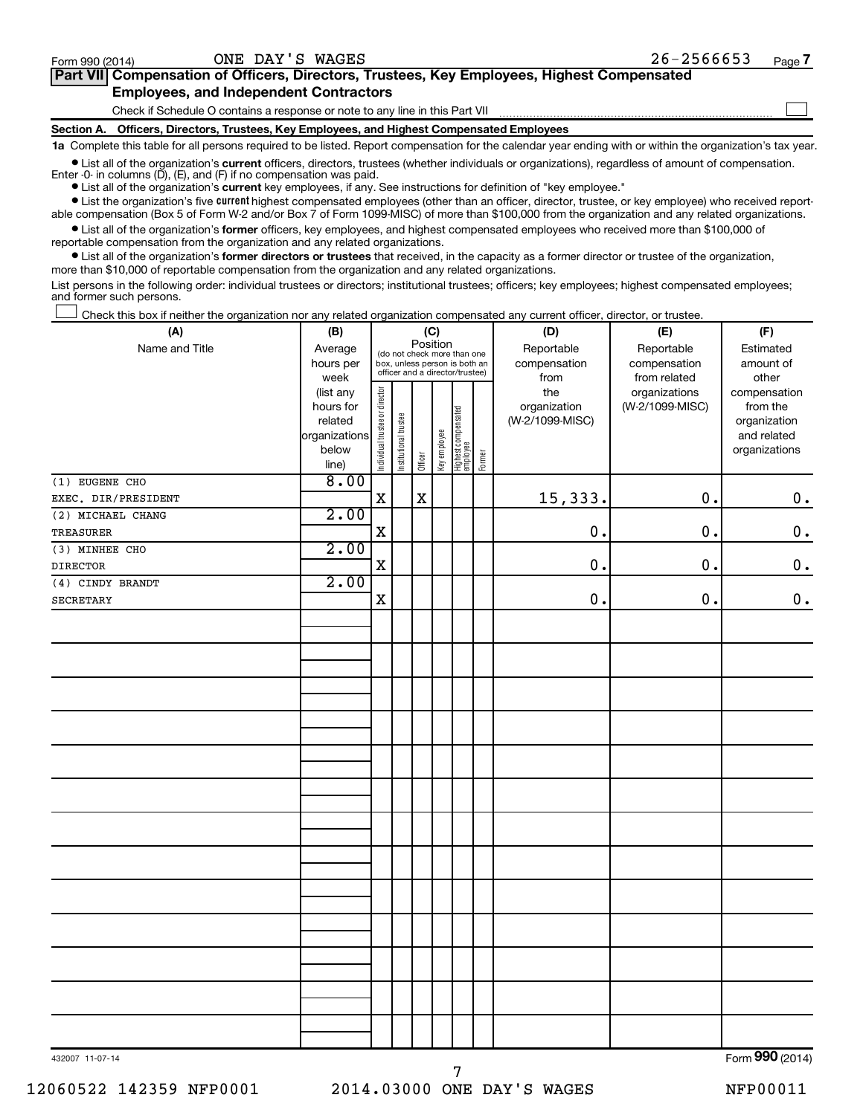$\Box$ 

| Part VII Compensation of Officers, Directors, Trustees, Key Employees, Highest Compensated |  |
|--------------------------------------------------------------------------------------------|--|
| <b>Employees, and Independent Contractors</b>                                              |  |

Check if Schedule O contains a response or note to any line in this Part VII

**Section A. Officers, Directors, Trustees, Key Employees, and Highest Compensated Employees**

**1a**  Complete this table for all persons required to be listed. Report compensation for the calendar year ending with or within the organization's tax year.

**•** List all of the organization's current officers, directors, trustees (whether individuals or organizations), regardless of amount of compensation. Enter -0- in columns  $(D)$ ,  $(E)$ , and  $(F)$  if no compensation was paid.

**•** List all of the organization's **current** key employees, if any. See instructions for definition of "key employee."

**•** List the organization's five current highest compensated employees (other than an officer, director, trustee, or key employee) who received reportable compensation (Box 5 of Form W-2 and/or Box 7 of Form 1099-MISC) of more than \$100,000 from the organization and any related organizations.

**•** List all of the organization's former officers, key employees, and highest compensated employees who received more than \$100,000 of reportable compensation from the organization and any related organizations.

**•** List all of the organization's former directors or trustees that received, in the capacity as a former director or trustee of the organization, more than \$10,000 of reportable compensation from the organization and any related organizations.

List persons in the following order: individual trustees or directors; institutional trustees; officers; key employees; highest compensated employees; and former such persons.

|  |  |  | Check this box if neither the organization nor any related organization compensated any current officer, director, or trustee. |  |  |
|--|--|--|--------------------------------------------------------------------------------------------------------------------------------|--|--|
|  |  |  |                                                                                                                                |  |  |

| (A)                 | (B)                    |                                |                       | (C)         |              |                                                                  |        | (D)             | (E)             | (F)                          |
|---------------------|------------------------|--------------------------------|-----------------------|-------------|--------------|------------------------------------------------------------------|--------|-----------------|-----------------|------------------------------|
| Name and Title      | Average                |                                |                       | Position    |              | (do not check more than one                                      |        | Reportable      | Reportable      | Estimated                    |
|                     | hours per              |                                |                       |             |              | box, unless person is both an<br>officer and a director/trustee) |        | compensation    | compensation    | amount of                    |
|                     | week                   |                                |                       |             |              |                                                                  |        | from            | from related    | other                        |
|                     | (list any              |                                |                       |             |              |                                                                  |        | the             | organizations   | compensation                 |
|                     | hours for              |                                |                       |             |              |                                                                  |        | organization    | (W-2/1099-MISC) | from the                     |
|                     | related                |                                |                       |             |              |                                                                  |        | (W-2/1099-MISC) |                 | organization                 |
|                     | organizations<br>below |                                |                       |             |              |                                                                  |        |                 |                 | and related<br>organizations |
|                     | line)                  | Individual trustee or director | Institutional trustee | Officer     | Key employee | Highest compensated<br>employee                                  | Former |                 |                 |                              |
| (1) EUGENE CHO      | 8.00                   |                                |                       |             |              |                                                                  |        |                 |                 |                              |
| EXEC. DIR/PRESIDENT |                        | $\mathbf X$                    |                       | $\mathbf X$ |              |                                                                  |        | 15,333.         | 0.              | $\mathbf 0$ .                |
| (2) MICHAEL CHANG   | 2.00                   |                                |                       |             |              |                                                                  |        |                 |                 |                              |
| TREASURER           |                        | $\mathbf X$                    |                       |             |              |                                                                  |        | $\mathbf 0$ .   | $\mathbf 0$ .   | $\mathbf 0$ .                |
| $(3)$ MINHEE CHO    | 2.00                   |                                |                       |             |              |                                                                  |        |                 |                 |                              |
| <b>DIRECTOR</b>     |                        | $\mathbf X$                    |                       |             |              |                                                                  |        | $\mathbf 0$ .   | 0.              | $\mathbf 0$ .                |
| $(4)$ CINDY BRANDT  | 2.00                   |                                |                       |             |              |                                                                  |        |                 |                 |                              |
| <b>SECRETARY</b>    |                        | $\mathbf X$                    |                       |             |              |                                                                  |        | 0.              | 0.              | $\mathbf 0$ .                |
|                     |                        |                                |                       |             |              |                                                                  |        |                 |                 |                              |
|                     |                        |                                |                       |             |              |                                                                  |        |                 |                 |                              |
|                     |                        |                                |                       |             |              |                                                                  |        |                 |                 |                              |
|                     |                        |                                |                       |             |              |                                                                  |        |                 |                 |                              |
|                     |                        |                                |                       |             |              |                                                                  |        |                 |                 |                              |
|                     |                        |                                |                       |             |              |                                                                  |        |                 |                 |                              |
|                     |                        |                                |                       |             |              |                                                                  |        |                 |                 |                              |
|                     |                        |                                |                       |             |              |                                                                  |        |                 |                 |                              |
|                     |                        |                                |                       |             |              |                                                                  |        |                 |                 |                              |
|                     |                        |                                |                       |             |              |                                                                  |        |                 |                 |                              |
|                     |                        |                                |                       |             |              |                                                                  |        |                 |                 |                              |
|                     |                        |                                |                       |             |              |                                                                  |        |                 |                 |                              |
|                     |                        |                                |                       |             |              |                                                                  |        |                 |                 |                              |
|                     |                        |                                |                       |             |              |                                                                  |        |                 |                 |                              |
|                     |                        |                                |                       |             |              |                                                                  |        |                 |                 |                              |
|                     |                        |                                |                       |             |              |                                                                  |        |                 |                 |                              |
|                     |                        |                                |                       |             |              |                                                                  |        |                 |                 |                              |
|                     |                        |                                |                       |             |              |                                                                  |        |                 |                 |                              |
|                     |                        |                                |                       |             |              |                                                                  |        |                 |                 |                              |
|                     |                        |                                |                       |             |              |                                                                  |        |                 |                 |                              |
|                     |                        |                                |                       |             |              |                                                                  |        |                 |                 |                              |
|                     |                        |                                |                       |             |              |                                                                  |        |                 |                 |                              |
|                     |                        |                                |                       |             |              |                                                                  |        |                 |                 |                              |
|                     |                        |                                |                       |             |              |                                                                  |        |                 |                 |                              |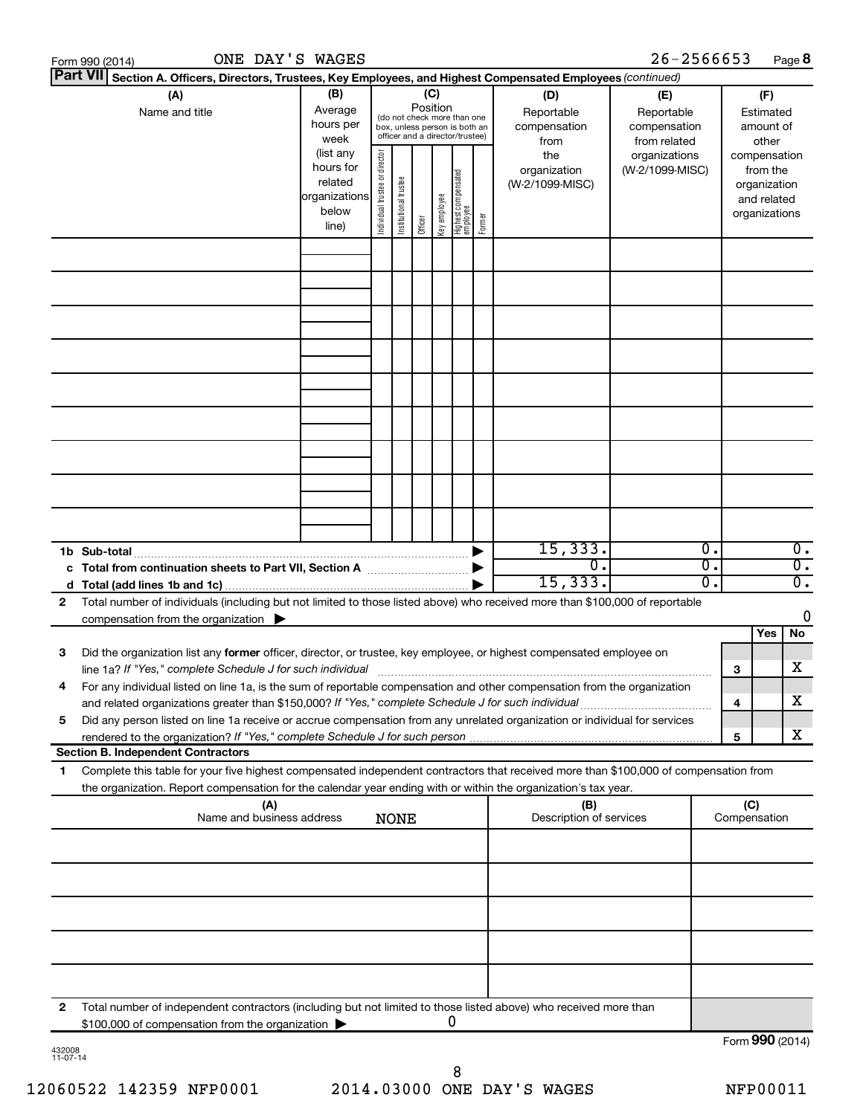|                 | ONE DAY'S WAGES<br>Form 990 (2014)                                                                                                                                                                                              |                                                               |                                                                                                                    |                       |         |                                                                  |                                                                                       |                                                                    |                                | 26-2566653 |                     | Page 8                                                   |
|-----------------|---------------------------------------------------------------------------------------------------------------------------------------------------------------------------------------------------------------------------------|---------------------------------------------------------------|--------------------------------------------------------------------------------------------------------------------|-----------------------|---------|------------------------------------------------------------------|---------------------------------------------------------------------------------------|--------------------------------------------------------------------|--------------------------------|------------|---------------------|----------------------------------------------------------|
| <b>Part VII</b> | Section A. Officers, Directors, Trustees, Key Employees, and Highest Compensated Employees (continued)                                                                                                                          |                                                               |                                                                                                                    |                       |         |                                                                  |                                                                                       |                                                                    |                                |            |                     |                                                          |
|                 | (A)<br>Name and title                                                                                                                                                                                                           | (B)<br>Average<br>hours per<br>week<br>(list any<br>hours for | (C)<br>Position<br>(do not check more than one<br>box, unless person is both an<br>officer and a director/trustee) |                       |         | (D)<br>Reportable<br>compensation<br>from<br>the<br>organization | (E)<br>Reportable<br>compensation<br>from related<br>organizations<br>(W-2/1099-MISC) | (F)<br>Estimated<br>amount of<br>other<br>compensation<br>from the |                                |            |                     |                                                          |
|                 |                                                                                                                                                                                                                                 | related<br>organizations<br>below<br>line)                    | Individual trustee or director                                                                                     | Institutional trustee | Officer | key employee                                                     | Highest compensated<br>  employee                                                     | Former                                                             | (W-2/1099-MISC)                |            |                     | organization<br>and related<br>organizations             |
|                 |                                                                                                                                                                                                                                 |                                                               |                                                                                                                    |                       |         |                                                                  |                                                                                       |                                                                    |                                |            |                     |                                                          |
|                 |                                                                                                                                                                                                                                 |                                                               |                                                                                                                    |                       |         |                                                                  |                                                                                       |                                                                    |                                |            |                     |                                                          |
|                 |                                                                                                                                                                                                                                 |                                                               |                                                                                                                    |                       |         |                                                                  |                                                                                       |                                                                    |                                |            |                     |                                                          |
|                 |                                                                                                                                                                                                                                 |                                                               |                                                                                                                    |                       |         |                                                                  |                                                                                       |                                                                    | 15,333.                        |            |                     |                                                          |
| 2               | 1b Sub-total<br>c Total from continuation sheets to Part VII, Section A <b>Constitution</b><br>Total number of individuals (including but not limited to those listed above) who received more than \$100,000 of reportable     |                                                               |                                                                                                                    |                       |         |                                                                  |                                                                                       | ▶<br>▶                                                             | $\overline{0}$ .<br>15,333.    |            | 0.<br>σ.<br>σ.      | $\overline{0}$ .<br>$\overline{0}$ .<br>$\overline{0}$ . |
| 3               | compensation from the organization $\blacktriangleright$<br>Did the organization list any former officer, director, or trustee, key employee, or highest compensated employee on                                                |                                                               |                                                                                                                    |                       |         |                                                                  |                                                                                       |                                                                    |                                |            |                     | 0<br>Yes<br>No                                           |
|                 | For any individual listed on line 1a, is the sum of reportable compensation and other compensation from the organization<br>and related organizations greater than \$150,000? If "Yes," complete Schedule J for such individual |                                                               |                                                                                                                    |                       |         |                                                                  |                                                                                       |                                                                    |                                |            | 3<br>4              | х<br>х                                                   |
| 5               | Did any person listed on line 1a receive or accrue compensation from any unrelated organization or individual for services<br><b>Section B. Independent Contractors</b>                                                         |                                                               |                                                                                                                    |                       |         |                                                                  |                                                                                       |                                                                    |                                |            | 5                   | х                                                        |
| 1.              | Complete this table for your five highest compensated independent contractors that received more than \$100,000 of compensation from                                                                                            |                                                               |                                                                                                                    |                       |         |                                                                  |                                                                                       |                                                                    |                                |            |                     |                                                          |
|                 | the organization. Report compensation for the calendar year ending with or within the organization's tax year.                                                                                                                  |                                                               |                                                                                                                    |                       |         |                                                                  |                                                                                       |                                                                    |                                |            |                     |                                                          |
|                 | (A)<br>Name and business address                                                                                                                                                                                                |                                                               |                                                                                                                    | <b>NONE</b>           |         |                                                                  |                                                                                       |                                                                    | (B)<br>Description of services |            | (C)<br>Compensation |                                                          |
|                 |                                                                                                                                                                                                                                 |                                                               |                                                                                                                    |                       |         |                                                                  |                                                                                       |                                                                    |                                |            |                     |                                                          |
|                 |                                                                                                                                                                                                                                 |                                                               |                                                                                                                    |                       |         |                                                                  |                                                                                       |                                                                    |                                |            |                     |                                                          |
|                 |                                                                                                                                                                                                                                 |                                                               |                                                                                                                    |                       |         |                                                                  |                                                                                       |                                                                    |                                |            |                     |                                                          |
| 2               | Total number of independent contractors (including but not limited to those listed above) who received more than<br>\$100,000 of compensation from the organization >                                                           |                                                               |                                                                                                                    |                       |         |                                                                  | 0                                                                                     |                                                                    |                                |            |                     | Form 990 (2014)                                          |

432008 11-07-14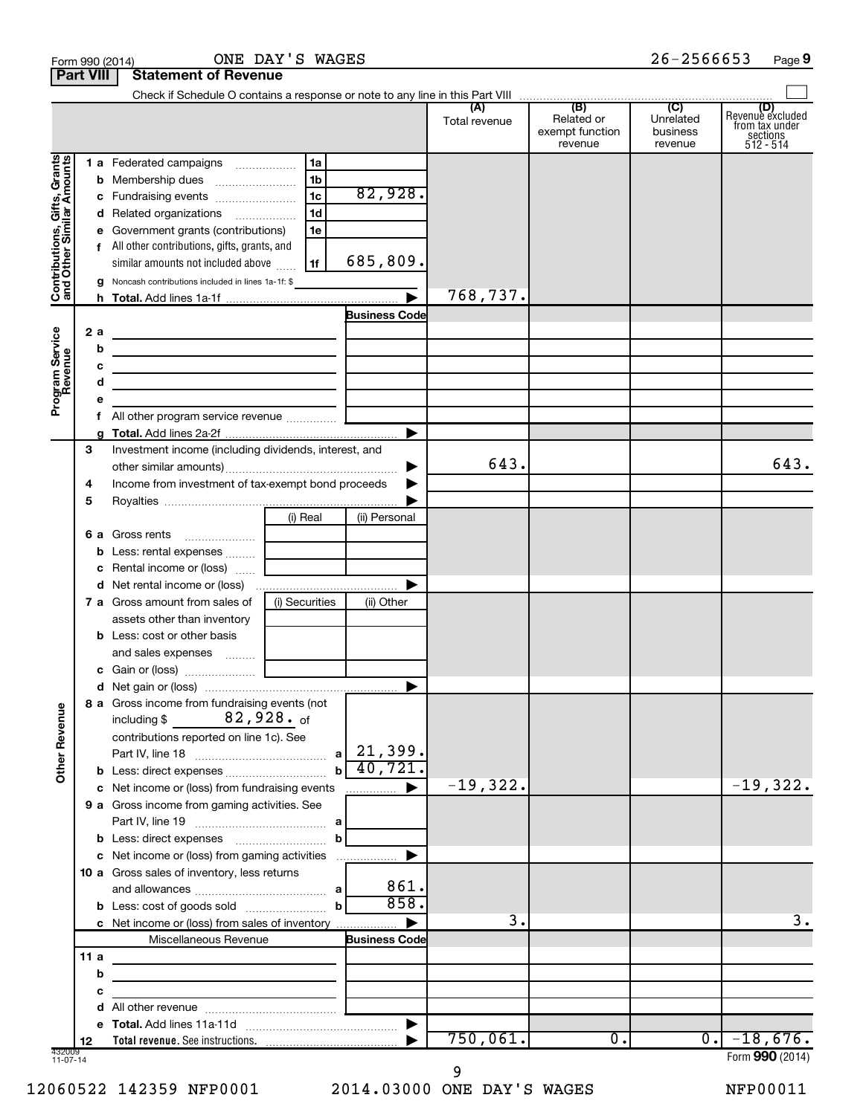|                                          | <b>Part VIII</b> | <b>Statement of Revenue</b>                                                                                                                     |                                              |                       |               |                                          |                                  |                                                                    |
|------------------------------------------|------------------|-------------------------------------------------------------------------------------------------------------------------------------------------|----------------------------------------------|-----------------------|---------------|------------------------------------------|----------------------------------|--------------------------------------------------------------------|
|                                          |                  |                                                                                                                                                 |                                              |                       |               |                                          |                                  |                                                                    |
|                                          |                  |                                                                                                                                                 |                                              |                       | Total revenue | Related or<br>exempt function<br>revenue | Unrelated<br>business<br>revenue | (D)<br>Revenue excluded<br>from tax under<br>sections<br>512 - 514 |
| Gifts, Grants                            |                  | 1 a Federated campaigns                                                                                                                         | 1a                                           |                       |               |                                          |                                  |                                                                    |
|                                          |                  | <b>b</b> Membership dues                                                                                                                        | 1b                                           |                       |               |                                          |                                  |                                                                    |
|                                          |                  | c Fundraising events                                                                                                                            | 1c                                           | 82,928.               |               |                                          |                                  |                                                                    |
|                                          |                  | d Related organizations                                                                                                                         | 1 <sub>d</sub>                               |                       |               |                                          |                                  |                                                                    |
|                                          |                  | e Government grants (contributions)                                                                                                             | 1e                                           |                       |               |                                          |                                  |                                                                    |
|                                          |                  | f All other contributions, gifts, grants, and                                                                                                   |                                              |                       |               |                                          |                                  |                                                                    |
|                                          |                  | similar amounts not included above                                                                                                              | 1f                                           | 685,809.              |               |                                          |                                  |                                                                    |
| Contributions, Gift<br>and Other Similar |                  | Noncash contributions included in lines 1a-1f: \$                                                                                               |                                              |                       |               |                                          |                                  |                                                                    |
|                                          |                  |                                                                                                                                                 |                                              | $\blacktriangleright$ | 768,737.      |                                          |                                  |                                                                    |
|                                          |                  |                                                                                                                                                 |                                              | <b>Business Code</b>  |               |                                          |                                  |                                                                    |
|                                          | 2a               | the contract of the contract of the contract of the contract of                                                                                 |                                              |                       |               |                                          |                                  |                                                                    |
|                                          | b                | <u> 1989 - Johann Stein, mars an deus Amerikaansk kommunister (</u>                                                                             |                                              |                       |               |                                          |                                  |                                                                    |
|                                          | c                | <u> 1989 - Johann Barbara, martxa alemaniar arg</u>                                                                                             |                                              |                       |               |                                          |                                  |                                                                    |
|                                          | d                | the contract of the contract of the contract of the contract of the contract of                                                                 |                                              |                       |               |                                          |                                  |                                                                    |
| Program Service<br>Revenue               | е                |                                                                                                                                                 |                                              |                       |               |                                          |                                  |                                                                    |
|                                          | f.               | All other program service revenue  [                                                                                                            |                                              |                       |               |                                          |                                  |                                                                    |
|                                          |                  |                                                                                                                                                 |                                              | ▶                     |               |                                          |                                  |                                                                    |
|                                          | 3                | Investment income (including dividends, interest, and                                                                                           |                                              |                       |               |                                          |                                  |                                                                    |
|                                          |                  |                                                                                                                                                 |                                              | ▶                     | 643.          |                                          |                                  | 643.                                                               |
|                                          | 4                | Income from investment of tax-exempt bond proceeds                                                                                              |                                              |                       |               |                                          |                                  |                                                                    |
|                                          | 5                |                                                                                                                                                 |                                              |                       |               |                                          |                                  |                                                                    |
|                                          |                  |                                                                                                                                                 | (i) Real                                     | (ii) Personal         |               |                                          |                                  |                                                                    |
|                                          |                  | 6 a Gross rents                                                                                                                                 |                                              |                       |               |                                          |                                  |                                                                    |
|                                          | b                | Less: rental expenses  [                                                                                                                        |                                              |                       |               |                                          |                                  |                                                                    |
|                                          | с                | Rental income or (loss)                                                                                                                         |                                              |                       |               |                                          |                                  |                                                                    |
|                                          |                  |                                                                                                                                                 |                                              | ▶                     |               |                                          |                                  |                                                                    |
|                                          |                  | <b>7 a</b> Gross amount from sales of                                                                                                           | (i) Securities                               | (ii) Other            |               |                                          |                                  |                                                                    |
|                                          |                  | assets other than inventory                                                                                                                     |                                              |                       |               |                                          |                                  |                                                                    |
|                                          |                  | <b>b</b> Less: cost or other basis                                                                                                              |                                              |                       |               |                                          |                                  |                                                                    |
|                                          |                  | and sales expenses  [ _____________                                                                                                             |                                              |                       |               |                                          |                                  |                                                                    |
|                                          |                  |                                                                                                                                                 |                                              |                       |               |                                          |                                  |                                                                    |
|                                          |                  |                                                                                                                                                 |                                              |                       |               |                                          |                                  |                                                                    |
| <b>Other Revenue</b>                     |                  | <b>8 a</b> Gross income from fundraising events (not $\begin{bmatrix} \end{bmatrix}$<br>including \$<br>contributions reported on line 1c). See | $82,928.$ of                                 |                       |               |                                          |                                  |                                                                    |
|                                          |                  |                                                                                                                                                 |                                              |                       |               |                                          |                                  |                                                                    |
|                                          |                  |                                                                                                                                                 | $\mathbf{b}$                                 | 40,721.               |               |                                          |                                  |                                                                    |
|                                          |                  | c Net income or (loss) from fundraising events                                                                                                  |                                              | ▶<br>.                | $-19,322.$    |                                          |                                  | $-19,322.$                                                         |
|                                          |                  | 9 a Gross income from gaming activities. See                                                                                                    |                                              |                       |               |                                          |                                  |                                                                    |
|                                          |                  |                                                                                                                                                 |                                              |                       |               |                                          |                                  |                                                                    |
|                                          |                  |                                                                                                                                                 | b                                            |                       |               |                                          |                                  |                                                                    |
|                                          |                  | c Net income or (loss) from gaming activities                                                                                                   |                                              | ▶                     |               |                                          |                                  |                                                                    |
|                                          |                  | 10 a Gross sales of inventory, less returns                                                                                                     |                                              |                       |               |                                          |                                  |                                                                    |
|                                          |                  |                                                                                                                                                 |                                              | 861.                  |               |                                          |                                  |                                                                    |
|                                          |                  |                                                                                                                                                 | $\mathbf b$                                  | 858.                  |               |                                          |                                  |                                                                    |
|                                          |                  | c Net income or (loss) from sales of inventory                                                                                                  |                                              | ▶                     | 3.            |                                          |                                  | з.                                                                 |
|                                          |                  | Miscellaneous Revenue                                                                                                                           |                                              | <b>Business Code</b>  |               |                                          |                                  |                                                                    |
|                                          | 11a              |                                                                                                                                                 |                                              |                       |               |                                          |                                  |                                                                    |
|                                          | b                | the control of the control of the control of the control of the control of                                                                      |                                              |                       |               |                                          |                                  |                                                                    |
|                                          | с                |                                                                                                                                                 | the control of the control of the control of |                       |               |                                          |                                  |                                                                    |
|                                          | d                |                                                                                                                                                 |                                              |                       |               |                                          |                                  |                                                                    |
|                                          |                  |                                                                                                                                                 |                                              | $\blacktriangleright$ |               |                                          |                                  |                                                                    |
|                                          | 12               |                                                                                                                                                 |                                              |                       | 750,061.      | $\overline{0}$ .                         | $\overline{0}$ .                 | $-18,676.$                                                         |
| 432009<br>11-07-14                       |                  |                                                                                                                                                 |                                              |                       |               |                                          |                                  | Form 990 (2014)                                                    |

Form 990 (2014)  $\qquad \qquad \text{ONE } \text{DAY } \text{'S } \text{ WAGES}$ 

**9**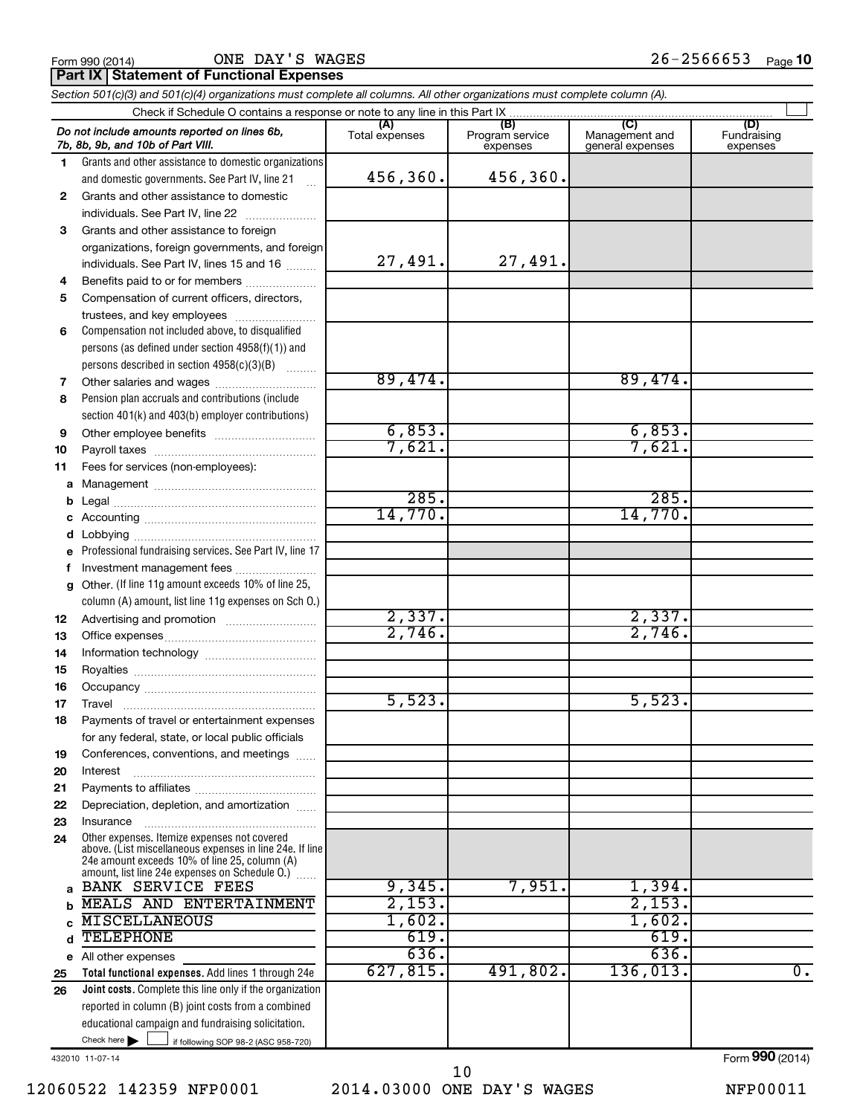**Part IX Statement of Functional Expenses** 

|              | Section 501(c)(3) and 501(c)(4) organizations must complete all columns. All other organizations must complete column (A).                                                                                    |                       |                                    |                                           |                                |
|--------------|---------------------------------------------------------------------------------------------------------------------------------------------------------------------------------------------------------------|-----------------------|------------------------------------|-------------------------------------------|--------------------------------|
|              | Check if Schedule O contains a response or note to any line in this Part IX                                                                                                                                   |                       |                                    |                                           |                                |
|              | Do not include amounts reported on lines 6b,<br>7b, 8b, 9b, and 10b of Part VIII.                                                                                                                             | (A)<br>Total expenses | (B)<br>Program service<br>expenses | (C)<br>Management and<br>general expenses | (D)<br>Fundraising<br>expenses |
| 1.           | Grants and other assistance to domestic organizations                                                                                                                                                         |                       |                                    |                                           |                                |
|              | and domestic governments. See Part IV, line 21                                                                                                                                                                | 456,360.              | 456,360.                           |                                           |                                |
| $\mathbf{2}$ | Grants and other assistance to domestic                                                                                                                                                                       |                       |                                    |                                           |                                |
|              | individuals. See Part IV, line 22                                                                                                                                                                             |                       |                                    |                                           |                                |
| 3            | Grants and other assistance to foreign                                                                                                                                                                        |                       |                                    |                                           |                                |
|              | organizations, foreign governments, and foreign                                                                                                                                                               |                       |                                    |                                           |                                |
|              | individuals. See Part IV, lines 15 and 16                                                                                                                                                                     | 27,491.               | 27,491.                            |                                           |                                |
| 4            | Benefits paid to or for members                                                                                                                                                                               |                       |                                    |                                           |                                |
| 5            | Compensation of current officers, directors,                                                                                                                                                                  |                       |                                    |                                           |                                |
|              | trustees, and key employees                                                                                                                                                                                   |                       |                                    |                                           |                                |
| 6            | Compensation not included above, to disqualified                                                                                                                                                              |                       |                                    |                                           |                                |
|              | persons (as defined under section 4958(f)(1)) and                                                                                                                                                             |                       |                                    |                                           |                                |
|              | persons described in section 4958(c)(3)(B)                                                                                                                                                                    |                       |                                    |                                           |                                |
| 7            | Other salaries and wages                                                                                                                                                                                      | 89,474.               |                                    | 89,474.                                   |                                |
| 8            | Pension plan accruals and contributions (include                                                                                                                                                              |                       |                                    |                                           |                                |
|              | section 401(k) and 403(b) employer contributions)                                                                                                                                                             |                       |                                    |                                           |                                |
| 9            |                                                                                                                                                                                                               | 6,853.<br>7,621.      |                                    | 6,853.<br>7,621.                          |                                |
| 10           |                                                                                                                                                                                                               |                       |                                    |                                           |                                |
| 11           | Fees for services (non-employees):                                                                                                                                                                            |                       |                                    |                                           |                                |
| а            |                                                                                                                                                                                                               | 285.                  |                                    | 285.                                      |                                |
| b            |                                                                                                                                                                                                               | 14,770.               |                                    | 14,770.                                   |                                |
| с            |                                                                                                                                                                                                               |                       |                                    |                                           |                                |
| d            |                                                                                                                                                                                                               |                       |                                    |                                           |                                |
| е            | Professional fundraising services. See Part IV, line 17                                                                                                                                                       |                       |                                    |                                           |                                |
| f            | Investment management fees<br>Other. (If line 11g amount exceeds 10% of line 25,                                                                                                                              |                       |                                    |                                           |                                |
| g            | column (A) amount, list line 11g expenses on Sch O.)                                                                                                                                                          |                       |                                    |                                           |                                |
| 12           |                                                                                                                                                                                                               | 2,337.                |                                    |                                           |                                |
| 13           |                                                                                                                                                                                                               | 2,746.                |                                    | $\frac{2,337}{2,746}$                     |                                |
| 14           |                                                                                                                                                                                                               |                       |                                    |                                           |                                |
| 15           |                                                                                                                                                                                                               |                       |                                    |                                           |                                |
| 16           |                                                                                                                                                                                                               |                       |                                    |                                           |                                |
| 17           |                                                                                                                                                                                                               | 5,523.                |                                    | 5,523.                                    |                                |
| 18           | Payments of travel or entertainment expenses                                                                                                                                                                  |                       |                                    |                                           |                                |
|              | for any federal, state, or local public officials                                                                                                                                                             |                       |                                    |                                           |                                |
| 19           | Conferences, conventions, and meetings                                                                                                                                                                        |                       |                                    |                                           |                                |
| 20           | Interest                                                                                                                                                                                                      |                       |                                    |                                           |                                |
| 21           |                                                                                                                                                                                                               |                       |                                    |                                           |                                |
| 22           | Depreciation, depletion, and amortization                                                                                                                                                                     |                       |                                    |                                           |                                |
| 23           | Insurance                                                                                                                                                                                                     |                       |                                    |                                           |                                |
| 24           | Other expenses. Itemize expenses not covered<br>above. (List miscellaneous expenses in line 24e. If line<br>24e amount exceeds 10% of line 25, column (A)<br>amount, list line 24e expenses on Schedule O.) [ |                       |                                    |                                           |                                |
| a            | <b>BANK SERVICE FEES</b>                                                                                                                                                                                      | 9,345.                | 7,951.                             | 1,394.                                    |                                |
| b            | MEALS AND ENTERTAINMENT                                                                                                                                                                                       | 2,153.                |                                    | 2,153.                                    |                                |
|              | <b>MISCELLANEOUS</b>                                                                                                                                                                                          | 1,602.                |                                    | 1,602.                                    |                                |
| d            | <b>TELEPHONE</b>                                                                                                                                                                                              | 619.                  |                                    | 619.                                      |                                |
|              | e All other expenses                                                                                                                                                                                          | 636.                  |                                    | 636.                                      |                                |
| 25           | Total functional expenses. Add lines 1 through 24e                                                                                                                                                            | 627,815.              | 491,802.                           | 136,013.                                  | $\overline{0}$ .               |
| 26           | <b>Joint costs.</b> Complete this line only if the organization                                                                                                                                               |                       |                                    |                                           |                                |
|              | reported in column (B) joint costs from a combined                                                                                                                                                            |                       |                                    |                                           |                                |
|              | educational campaign and fundraising solicitation.                                                                                                                                                            |                       |                                    |                                           |                                |
|              | Check here $\blacktriangleright$<br>if following SOP 98-2 (ASC 958-720)                                                                                                                                       |                       |                                    |                                           |                                |

432010 11-07-14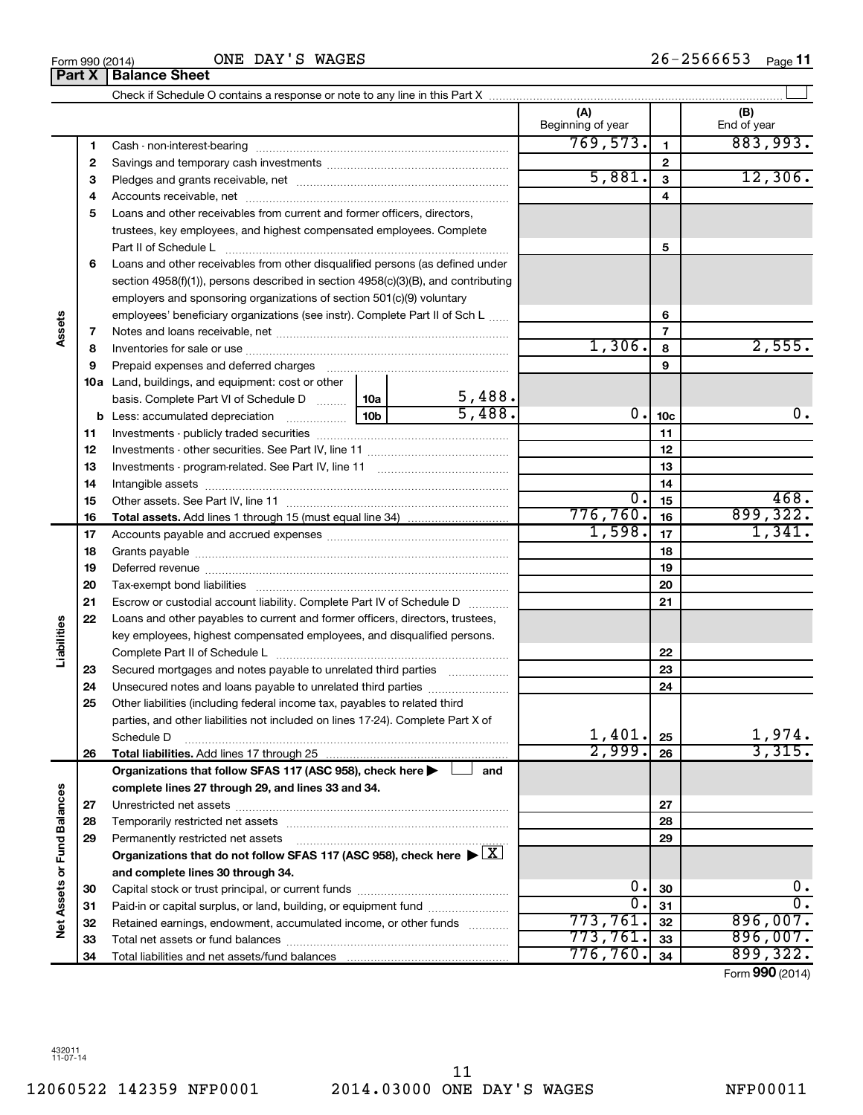432011 11-07-14

11

12060522 142359 NFP0001 2014.03000 ONE DAY'S WAGES NFP00011

**Part X Balance Sheet**

| <b>Dalance Sheet</b>                                                       |                   |             |
|----------------------------------------------------------------------------|-------------------|-------------|
| Check if Schedule O contains a response or note to any line in this Part X |                   |             |
|                                                                            | Beginning of year | End of year |

 $\perp$ 

|                      |          |                                                                                                 |                 |        | (A)<br>Beginning of year |                 | (B)<br>End of year |
|----------------------|----------|-------------------------------------------------------------------------------------------------|-----------------|--------|--------------------------|-----------------|--------------------|
|                      | 1        |                                                                                                 |                 |        | 769, 573.                | 1               | 883,993.           |
|                      | 2        |                                                                                                 |                 |        |                          | $\mathbf{2}$    |                    |
|                      | 3        |                                                                                                 |                 |        | 5,881.                   | 3               | 12,306.            |
|                      | 4        |                                                                                                 |                 |        |                          | 4               |                    |
|                      | 5        | Loans and other receivables from current and former officers, directors,                        |                 |        |                          |                 |                    |
|                      |          | trustees, key employees, and highest compensated employees. Complete                            |                 |        |                          |                 |                    |
|                      |          | Part II of Schedule L                                                                           |                 |        |                          | 5               |                    |
|                      | 6        | Loans and other receivables from other disqualified persons (as defined under                   |                 |        |                          |                 |                    |
|                      |          | section 4958(f)(1)), persons described in section 4958(c)(3)(B), and contributing               |                 |        |                          |                 |                    |
|                      |          | employers and sponsoring organizations of section 501(c)(9) voluntary                           |                 |        |                          |                 |                    |
|                      |          | employees' beneficiary organizations (see instr). Complete Part II of Sch L                     |                 |        |                          | 6               |                    |
| Assets               | 7        |                                                                                                 |                 |        |                          | 7               |                    |
|                      | 8        |                                                                                                 |                 |        | 1,306.                   | 8               | 2,555.             |
|                      | 9        | Prepaid expenses and deferred charges                                                           |                 |        |                          | 9               |                    |
|                      |          | 10a Land, buildings, and equipment: cost or other                                               |                 |        |                          |                 |                    |
|                      |          | basis. Complete Part VI of Schedule D  10a                                                      |                 | 5,488. |                          |                 |                    |
|                      | b        |                                                                                                 | 10 <sub>b</sub> | 5,488. | 0.1                      | 10 <sub>c</sub> | 0.                 |
|                      | 11       |                                                                                                 |                 |        |                          | 11              |                    |
|                      | 12       |                                                                                                 |                 |        |                          | 12              |                    |
|                      | 13       |                                                                                                 |                 |        |                          | 13              |                    |
|                      | 14       |                                                                                                 |                 |        |                          | 14              |                    |
|                      | 15       |                                                                                                 |                 |        | 0.1                      | 15              | 468.               |
|                      | 16       |                                                                                                 |                 |        | 776,760.                 | 16              | 899,322.           |
|                      | 17       |                                                                                                 |                 |        | 1,598.                   | 17              | 1,341.             |
|                      | 18       |                                                                                                 |                 |        |                          | 18              |                    |
|                      | 19       |                                                                                                 |                 |        |                          | 19              |                    |
|                      | 20       |                                                                                                 |                 |        |                          | 20              |                    |
|                      | 21       | Escrow or custodial account liability. Complete Part IV of Schedule D                           |                 |        |                          | 21              |                    |
|                      | 22       | Loans and other payables to current and former officers, directors, trustees,                   |                 |        |                          |                 |                    |
| Liabilities          |          | key employees, highest compensated employees, and disqualified persons.                         |                 |        |                          |                 |                    |
|                      |          |                                                                                                 |                 |        |                          | 22              |                    |
|                      | 23       | Secured mortgages and notes payable to unrelated third parties                                  |                 |        |                          | 23              |                    |
|                      | 24       | Unsecured notes and loans payable to unrelated third parties                                    |                 |        |                          | 24              |                    |
|                      | 25       | Other liabilities (including federal income tax, payables to related third                      |                 |        |                          |                 |                    |
|                      |          | parties, and other liabilities not included on lines 17-24). Complete Part X of                 |                 |        |                          |                 |                    |
|                      |          | Schedule D                                                                                      |                 |        | 1,401.]<br>2,999.        | 25              | 1,974.<br>3,315.   |
|                      | 26       | Total liabilities. Add lines 17 through 25                                                      |                 |        |                          | 26              |                    |
|                      |          | Organizations that follow SFAS 117 (ASC 958), check here >                                      |                 | and    |                          |                 |                    |
|                      |          | complete lines 27 through 29, and lines 33 and 34.                                              |                 |        |                          |                 |                    |
|                      | 27       |                                                                                                 |                 |        |                          | 27<br>28        |                    |
| <b>Fund Balances</b> | 28<br>29 | Permanently restricted net assets                                                               |                 |        |                          | 29              |                    |
|                      |          | Organizations that do not follow SFAS 117 (ASC 958), check here $\blacktriangleright \boxed{X}$ |                 |        |                          |                 |                    |
|                      |          | and complete lines 30 through 34.                                                               |                 |        |                          |                 |                    |
|                      | 30       |                                                                                                 |                 |        | 0.                       | 30              | $0 \cdot$          |
|                      | 31       | Paid-in or capital surplus, or land, building, or equipment fund                                |                 |        | $\mathbf 0$ .            | 31              | σ.                 |
| Net Assets or        | 32       | Retained earnings, endowment, accumulated income, or other funds                                |                 |        | 773,761 <b>.</b>         | 32              | 896,007.           |
|                      | 33       |                                                                                                 |                 |        | 773,761.                 | 33              | 896,007.           |
|                      | 34       |                                                                                                 |                 |        | 776,760.                 | 34              | 899, 322.          |
|                      |          |                                                                                                 |                 |        |                          |                 | Form 990 (2014)    |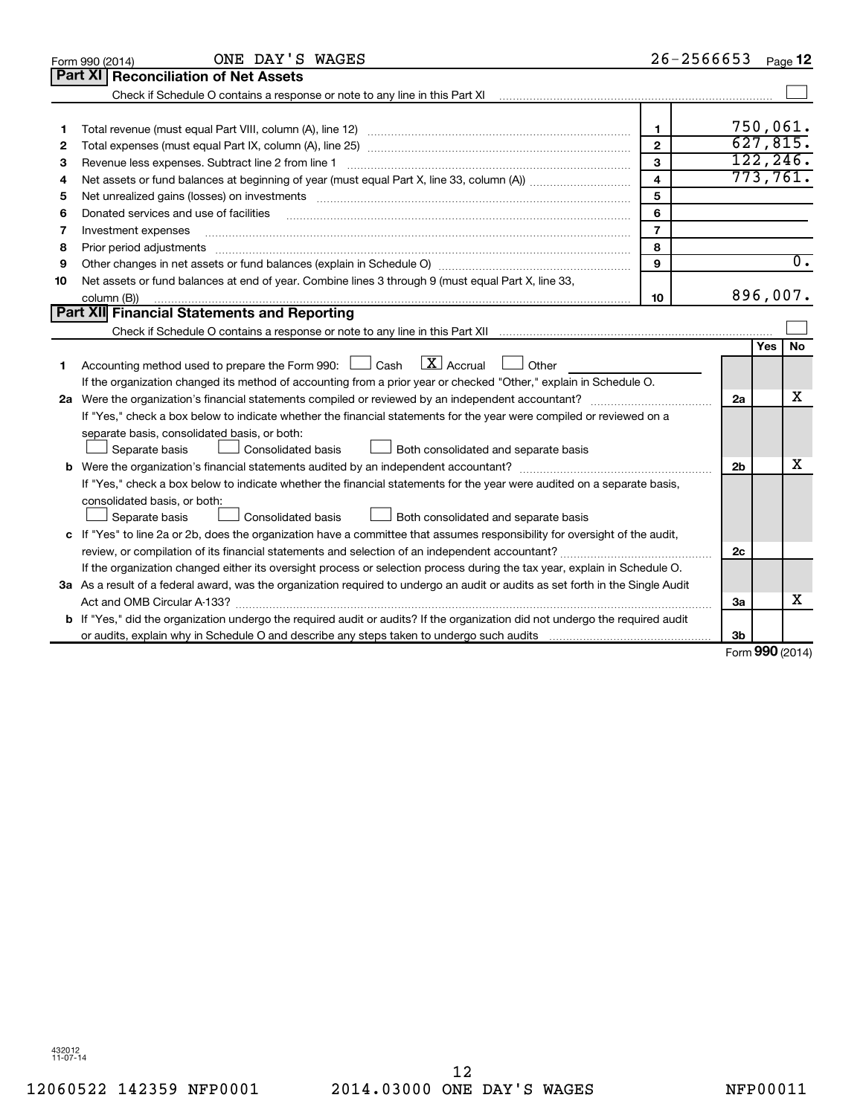|    | ONE DAY'S WAGES<br>Form 990 (2014)                                                                                                                                                                                             | 26-2566653              |    |                   | Page 12          |
|----|--------------------------------------------------------------------------------------------------------------------------------------------------------------------------------------------------------------------------------|-------------------------|----|-------------------|------------------|
|    | Part XI<br><b>Reconciliation of Net Assets</b>                                                                                                                                                                                 |                         |    |                   |                  |
|    | Check if Schedule O contains a response or note to any line in this Part XI [11] [12] Check if Schedule O contains a response or note to any line in this Part XI                                                              |                         |    |                   |                  |
|    |                                                                                                                                                                                                                                |                         |    |                   |                  |
| 1  |                                                                                                                                                                                                                                | 1                       |    |                   | 750,061.         |
| 2  |                                                                                                                                                                                                                                | $\mathbf{2}$            |    |                   | 627,815.         |
| з  | Revenue less expenses. Subtract line 2 from line 1                                                                                                                                                                             | $\mathbf{3}$            |    |                   | 122, 246.        |
| 4  |                                                                                                                                                                                                                                | $\overline{\mathbf{4}}$ |    |                   | 773,761.         |
| 5  | Net unrealized gains (losses) on investments [11] matter than the control of the state of the state of the state of the state of the state of the state of the state of the state of the state of the state of the state of th | 5                       |    |                   |                  |
| 6  | Donated services and use of facilities                                                                                                                                                                                         | 6                       |    |                   |                  |
| 7  | Investment expenses                                                                                                                                                                                                            | $\overline{7}$          |    |                   |                  |
| 8  |                                                                                                                                                                                                                                | 8                       |    |                   |                  |
| 9  |                                                                                                                                                                                                                                | 9                       |    |                   | $\overline{0}$ . |
| 10 | Net assets or fund balances at end of year. Combine lines 3 through 9 (must equal Part X, line 33,                                                                                                                             |                         |    |                   |                  |
|    | column (B))                                                                                                                                                                                                                    | 10                      |    |                   | 896,007.         |
|    | Part XII Financial Statements and Reporting                                                                                                                                                                                    |                         |    |                   |                  |
|    |                                                                                                                                                                                                                                |                         |    |                   |                  |
|    |                                                                                                                                                                                                                                |                         |    | Yes               | <b>No</b>        |
| 1  | $\lfloor x \rfloor$ Accrual<br>Accounting method used to prepare the Form 990: [130] Cash<br>Other                                                                                                                             |                         |    |                   |                  |
|    | If the organization changed its method of accounting from a prior year or checked "Other," explain in Schedule O.                                                                                                              |                         |    |                   |                  |
|    |                                                                                                                                                                                                                                |                         | 2a |                   | x                |
|    | If "Yes," check a box below to indicate whether the financial statements for the year were compiled or reviewed on a                                                                                                           |                         |    |                   |                  |
|    | separate basis, consolidated basis, or both:                                                                                                                                                                                   |                         |    |                   |                  |
|    | Both consolidated and separate basis<br>Separate basis<br>Consolidated basis                                                                                                                                                   |                         |    |                   |                  |
|    | <b>b</b> Were the organization's financial statements audited by an independent accountant?                                                                                                                                    |                         | 2b |                   | x                |
|    | If "Yes," check a box below to indicate whether the financial statements for the year were audited on a separate basis,                                                                                                        |                         |    |                   |                  |
|    | consolidated basis, or both:                                                                                                                                                                                                   |                         |    |                   |                  |
|    | Consolidated basis<br>Separate basis<br>Both consolidated and separate basis                                                                                                                                                   |                         |    |                   |                  |
|    | c If "Yes" to line 2a or 2b, does the organization have a committee that assumes responsibility for oversight of the audit,                                                                                                    |                         |    |                   |                  |
|    |                                                                                                                                                                                                                                |                         | 2c |                   |                  |
|    | If the organization changed either its oversight process or selection process during the tax year, explain in Schedule O.                                                                                                      |                         |    |                   |                  |
|    | 3a As a result of a federal award, was the organization required to undergo an audit or audits as set forth in the Single Audit                                                                                                |                         |    |                   |                  |
|    |                                                                                                                                                                                                                                |                         | За |                   | x                |
|    | <b>b</b> If "Yes," did the organization undergo the required audit or audits? If the organization did not undergo the required audit                                                                                           |                         |    |                   |                  |
|    |                                                                                                                                                                                                                                |                         | Зb |                   |                  |
|    |                                                                                                                                                                                                                                |                         |    | $000 \, \text{m}$ |                  |

Form (2014) **990**

432012 11-07-14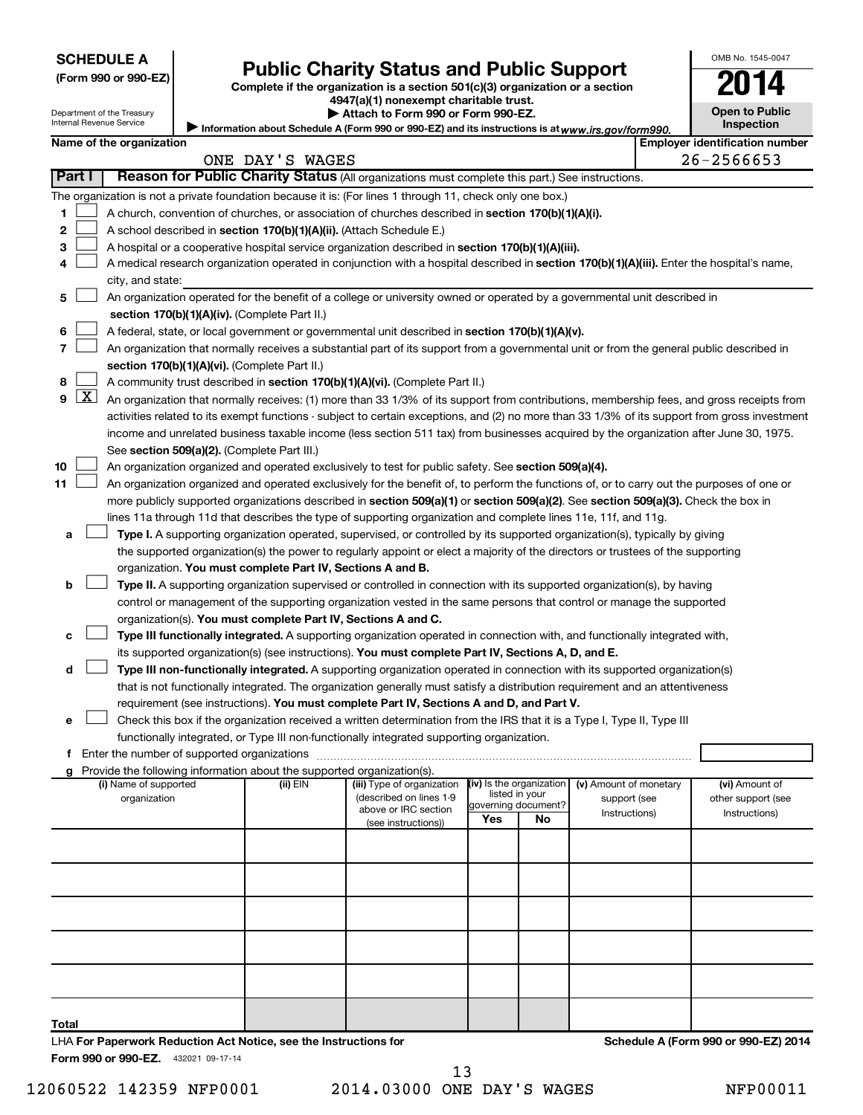| <b>SCHEDULE A</b> |  |
|-------------------|--|
|-------------------|--|

|  |  |  | (Form 990 or 990-EZ) |
|--|--|--|----------------------|
|--|--|--|----------------------|

# **Public Charity Status and Public Support**<br> **2014**

(Form 990) **Complete if the organization is a section 501(c)(3) organization or a section** 

OMB No. 1545-0047

**10 11**

**d**

**e**

|               |                                                                                                                                               | 4947(a)(1) nonexempt charitable trust.                                                                                                     |                                     |                |  |  |  |
|---------------|-----------------------------------------------------------------------------------------------------------------------------------------------|--------------------------------------------------------------------------------------------------------------------------------------------|-------------------------------------|----------------|--|--|--|
|               | Department of the Treasury<br>Internal Revenue Service                                                                                        | Attach to Form 990 or Form 990-EZ.<br>Information about Schedule A (Form 990 or 990-EZ) and its instructions is at www.irs.gov/form990.    | <b>Open to Public</b><br>Inspection |                |  |  |  |
|               | Name of the organization<br><b>Employer identification number</b>                                                                             |                                                                                                                                            |                                     |                |  |  |  |
|               |                                                                                                                                               | ONE DAY'S WAGES                                                                                                                            |                                     | $26 - 2566653$ |  |  |  |
| Part I        |                                                                                                                                               | Reason for Public Charity Status (All organizations must complete this part.) See instructions.                                            |                                     |                |  |  |  |
|               |                                                                                                                                               | The organization is not a private foundation because it is: (For lines 1 through 11, check only one box.)                                  |                                     |                |  |  |  |
|               |                                                                                                                                               | A church, convention of churches, or association of churches described in section 170(b)(1)(A)(i).                                         |                                     |                |  |  |  |
| 2             |                                                                                                                                               | A school described in section 170(b)(1)(A)(ii). (Attach Schedule E.)                                                                       |                                     |                |  |  |  |
| з             |                                                                                                                                               | A hospital or a cooperative hospital service organization described in section 170(b)(1)(A)(iii).                                          |                                     |                |  |  |  |
|               |                                                                                                                                               | A medical research organization operated in conjunction with a hospital described in section 170(b)(1)(A)(iii). Enter the hospital's name, |                                     |                |  |  |  |
|               | city, and state:                                                                                                                              |                                                                                                                                            |                                     |                |  |  |  |
| 5             |                                                                                                                                               | An organization operated for the benefit of a college or university owned or operated by a governmental unit described in                  |                                     |                |  |  |  |
|               |                                                                                                                                               | section 170(b)(1)(A)(iv). (Complete Part II.)                                                                                              |                                     |                |  |  |  |
| 6             |                                                                                                                                               | A federal, state, or local government or governmental unit described in section 170(b)(1)(A)(v).                                           |                                     |                |  |  |  |
|               |                                                                                                                                               | An organization that normally receives a substantial part of its support from a governmental unit or from the general public described in  |                                     |                |  |  |  |
|               |                                                                                                                                               | section 170(b)(1)(A)(vi). (Complete Part II.)                                                                                              |                                     |                |  |  |  |
| 8             |                                                                                                                                               | A community trust described in section 170(b)(1)(A)(vi). (Complete Part II.)                                                               |                                     |                |  |  |  |
| <u>x</u><br>9 |                                                                                                                                               | An organization that normally receives: (1) more than 33 1/3% of its support from contributions, membership fees, and gross receipts from  |                                     |                |  |  |  |
|               | activities related to its exempt functions - subject to certain exceptions, and (2) no more than 33 1/3% of its support from gross investment |                                                                                                                                            |                                     |                |  |  |  |
|               | income and unrelated business taxable income (less section 511 tax) from businesses acquired by the organization after June 30, 1975.         |                                                                                                                                            |                                     |                |  |  |  |
|               |                                                                                                                                               | See section 509(a)(2). (Complete Part III.)                                                                                                |                                     |                |  |  |  |
| 10            |                                                                                                                                               | An organization organized and operated exclusively to test for public safety. See section 509(a)(4).                                       |                                     |                |  |  |  |
| 11            |                                                                                                                                               | Ap erganization erganized and energted evolusively for the benefit of to perform the functions of let to samy out the purposes of one or   |                                     |                |  |  |  |

|  | $\perp$ An organization organized and operated exclusively for the benefit of, to perform the functions of, or to carry out the purposes of one or |
|--|----------------------------------------------------------------------------------------------------------------------------------------------------|
|  | more publicly supported organizations described in section 509(a)(1) or section 509(a)(2). See section 509(a)(3), Check the box in                 |
|  | lines 11a through 11d that describes the type of supporting organization and complete lines 11e, 11f, and 11g.                                     |

|  | a □ Type I. A supporting organization operated, supervised, or controlled by its supported organization(s), typically by giving |
|--|---------------------------------------------------------------------------------------------------------------------------------|
|  | the supported organization(s) the power to regularly appoint or elect a majority of the directors or trustees of the supporting |
|  | organization. You must complete Part IV, Sections A and B.                                                                      |

**b Type II.** A supporting organization supervised or controlled in connection with its supported organization(s), by having organization(s). You must complete Part IV, Sections A and C. control or management of the supporting organization vested in the same persons that control or manage the supported

|  | $c$ $\Box$ Type III functionally integrated. A supporting organization operated in connection with, and functionally integrated with, |
|--|---------------------------------------------------------------------------------------------------------------------------------------|
|  | its supported organization(s) (see instructions). You must complete Part IV, Sections A, D, and E.                                    |

|  | <b>Type III non-functionally integrated.</b> A supporting organization operated in connection with its supported organization(s) |
|--|----------------------------------------------------------------------------------------------------------------------------------|
|  | that is not functionally integrated. The organization generally must satisfy a distribution requirement and an attentiveness     |
|  | requirement (see instructions). You must complete Part IV, Sections A and D, and Part V.                                         |

Check this box if the organization received a written determination from the IRS that it is a Type I, Type II, Type III † functionally integrated, or Type III non-functionally integrated supporting organization.

| f Enter the number of supported organizations |  |
|-----------------------------------------------|--|
|                                               |  |

| g Provide the following information about the supported organization(s). |  |  |  |
|--------------------------------------------------------------------------|--|--|--|
|                                                                          |  |  |  |

| $\mathbf{s}$ . To ride the following implifiation about the supported organization (9).<br>(i) Name of supported | (ii) EIN | (iii) Type of organization | (iv) Is the organization |    | (v) Amount of monetary | (vi) Amount of     |
|------------------------------------------------------------------------------------------------------------------|----------|----------------------------|--------------------------|----|------------------------|--------------------|
|                                                                                                                  |          | (described on lines 1-9    | listed in your           |    |                        | other support (see |
| organization                                                                                                     |          | above or IRC section       | governing document?      |    | support (see           |                    |
|                                                                                                                  |          |                            | Yes                      | No | Instructions)          | Instructions)      |
|                                                                                                                  |          | (see instructions))        |                          |    |                        |                    |
|                                                                                                                  |          |                            |                          |    |                        |                    |
|                                                                                                                  |          |                            |                          |    |                        |                    |
|                                                                                                                  |          |                            |                          |    |                        |                    |
|                                                                                                                  |          |                            |                          |    |                        |                    |
|                                                                                                                  |          |                            |                          |    |                        |                    |
|                                                                                                                  |          |                            |                          |    |                        |                    |
|                                                                                                                  |          |                            |                          |    |                        |                    |
|                                                                                                                  |          |                            |                          |    |                        |                    |
|                                                                                                                  |          |                            |                          |    |                        |                    |
|                                                                                                                  |          |                            |                          |    |                        |                    |
|                                                                                                                  |          |                            |                          |    |                        |                    |
|                                                                                                                  |          |                            |                          |    |                        |                    |
|                                                                                                                  |          |                            |                          |    |                        |                    |
|                                                                                                                  |          |                            |                          |    |                        |                    |
|                                                                                                                  |          |                            |                          |    |                        |                    |
| Total                                                                                                            |          |                            |                          |    |                        |                    |

432021 09-17-14 **Form 990 or 990-EZ.** LHA **For Paperwork Reduction Act Notice, see the Instructions for**  **Schedule A (Form 990 or 990-EZ) 2014**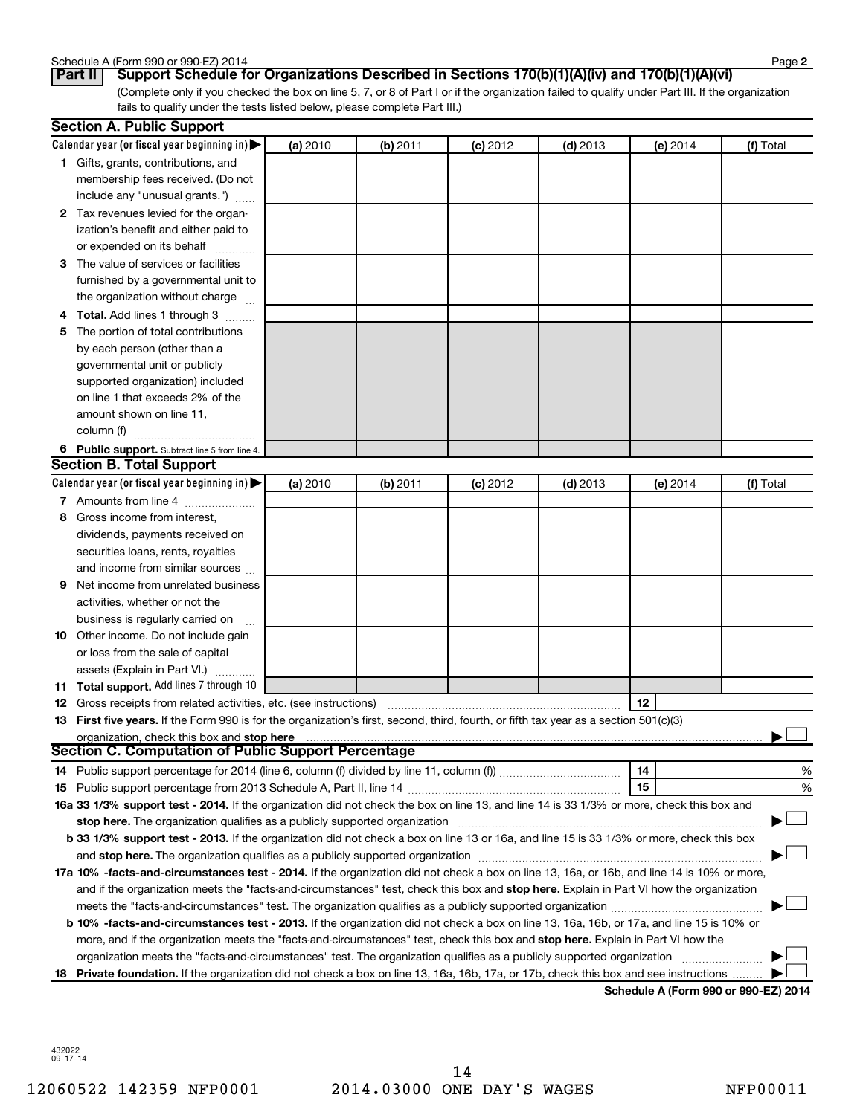| Schedule A (Form 990 or 990-EZ) 2014 | Page |
|--------------------------------------|------|
|--------------------------------------|------|

**2**

(Complete only if you checked the box on line 5, 7, or 8 of Part I or if the organization failed to qualify under Part III. If the organization fails to qualify under the tests listed below, please complete Part III.) **Part II Support Schedule for Organizations Described in Sections 170(b)(1)(A)(iv) and 170(b)(1)(A)(vi)**

| Calendar year (or fiscal year beginning in) $\blacktriangleright$<br>(a) 2010<br>(b) 2011<br>$(c)$ 2012<br>$(d)$ 2013<br>(e) 2014<br>(f) Total<br>1 Gifts, grants, contributions, and<br>membership fees received. (Do not<br>include any "unusual grants.")<br>2 Tax revenues levied for the organ-<br>ization's benefit and either paid to<br>or expended on its behalf<br>3 The value of services or facilities<br>furnished by a governmental unit to<br>the organization without charge<br>4 Total. Add lines 1 through 3<br>5 The portion of total contributions<br>by each person (other than a<br>governmental unit or publicly<br>supported organization) included<br>on line 1 that exceeds 2% of the<br>amount shown on line 11,<br>column (f)<br>6 Public support. Subtract line 5 from line 4.<br><b>Section B. Total Support</b><br>Calendar year (or fiscal year beginning in)<br>(a) 2010<br>(b) 2011<br>$(c)$ 2012<br>$(d)$ 2013<br>(f) Total<br>(e) 2014<br>7 Amounts from line 4<br>Gross income from interest,<br>8<br>dividends, payments received on<br>securities loans, rents, royalties<br>and income from similar sources<br>Net income from unrelated business<br>9.<br>activities, whether or not the<br>business is regularly carried on<br>10 Other income. Do not include gain<br>or loss from the sale of capital<br>assets (Explain in Part VI.)<br>11 Total support. Add lines 7 through 10<br>12<br><b>12</b> Gross receipts from related activities, etc. (see instructions)<br>13 First five years. If the Form 990 is for the organization's first, second, third, fourth, or fifth tax year as a section 501(c)(3)<br>organization, check this box and stop here<br>Section C. Computation of Public Support Percentage<br>14<br>%<br>15<br>%<br>16a 33 1/3% support test - 2014. If the organization did not check the box on line 13, and line 14 is 33 1/3% or more, check this box and<br>stop here. The organization qualifies as a publicly supported organization<br>b 33 1/3% support test - 2013. If the organization did not check a box on line 13 or 16a, and line 15 is 33 1/3% or more, check this box<br>and stop here. The organization qualifies as a publicly supported organization [11,111] and stop here. The organization [11] and stop here. The organization [11] and stop here. The organization [11] and stop here is a publ<br>17a 10% -facts-and-circumstances test - 2014. If the organization did not check a box on line 13, 16a, or 16b, and line 14 is 10% or more,<br>and if the organization meets the "facts-and-circumstances" test, check this box and stop here. Explain in Part VI how the organization<br><b>b 10%</b> -facts-and-circumstances test - 2013. If the organization did not check a box on line 13, 16a, 16b, or 17a, and line 15 is 10% or<br>more, and if the organization meets the "facts-and-circumstances" test, check this box and stop here. Explain in Part VI how the | <b>Section A. Public Support</b> |  |  |  |
|------------------------------------------------------------------------------------------------------------------------------------------------------------------------------------------------------------------------------------------------------------------------------------------------------------------------------------------------------------------------------------------------------------------------------------------------------------------------------------------------------------------------------------------------------------------------------------------------------------------------------------------------------------------------------------------------------------------------------------------------------------------------------------------------------------------------------------------------------------------------------------------------------------------------------------------------------------------------------------------------------------------------------------------------------------------------------------------------------------------------------------------------------------------------------------------------------------------------------------------------------------------------------------------------------------------------------------------------------------------------------------------------------------------------------------------------------------------------------------------------------------------------------------------------------------------------------------------------------------------------------------------------------------------------------------------------------------------------------------------------------------------------------------------------------------------------------------------------------------------------------------------------------------------------------------------------------------------------------------------------------------------------------------------------------------------------------------------------------------------------------------------------------------------------------------------------------------------------------------------------------------------------------------------------------------------------------------------------------------------------------------------------------------------------------------------------------------------------------------------------------------------------------------------------------------------------------------------------------------------------------------------------------------------------------------------------------------------------------------------------------------------------------------------------------------------------------------------------------------------------------------------------------------------------------------------------------------------------------|----------------------------------|--|--|--|
|                                                                                                                                                                                                                                                                                                                                                                                                                                                                                                                                                                                                                                                                                                                                                                                                                                                                                                                                                                                                                                                                                                                                                                                                                                                                                                                                                                                                                                                                                                                                                                                                                                                                                                                                                                                                                                                                                                                                                                                                                                                                                                                                                                                                                                                                                                                                                                                                                                                                                                                                                                                                                                                                                                                                                                                                                                                                                                                                                                              |                                  |  |  |  |
|                                                                                                                                                                                                                                                                                                                                                                                                                                                                                                                                                                                                                                                                                                                                                                                                                                                                                                                                                                                                                                                                                                                                                                                                                                                                                                                                                                                                                                                                                                                                                                                                                                                                                                                                                                                                                                                                                                                                                                                                                                                                                                                                                                                                                                                                                                                                                                                                                                                                                                                                                                                                                                                                                                                                                                                                                                                                                                                                                                              |                                  |  |  |  |
|                                                                                                                                                                                                                                                                                                                                                                                                                                                                                                                                                                                                                                                                                                                                                                                                                                                                                                                                                                                                                                                                                                                                                                                                                                                                                                                                                                                                                                                                                                                                                                                                                                                                                                                                                                                                                                                                                                                                                                                                                                                                                                                                                                                                                                                                                                                                                                                                                                                                                                                                                                                                                                                                                                                                                                                                                                                                                                                                                                              |                                  |  |  |  |
|                                                                                                                                                                                                                                                                                                                                                                                                                                                                                                                                                                                                                                                                                                                                                                                                                                                                                                                                                                                                                                                                                                                                                                                                                                                                                                                                                                                                                                                                                                                                                                                                                                                                                                                                                                                                                                                                                                                                                                                                                                                                                                                                                                                                                                                                                                                                                                                                                                                                                                                                                                                                                                                                                                                                                                                                                                                                                                                                                                              |                                  |  |  |  |
|                                                                                                                                                                                                                                                                                                                                                                                                                                                                                                                                                                                                                                                                                                                                                                                                                                                                                                                                                                                                                                                                                                                                                                                                                                                                                                                                                                                                                                                                                                                                                                                                                                                                                                                                                                                                                                                                                                                                                                                                                                                                                                                                                                                                                                                                                                                                                                                                                                                                                                                                                                                                                                                                                                                                                                                                                                                                                                                                                                              |                                  |  |  |  |
|                                                                                                                                                                                                                                                                                                                                                                                                                                                                                                                                                                                                                                                                                                                                                                                                                                                                                                                                                                                                                                                                                                                                                                                                                                                                                                                                                                                                                                                                                                                                                                                                                                                                                                                                                                                                                                                                                                                                                                                                                                                                                                                                                                                                                                                                                                                                                                                                                                                                                                                                                                                                                                                                                                                                                                                                                                                                                                                                                                              |                                  |  |  |  |
|                                                                                                                                                                                                                                                                                                                                                                                                                                                                                                                                                                                                                                                                                                                                                                                                                                                                                                                                                                                                                                                                                                                                                                                                                                                                                                                                                                                                                                                                                                                                                                                                                                                                                                                                                                                                                                                                                                                                                                                                                                                                                                                                                                                                                                                                                                                                                                                                                                                                                                                                                                                                                                                                                                                                                                                                                                                                                                                                                                              |                                  |  |  |  |
|                                                                                                                                                                                                                                                                                                                                                                                                                                                                                                                                                                                                                                                                                                                                                                                                                                                                                                                                                                                                                                                                                                                                                                                                                                                                                                                                                                                                                                                                                                                                                                                                                                                                                                                                                                                                                                                                                                                                                                                                                                                                                                                                                                                                                                                                                                                                                                                                                                                                                                                                                                                                                                                                                                                                                                                                                                                                                                                                                                              |                                  |  |  |  |
|                                                                                                                                                                                                                                                                                                                                                                                                                                                                                                                                                                                                                                                                                                                                                                                                                                                                                                                                                                                                                                                                                                                                                                                                                                                                                                                                                                                                                                                                                                                                                                                                                                                                                                                                                                                                                                                                                                                                                                                                                                                                                                                                                                                                                                                                                                                                                                                                                                                                                                                                                                                                                                                                                                                                                                                                                                                                                                                                                                              |                                  |  |  |  |
|                                                                                                                                                                                                                                                                                                                                                                                                                                                                                                                                                                                                                                                                                                                                                                                                                                                                                                                                                                                                                                                                                                                                                                                                                                                                                                                                                                                                                                                                                                                                                                                                                                                                                                                                                                                                                                                                                                                                                                                                                                                                                                                                                                                                                                                                                                                                                                                                                                                                                                                                                                                                                                                                                                                                                                                                                                                                                                                                                                              |                                  |  |  |  |
|                                                                                                                                                                                                                                                                                                                                                                                                                                                                                                                                                                                                                                                                                                                                                                                                                                                                                                                                                                                                                                                                                                                                                                                                                                                                                                                                                                                                                                                                                                                                                                                                                                                                                                                                                                                                                                                                                                                                                                                                                                                                                                                                                                                                                                                                                                                                                                                                                                                                                                                                                                                                                                                                                                                                                                                                                                                                                                                                                                              |                                  |  |  |  |
|                                                                                                                                                                                                                                                                                                                                                                                                                                                                                                                                                                                                                                                                                                                                                                                                                                                                                                                                                                                                                                                                                                                                                                                                                                                                                                                                                                                                                                                                                                                                                                                                                                                                                                                                                                                                                                                                                                                                                                                                                                                                                                                                                                                                                                                                                                                                                                                                                                                                                                                                                                                                                                                                                                                                                                                                                                                                                                                                                                              |                                  |  |  |  |
|                                                                                                                                                                                                                                                                                                                                                                                                                                                                                                                                                                                                                                                                                                                                                                                                                                                                                                                                                                                                                                                                                                                                                                                                                                                                                                                                                                                                                                                                                                                                                                                                                                                                                                                                                                                                                                                                                                                                                                                                                                                                                                                                                                                                                                                                                                                                                                                                                                                                                                                                                                                                                                                                                                                                                                                                                                                                                                                                                                              |                                  |  |  |  |
|                                                                                                                                                                                                                                                                                                                                                                                                                                                                                                                                                                                                                                                                                                                                                                                                                                                                                                                                                                                                                                                                                                                                                                                                                                                                                                                                                                                                                                                                                                                                                                                                                                                                                                                                                                                                                                                                                                                                                                                                                                                                                                                                                                                                                                                                                                                                                                                                                                                                                                                                                                                                                                                                                                                                                                                                                                                                                                                                                                              |                                  |  |  |  |
|                                                                                                                                                                                                                                                                                                                                                                                                                                                                                                                                                                                                                                                                                                                                                                                                                                                                                                                                                                                                                                                                                                                                                                                                                                                                                                                                                                                                                                                                                                                                                                                                                                                                                                                                                                                                                                                                                                                                                                                                                                                                                                                                                                                                                                                                                                                                                                                                                                                                                                                                                                                                                                                                                                                                                                                                                                                                                                                                                                              |                                  |  |  |  |
|                                                                                                                                                                                                                                                                                                                                                                                                                                                                                                                                                                                                                                                                                                                                                                                                                                                                                                                                                                                                                                                                                                                                                                                                                                                                                                                                                                                                                                                                                                                                                                                                                                                                                                                                                                                                                                                                                                                                                                                                                                                                                                                                                                                                                                                                                                                                                                                                                                                                                                                                                                                                                                                                                                                                                                                                                                                                                                                                                                              |                                  |  |  |  |
|                                                                                                                                                                                                                                                                                                                                                                                                                                                                                                                                                                                                                                                                                                                                                                                                                                                                                                                                                                                                                                                                                                                                                                                                                                                                                                                                                                                                                                                                                                                                                                                                                                                                                                                                                                                                                                                                                                                                                                                                                                                                                                                                                                                                                                                                                                                                                                                                                                                                                                                                                                                                                                                                                                                                                                                                                                                                                                                                                                              |                                  |  |  |  |
|                                                                                                                                                                                                                                                                                                                                                                                                                                                                                                                                                                                                                                                                                                                                                                                                                                                                                                                                                                                                                                                                                                                                                                                                                                                                                                                                                                                                                                                                                                                                                                                                                                                                                                                                                                                                                                                                                                                                                                                                                                                                                                                                                                                                                                                                                                                                                                                                                                                                                                                                                                                                                                                                                                                                                                                                                                                                                                                                                                              |                                  |  |  |  |
|                                                                                                                                                                                                                                                                                                                                                                                                                                                                                                                                                                                                                                                                                                                                                                                                                                                                                                                                                                                                                                                                                                                                                                                                                                                                                                                                                                                                                                                                                                                                                                                                                                                                                                                                                                                                                                                                                                                                                                                                                                                                                                                                                                                                                                                                                                                                                                                                                                                                                                                                                                                                                                                                                                                                                                                                                                                                                                                                                                              |                                  |  |  |  |
|                                                                                                                                                                                                                                                                                                                                                                                                                                                                                                                                                                                                                                                                                                                                                                                                                                                                                                                                                                                                                                                                                                                                                                                                                                                                                                                                                                                                                                                                                                                                                                                                                                                                                                                                                                                                                                                                                                                                                                                                                                                                                                                                                                                                                                                                                                                                                                                                                                                                                                                                                                                                                                                                                                                                                                                                                                                                                                                                                                              |                                  |  |  |  |
|                                                                                                                                                                                                                                                                                                                                                                                                                                                                                                                                                                                                                                                                                                                                                                                                                                                                                                                                                                                                                                                                                                                                                                                                                                                                                                                                                                                                                                                                                                                                                                                                                                                                                                                                                                                                                                                                                                                                                                                                                                                                                                                                                                                                                                                                                                                                                                                                                                                                                                                                                                                                                                                                                                                                                                                                                                                                                                                                                                              |                                  |  |  |  |
|                                                                                                                                                                                                                                                                                                                                                                                                                                                                                                                                                                                                                                                                                                                                                                                                                                                                                                                                                                                                                                                                                                                                                                                                                                                                                                                                                                                                                                                                                                                                                                                                                                                                                                                                                                                                                                                                                                                                                                                                                                                                                                                                                                                                                                                                                                                                                                                                                                                                                                                                                                                                                                                                                                                                                                                                                                                                                                                                                                              |                                  |  |  |  |
|                                                                                                                                                                                                                                                                                                                                                                                                                                                                                                                                                                                                                                                                                                                                                                                                                                                                                                                                                                                                                                                                                                                                                                                                                                                                                                                                                                                                                                                                                                                                                                                                                                                                                                                                                                                                                                                                                                                                                                                                                                                                                                                                                                                                                                                                                                                                                                                                                                                                                                                                                                                                                                                                                                                                                                                                                                                                                                                                                                              |                                  |  |  |  |
|                                                                                                                                                                                                                                                                                                                                                                                                                                                                                                                                                                                                                                                                                                                                                                                                                                                                                                                                                                                                                                                                                                                                                                                                                                                                                                                                                                                                                                                                                                                                                                                                                                                                                                                                                                                                                                                                                                                                                                                                                                                                                                                                                                                                                                                                                                                                                                                                                                                                                                                                                                                                                                                                                                                                                                                                                                                                                                                                                                              |                                  |  |  |  |
|                                                                                                                                                                                                                                                                                                                                                                                                                                                                                                                                                                                                                                                                                                                                                                                                                                                                                                                                                                                                                                                                                                                                                                                                                                                                                                                                                                                                                                                                                                                                                                                                                                                                                                                                                                                                                                                                                                                                                                                                                                                                                                                                                                                                                                                                                                                                                                                                                                                                                                                                                                                                                                                                                                                                                                                                                                                                                                                                                                              |                                  |  |  |  |
|                                                                                                                                                                                                                                                                                                                                                                                                                                                                                                                                                                                                                                                                                                                                                                                                                                                                                                                                                                                                                                                                                                                                                                                                                                                                                                                                                                                                                                                                                                                                                                                                                                                                                                                                                                                                                                                                                                                                                                                                                                                                                                                                                                                                                                                                                                                                                                                                                                                                                                                                                                                                                                                                                                                                                                                                                                                                                                                                                                              |                                  |  |  |  |
|                                                                                                                                                                                                                                                                                                                                                                                                                                                                                                                                                                                                                                                                                                                                                                                                                                                                                                                                                                                                                                                                                                                                                                                                                                                                                                                                                                                                                                                                                                                                                                                                                                                                                                                                                                                                                                                                                                                                                                                                                                                                                                                                                                                                                                                                                                                                                                                                                                                                                                                                                                                                                                                                                                                                                                                                                                                                                                                                                                              |                                  |  |  |  |
|                                                                                                                                                                                                                                                                                                                                                                                                                                                                                                                                                                                                                                                                                                                                                                                                                                                                                                                                                                                                                                                                                                                                                                                                                                                                                                                                                                                                                                                                                                                                                                                                                                                                                                                                                                                                                                                                                                                                                                                                                                                                                                                                                                                                                                                                                                                                                                                                                                                                                                                                                                                                                                                                                                                                                                                                                                                                                                                                                                              |                                  |  |  |  |
|                                                                                                                                                                                                                                                                                                                                                                                                                                                                                                                                                                                                                                                                                                                                                                                                                                                                                                                                                                                                                                                                                                                                                                                                                                                                                                                                                                                                                                                                                                                                                                                                                                                                                                                                                                                                                                                                                                                                                                                                                                                                                                                                                                                                                                                                                                                                                                                                                                                                                                                                                                                                                                                                                                                                                                                                                                                                                                                                                                              |                                  |  |  |  |
|                                                                                                                                                                                                                                                                                                                                                                                                                                                                                                                                                                                                                                                                                                                                                                                                                                                                                                                                                                                                                                                                                                                                                                                                                                                                                                                                                                                                                                                                                                                                                                                                                                                                                                                                                                                                                                                                                                                                                                                                                                                                                                                                                                                                                                                                                                                                                                                                                                                                                                                                                                                                                                                                                                                                                                                                                                                                                                                                                                              |                                  |  |  |  |
|                                                                                                                                                                                                                                                                                                                                                                                                                                                                                                                                                                                                                                                                                                                                                                                                                                                                                                                                                                                                                                                                                                                                                                                                                                                                                                                                                                                                                                                                                                                                                                                                                                                                                                                                                                                                                                                                                                                                                                                                                                                                                                                                                                                                                                                                                                                                                                                                                                                                                                                                                                                                                                                                                                                                                                                                                                                                                                                                                                              |                                  |  |  |  |
|                                                                                                                                                                                                                                                                                                                                                                                                                                                                                                                                                                                                                                                                                                                                                                                                                                                                                                                                                                                                                                                                                                                                                                                                                                                                                                                                                                                                                                                                                                                                                                                                                                                                                                                                                                                                                                                                                                                                                                                                                                                                                                                                                                                                                                                                                                                                                                                                                                                                                                                                                                                                                                                                                                                                                                                                                                                                                                                                                                              |                                  |  |  |  |
|                                                                                                                                                                                                                                                                                                                                                                                                                                                                                                                                                                                                                                                                                                                                                                                                                                                                                                                                                                                                                                                                                                                                                                                                                                                                                                                                                                                                                                                                                                                                                                                                                                                                                                                                                                                                                                                                                                                                                                                                                                                                                                                                                                                                                                                                                                                                                                                                                                                                                                                                                                                                                                                                                                                                                                                                                                                                                                                                                                              |                                  |  |  |  |
|                                                                                                                                                                                                                                                                                                                                                                                                                                                                                                                                                                                                                                                                                                                                                                                                                                                                                                                                                                                                                                                                                                                                                                                                                                                                                                                                                                                                                                                                                                                                                                                                                                                                                                                                                                                                                                                                                                                                                                                                                                                                                                                                                                                                                                                                                                                                                                                                                                                                                                                                                                                                                                                                                                                                                                                                                                                                                                                                                                              |                                  |  |  |  |
|                                                                                                                                                                                                                                                                                                                                                                                                                                                                                                                                                                                                                                                                                                                                                                                                                                                                                                                                                                                                                                                                                                                                                                                                                                                                                                                                                                                                                                                                                                                                                                                                                                                                                                                                                                                                                                                                                                                                                                                                                                                                                                                                                                                                                                                                                                                                                                                                                                                                                                                                                                                                                                                                                                                                                                                                                                                                                                                                                                              |                                  |  |  |  |
|                                                                                                                                                                                                                                                                                                                                                                                                                                                                                                                                                                                                                                                                                                                                                                                                                                                                                                                                                                                                                                                                                                                                                                                                                                                                                                                                                                                                                                                                                                                                                                                                                                                                                                                                                                                                                                                                                                                                                                                                                                                                                                                                                                                                                                                                                                                                                                                                                                                                                                                                                                                                                                                                                                                                                                                                                                                                                                                                                                              |                                  |  |  |  |
|                                                                                                                                                                                                                                                                                                                                                                                                                                                                                                                                                                                                                                                                                                                                                                                                                                                                                                                                                                                                                                                                                                                                                                                                                                                                                                                                                                                                                                                                                                                                                                                                                                                                                                                                                                                                                                                                                                                                                                                                                                                                                                                                                                                                                                                                                                                                                                                                                                                                                                                                                                                                                                                                                                                                                                                                                                                                                                                                                                              |                                  |  |  |  |
|                                                                                                                                                                                                                                                                                                                                                                                                                                                                                                                                                                                                                                                                                                                                                                                                                                                                                                                                                                                                                                                                                                                                                                                                                                                                                                                                                                                                                                                                                                                                                                                                                                                                                                                                                                                                                                                                                                                                                                                                                                                                                                                                                                                                                                                                                                                                                                                                                                                                                                                                                                                                                                                                                                                                                                                                                                                                                                                                                                              |                                  |  |  |  |
|                                                                                                                                                                                                                                                                                                                                                                                                                                                                                                                                                                                                                                                                                                                                                                                                                                                                                                                                                                                                                                                                                                                                                                                                                                                                                                                                                                                                                                                                                                                                                                                                                                                                                                                                                                                                                                                                                                                                                                                                                                                                                                                                                                                                                                                                                                                                                                                                                                                                                                                                                                                                                                                                                                                                                                                                                                                                                                                                                                              |                                  |  |  |  |
|                                                                                                                                                                                                                                                                                                                                                                                                                                                                                                                                                                                                                                                                                                                                                                                                                                                                                                                                                                                                                                                                                                                                                                                                                                                                                                                                                                                                                                                                                                                                                                                                                                                                                                                                                                                                                                                                                                                                                                                                                                                                                                                                                                                                                                                                                                                                                                                                                                                                                                                                                                                                                                                                                                                                                                                                                                                                                                                                                                              |                                  |  |  |  |
|                                                                                                                                                                                                                                                                                                                                                                                                                                                                                                                                                                                                                                                                                                                                                                                                                                                                                                                                                                                                                                                                                                                                                                                                                                                                                                                                                                                                                                                                                                                                                                                                                                                                                                                                                                                                                                                                                                                                                                                                                                                                                                                                                                                                                                                                                                                                                                                                                                                                                                                                                                                                                                                                                                                                                                                                                                                                                                                                                                              |                                  |  |  |  |
|                                                                                                                                                                                                                                                                                                                                                                                                                                                                                                                                                                                                                                                                                                                                                                                                                                                                                                                                                                                                                                                                                                                                                                                                                                                                                                                                                                                                                                                                                                                                                                                                                                                                                                                                                                                                                                                                                                                                                                                                                                                                                                                                                                                                                                                                                                                                                                                                                                                                                                                                                                                                                                                                                                                                                                                                                                                                                                                                                                              |                                  |  |  |  |
|                                                                                                                                                                                                                                                                                                                                                                                                                                                                                                                                                                                                                                                                                                                                                                                                                                                                                                                                                                                                                                                                                                                                                                                                                                                                                                                                                                                                                                                                                                                                                                                                                                                                                                                                                                                                                                                                                                                                                                                                                                                                                                                                                                                                                                                                                                                                                                                                                                                                                                                                                                                                                                                                                                                                                                                                                                                                                                                                                                              |                                  |  |  |  |
|                                                                                                                                                                                                                                                                                                                                                                                                                                                                                                                                                                                                                                                                                                                                                                                                                                                                                                                                                                                                                                                                                                                                                                                                                                                                                                                                                                                                                                                                                                                                                                                                                                                                                                                                                                                                                                                                                                                                                                                                                                                                                                                                                                                                                                                                                                                                                                                                                                                                                                                                                                                                                                                                                                                                                                                                                                                                                                                                                                              |                                  |  |  |  |
|                                                                                                                                                                                                                                                                                                                                                                                                                                                                                                                                                                                                                                                                                                                                                                                                                                                                                                                                                                                                                                                                                                                                                                                                                                                                                                                                                                                                                                                                                                                                                                                                                                                                                                                                                                                                                                                                                                                                                                                                                                                                                                                                                                                                                                                                                                                                                                                                                                                                                                                                                                                                                                                                                                                                                                                                                                                                                                                                                                              |                                  |  |  |  |
|                                                                                                                                                                                                                                                                                                                                                                                                                                                                                                                                                                                                                                                                                                                                                                                                                                                                                                                                                                                                                                                                                                                                                                                                                                                                                                                                                                                                                                                                                                                                                                                                                                                                                                                                                                                                                                                                                                                                                                                                                                                                                                                                                                                                                                                                                                                                                                                                                                                                                                                                                                                                                                                                                                                                                                                                                                                                                                                                                                              |                                  |  |  |  |
|                                                                                                                                                                                                                                                                                                                                                                                                                                                                                                                                                                                                                                                                                                                                                                                                                                                                                                                                                                                                                                                                                                                                                                                                                                                                                                                                                                                                                                                                                                                                                                                                                                                                                                                                                                                                                                                                                                                                                                                                                                                                                                                                                                                                                                                                                                                                                                                                                                                                                                                                                                                                                                                                                                                                                                                                                                                                                                                                                                              |                                  |  |  |  |
|                                                                                                                                                                                                                                                                                                                                                                                                                                                                                                                                                                                                                                                                                                                                                                                                                                                                                                                                                                                                                                                                                                                                                                                                                                                                                                                                                                                                                                                                                                                                                                                                                                                                                                                                                                                                                                                                                                                                                                                                                                                                                                                                                                                                                                                                                                                                                                                                                                                                                                                                                                                                                                                                                                                                                                                                                                                                                                                                                                              |                                  |  |  |  |
|                                                                                                                                                                                                                                                                                                                                                                                                                                                                                                                                                                                                                                                                                                                                                                                                                                                                                                                                                                                                                                                                                                                                                                                                                                                                                                                                                                                                                                                                                                                                                                                                                                                                                                                                                                                                                                                                                                                                                                                                                                                                                                                                                                                                                                                                                                                                                                                                                                                                                                                                                                                                                                                                                                                                                                                                                                                                                                                                                                              |                                  |  |  |  |
| organization meets the "facts-and-circumstances" test. The organization qualifies as a publicly supported organization                                                                                                                                                                                                                                                                                                                                                                                                                                                                                                                                                                                                                                                                                                                                                                                                                                                                                                                                                                                                                                                                                                                                                                                                                                                                                                                                                                                                                                                                                                                                                                                                                                                                                                                                                                                                                                                                                                                                                                                                                                                                                                                                                                                                                                                                                                                                                                                                                                                                                                                                                                                                                                                                                                                                                                                                                                                       |                                  |  |  |  |
| 18 Private foundation. If the organization did not check a box on line 13, 16a, 16b, 17a, or 17b, check this box and see instructions                                                                                                                                                                                                                                                                                                                                                                                                                                                                                                                                                                                                                                                                                                                                                                                                                                                                                                                                                                                                                                                                                                                                                                                                                                                                                                                                                                                                                                                                                                                                                                                                                                                                                                                                                                                                                                                                                                                                                                                                                                                                                                                                                                                                                                                                                                                                                                                                                                                                                                                                                                                                                                                                                                                                                                                                                                        |                                  |  |  |  |

**Schedule A (Form 990 or 990-EZ) 2014**

432022 09-17-14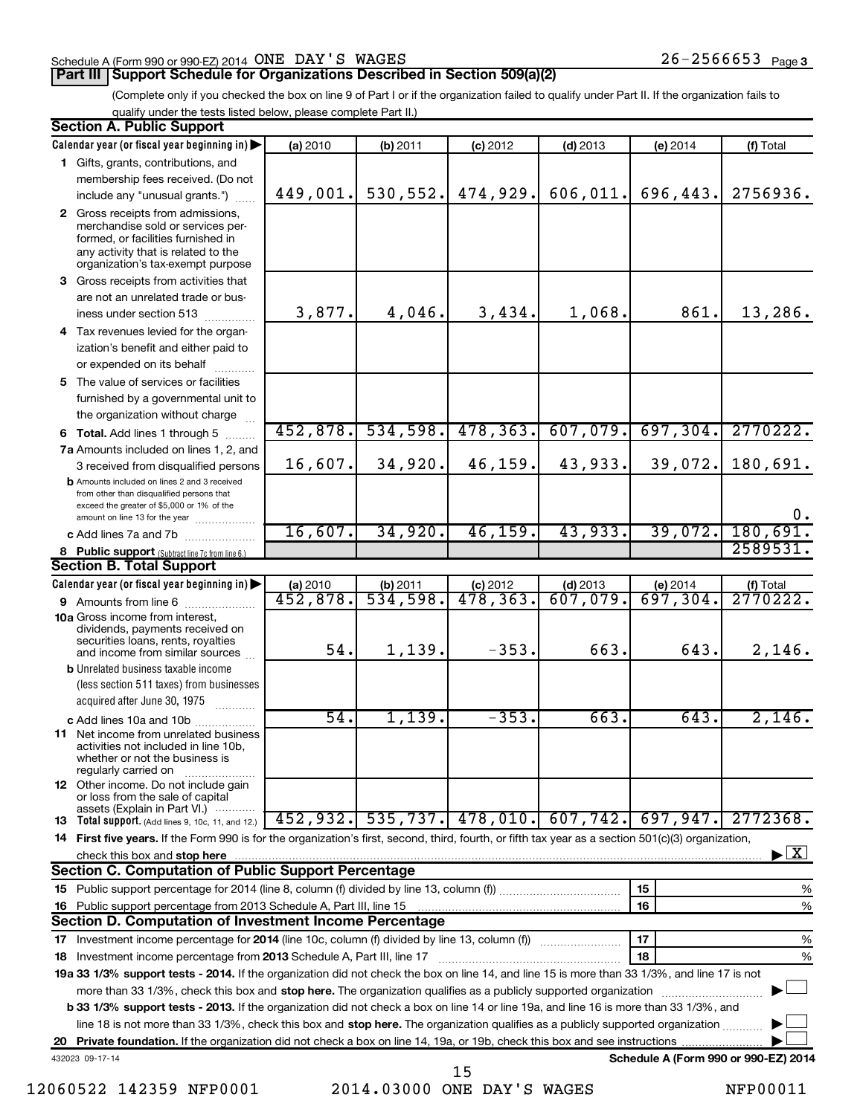#### Schedule A (Form 990 or 990-EZ) 2014 Page ONE DAY'S WAGES 26-2566653

#### **Part III Support Schedule for Organizations Described in Section 509(a)(2)**

(Complete only if you checked the box on line 9 of Part I or if the organization failed to qualify under Part II. If the organization fails to qualify under the tests listed below, please complete Part II.)

| <b>Section A. Public Support</b>                                                                                                                                                         |          |          |                                     |                        |                                      |                                       |
|------------------------------------------------------------------------------------------------------------------------------------------------------------------------------------------|----------|----------|-------------------------------------|------------------------|--------------------------------------|---------------------------------------|
| Calendar year (or fiscal year beginning in)                                                                                                                                              | (a) 2010 | (b) 2011 | $(c)$ 2012                          | $(d)$ 2013             | (e) 2014                             | (f) Total                             |
| 1 Gifts, grants, contributions, and                                                                                                                                                      |          |          |                                     |                        |                                      |                                       |
| membership fees received. (Do not                                                                                                                                                        |          |          |                                     |                        |                                      |                                       |
| include any "unusual grants.")                                                                                                                                                           | 449,001. | 530,552. | 474,929.                            | 606,011.               | 696,443.                             | 2756936.                              |
| 2 Gross receipts from admissions,<br>merchandise sold or services per-<br>formed, or facilities furnished in<br>any activity that is related to the<br>organization's tax-exempt purpose |          |          |                                     |                        |                                      |                                       |
| 3 Gross receipts from activities that                                                                                                                                                    |          |          |                                     |                        |                                      |                                       |
| are not an unrelated trade or bus-                                                                                                                                                       |          |          |                                     |                        |                                      |                                       |
| iness under section 513                                                                                                                                                                  | 3,877.   | 4,046.   | 3,434.                              | 1,068.                 | 861.                                 | 13,286.                               |
| 4 Tax revenues levied for the organ-                                                                                                                                                     |          |          |                                     |                        |                                      |                                       |
| ization's benefit and either paid to<br>or expended on its behalf                                                                                                                        |          |          |                                     |                        |                                      |                                       |
| 5 The value of services or facilities                                                                                                                                                    |          |          |                                     |                        |                                      |                                       |
| furnished by a governmental unit to                                                                                                                                                      |          |          |                                     |                        |                                      |                                       |
| the organization without charge                                                                                                                                                          |          |          |                                     |                        |                                      |                                       |
| <b>6 Total.</b> Add lines 1 through 5                                                                                                                                                    | 452,878. | 534,598. | 478, 363.                           | 607,079.               | 697,304.                             | 2770222.                              |
| 7a Amounts included on lines 1, 2, and                                                                                                                                                   |          |          |                                     |                        |                                      |                                       |
| 3 received from disqualified persons                                                                                                                                                     | 16,607.  | 34,920.  | 46,159.                             | 43,933.                | 39,072.                              | 180,691.                              |
| <b>b</b> Amounts included on lines 2 and 3 received<br>from other than disqualified persons that<br>exceed the greater of \$5,000 or 1% of the<br>amount on line 13 for the year         |          |          |                                     |                        |                                      | 0.                                    |
| c Add lines 7a and 7b                                                                                                                                                                    | 16,607.  | 34,920.  | 46,159.                             | 43,933.                | 39,072.                              | 180,691.                              |
| 8 Public support (Subtract line 7c from line 6.)                                                                                                                                         |          |          |                                     |                        |                                      | 2589531.                              |
| <b>Section B. Total Support</b>                                                                                                                                                          |          |          |                                     |                        |                                      |                                       |
| Calendar year (or fiscal year beginning in)                                                                                                                                              | (a) 2010 | (b) 2011 | $(c)$ 2012                          | $(d)$ 2013             | $(e)$ 2014                           |                                       |
| <b>9</b> Amounts from line 6                                                                                                                                                             | 452,878  | 534,598. | $\overline{478,363}$                | $\overline{607,079}$ . | $\overline{697,304}$ .               | $\frac{f(f) \text{ Total}}{2770222.}$ |
| <b>10a</b> Gross income from interest,<br>dividends, payments received on<br>securities loans, rents, royalties<br>and income from similar sources                                       | 54.      | 1,139.   | $-353.$                             | 663.                   | 643.                                 | 2,146.                                |
| <b>b</b> Unrelated business taxable income                                                                                                                                               |          |          |                                     |                        |                                      |                                       |
| (less section 511 taxes) from businesses<br>acquired after June 30, 1975                                                                                                                 |          |          |                                     |                        |                                      |                                       |
| c Add lines 10a and 10b                                                                                                                                                                  | 54.      | 1,139.   | $-353.$                             | 663.                   | 643.                                 | 2,146.                                |
| <b>11</b> Net income from unrelated business<br>activities not included in line 10b,<br>whether or not the business is<br>regularly carried on                                           |          |          |                                     |                        |                                      |                                       |
| <b>12</b> Other income. Do not include gain<br>or loss from the sale of capital<br>assets (Explain in Part VI.)                                                                          |          |          |                                     |                        |                                      |                                       |
| <b>13</b> Total support. (Add lines 9, 10c, 11, and 12.)                                                                                                                                 |          |          | 452,932. 535,737. 478,010. 607,742. |                        | 697,947.                             | 2772368.                              |
| 14 First five years. If the Form 990 is for the organization's first, second, third, fourth, or fifth tax year as a section 501(c)(3) organization,                                      |          |          |                                     |                        |                                      |                                       |
| check this box and stop here                                                                                                                                                             |          |          |                                     |                        |                                      | $\blacktriangleright$ $\lfloor$ X     |
| Section C. Computation of Public Support Percentage                                                                                                                                      |          |          |                                     |                        |                                      |                                       |
|                                                                                                                                                                                          |          |          |                                     |                        | 15                                   | %                                     |
| 16 Public support percentage from 2013 Schedule A, Part III, line 15                                                                                                                     |          |          |                                     |                        | 16                                   | %                                     |
| Section D. Computation of Investment Income Percentage                                                                                                                                   |          |          |                                     |                        |                                      |                                       |
| 17 Investment income percentage for 2014 (line 10c, column (f) divided by line 13, column (f))                                                                                           |          |          |                                     |                        | 17                                   | %                                     |
| 18 Investment income percentage from 2013 Schedule A, Part III, line 17                                                                                                                  |          |          |                                     |                        | 18                                   | %                                     |
| 19a 33 1/3% support tests - 2014. If the organization did not check the box on line 14, and line 15 is more than 33 1/3%, and line 17 is not                                             |          |          |                                     |                        |                                      |                                       |
| more than 33 1/3%, check this box and stop here. The organization qualifies as a publicly supported organization                                                                         |          |          |                                     |                        |                                      |                                       |
| b 33 1/3% support tests - 2013. If the organization did not check a box on line 14 or line 19a, and line 16 is more than 33 1/3%, and                                                    |          |          |                                     |                        |                                      |                                       |
| line 18 is not more than 33 1/3%, check this box and stop here. The organization qualifies as a publicly supported organization                                                          |          |          |                                     |                        |                                      |                                       |
|                                                                                                                                                                                          |          |          |                                     |                        |                                      |                                       |
| 432023 09-17-14                                                                                                                                                                          |          |          |                                     |                        | Schedule A (Form 990 or 990-EZ) 2014 |                                       |
|                                                                                                                                                                                          |          |          | 15                                  |                        |                                      |                                       |

| Calendar year (or fiscal year beginning in) $\blacktriangleright$                                                                                                   | (a) 2010 | $(b)$ 2011 | $(c)$ 2012 | $(d)$ 2013           | $(e)$ 2014 | (f) Total |
|---------------------------------------------------------------------------------------------------------------------------------------------------------------------|----------|------------|------------|----------------------|------------|-----------|
| Amounts from line 6<br>9                                                                                                                                            | 452,878. | 534,598.   | 478, 363.  | $607,079$ .          | 697,304.   | 2770222.  |
| <b>10a</b> Gross income from interest,<br>dividends, payments received on<br>securities loans, rents, royalties<br>and income from similar sources                  | 54.      | 1,139.     | $-353.$    | 663.                 | 643.       | 2,146.    |
| <b>b</b> Unrelated business taxable income                                                                                                                          |          |            |            |                      |            |           |
| (less section 511 taxes) from businesses                                                                                                                            |          |            |            |                      |            |           |
| acquired after June 30, 1975                                                                                                                                        |          |            |            |                      |            |           |
| c Add lines 10a and 10b                                                                                                                                             | 54.      | 1,139.     | $-353.$    | 663.                 | 643.       | 2,146.    |
| Net income from unrelated business<br>11.<br>activities not included in line 10b.<br>whether or not the business is<br>regularly carried on                         |          |            |            |                      |            |           |
| Other income. Do not include gain<br>12<br>or loss from the sale of capital<br>assets (Explain in Part VI.)<br>Total support. (Add lines 9, 10c, 11, and 12.)<br>13 | 452,932. | 535,737.   |            | $478,010.$ 607, 742. | 697,947.   | 2772368.  |
| 14 First five vears. If the Form 990 is for the organization's first, second, third, fourth, or fifth tax vear as a section 501(c)(3) organization.                 |          |            |            |                      |            |           |

<sup>12060522 142359</sup> NFP0001 2014.03000 ONE DAY'S WAGES NFP00011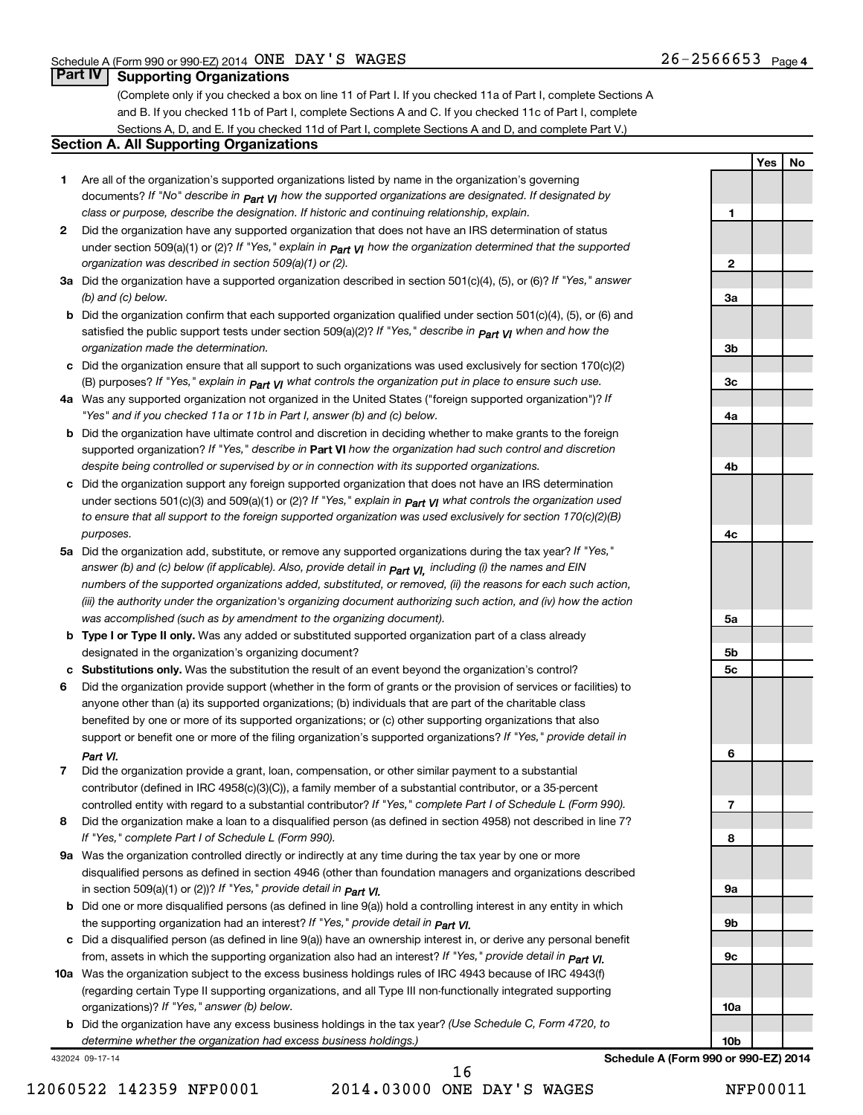**1**

**2**

**3a**

**3b**

**3c**

**4a**

**4b**

**4c**

**5a**

**5b 5c**

**6**

**7**

**8**

**9a**

**9b**

**9c**

**10a**

**Yes No**

#### **Part IV Supporting Organizations**

(Complete only if you checked a box on line 11 of Part I. If you checked 11a of Part I, complete Sections A and B. If you checked 11b of Part I, complete Sections A and C. If you checked 11c of Part I, complete Sections A, D, and E. If you checked 11d of Part I, complete Sections A and D, and complete Part V.)

#### **Section A. All Supporting Organizations**

- **1** Are all of the organization's supported organizations listed by name in the organization's governing documents? If "No" describe in  $_{\mathsf{Part}}$   $_{\mathsf{V}}$  how the supported organizations are designated. If designated by *class or purpose, describe the designation. If historic and continuing relationship, explain.*
- **2** Did the organization have any supported organization that does not have an IRS determination of status under section 509(a)(1) or (2)? If "Yes," explain in  $_{\sf Part}$   $_{\sf VI}$  how the organization determined that the supported *organization was described in section 509(a)(1) or (2).*
- **3a** Did the organization have a supported organization described in section 501(c)(4), (5), or (6)? If "Yes," answer *(b) and (c) below.*
- **b** Did the organization confirm that each supported organization qualified under section 501(c)(4), (5), or (6) and satisfied the public support tests under section 509(a)(2)? If "Yes," describe in  $_{\rm Part}$   $_{\rm VI}$  when and how the *organization made the determination.*
- **c** Did the organization ensure that all support to such organizations was used exclusively for section 170(c)(2) (B) purposes? If "Yes," explain in  $_{\mathsf{Part}}$   $_{\mathsf{V}}$  what controls the organization put in place to ensure such use.
- **4 a** *If* Was any supported organization not organized in the United States ("foreign supported organization")? *"Yes" and if you checked 11a or 11b in Part I, answer (b) and (c) below.*
- **b** Did the organization have ultimate control and discretion in deciding whether to make grants to the foreign supported organization? If "Yes," describe in Part VI how the organization had such control and discretion *despite being controlled or supervised by or in connection with its supported organizations.*
- **c** Did the organization support any foreign supported organization that does not have an IRS determination under sections 501(c)(3) and 509(a)(1) or (2)? If "Yes," ex*plain in*  $_{\sf Part}$  *v*J what controls the organization used *to ensure that all support to the foreign supported organization was used exclusively for section 170(c)(2)(B) purposes.*
- **5a** Did the organization add, substitute, or remove any supported organizations during the tax year? If "Yes," answer (b) and (c) below (if applicable). Also, provide detail in  $_{\mathsf{Part}}$   $_{\mathsf{V{\mathsf{I}}}}$ , including (i) the names and EIN *numbers of the supported organizations added, substituted, or removed, (ii) the reasons for each such action, (iii) the authority under the organization's organizing document authorizing such action, and (iv) how the action was accomplished (such as by amendment to the organizing document).*
- **b** Type I or Type II only. Was any added or substituted supported organization part of a class already designated in the organization's organizing document?
- **c Substitutions only.**  Was the substitution the result of an event beyond the organization's control?
- **6** Did the organization provide support (whether in the form of grants or the provision of services or facilities) to support or benefit one or more of the filing organization's supported organizations? If "Yes," provide detail in anyone other than (a) its supported organizations; (b) individuals that are part of the charitable class benefited by one or more of its supported organizations; or (c) other supporting organizations that also *Part VI.*
- **7** Did the organization provide a grant, loan, compensation, or other similar payment to a substantial controlled entity with regard to a substantial contributor? If "Yes," complete Part I of Schedule L (Form 990). contributor (defined in IRC 4958(c)(3)(C)), a family member of a substantial contributor, or a 35-percent
- **8** Did the organization make a loan to a disqualified person (as defined in section 4958) not described in line 7? *If "Yes," complete Part I of Schedule L (Form 990).*
- **9 a** Was the organization controlled directly or indirectly at any time during the tax year by one or more *If "Yes," provide detail in*  in section 509(a)(1) or (2))? *Part VI.* disqualified persons as defined in section 4946 (other than foundation managers and organizations described
- **b** Did one or more disqualified persons (as defined in line 9(a)) hold a controlling interest in any entity in which  *If "Yes," provide detail in*  the supporting organization had an interest? *Part VI.*
- **c** Did a disqualified person (as defined in line 9(a)) have an ownership interest in, or derive any personal benefit from, assets in which the supporting organization also had an interest? If "Yes," *provide detail in Part VI.*
- **10 a** Was the organization subject to the excess business holdings rules of IRC 4943 because of IRC 4943(f)  *If "Yes," answer (b) below.* organizations)? (regarding certain Type II supporting organizations, and all Type III non-functionally integrated supporting
	- **b** Did the organization have any excess business holdings in the tax year? (Use Schedule C, Form 4720, to *determine whether the organization had excess business holdings.)*

432024 09-17-14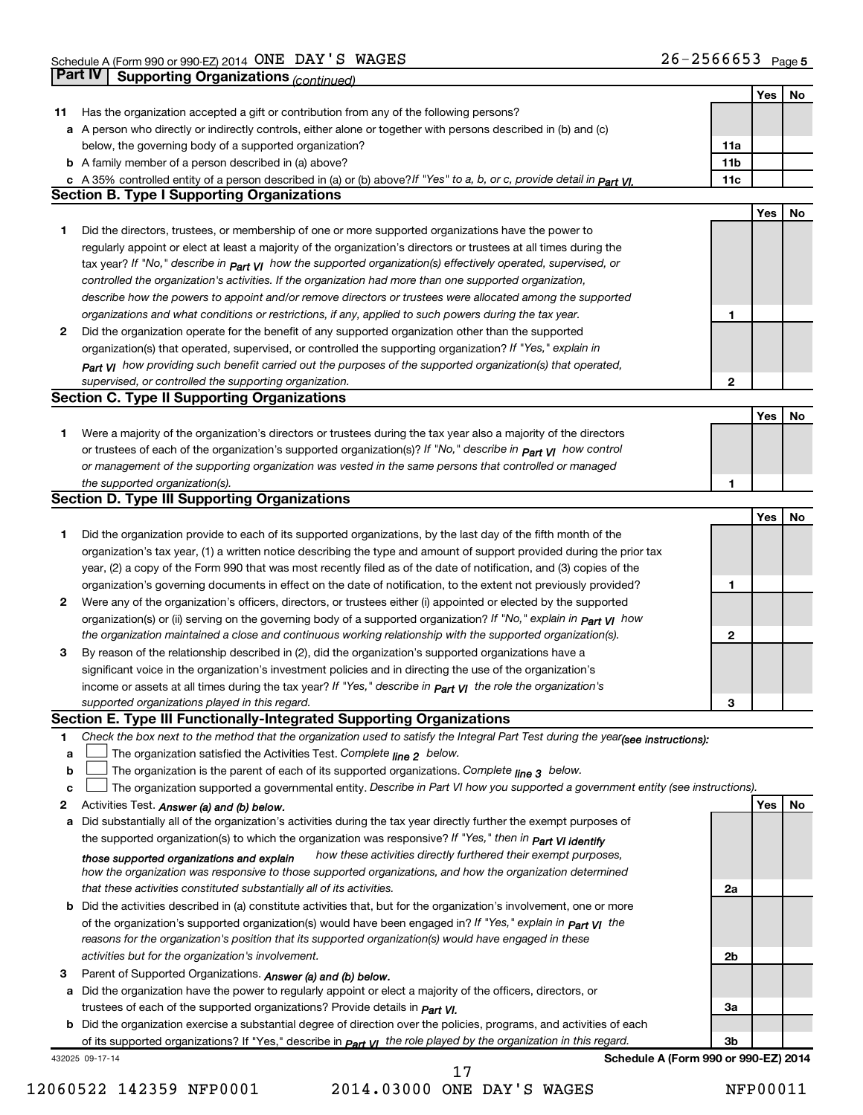|              | Part IV<br>Supporting Organizations (continued)                                                                                                        |                 |     |    |
|--------------|--------------------------------------------------------------------------------------------------------------------------------------------------------|-----------------|-----|----|
|              |                                                                                                                                                        |                 | Yes | No |
| 11           | Has the organization accepted a gift or contribution from any of the following persons?                                                                |                 |     |    |
|              | a A person who directly or indirectly controls, either alone or together with persons described in (b) and (c)                                         |                 |     |    |
|              | below, the governing body of a supported organization?                                                                                                 | 11a             |     |    |
|              | <b>b</b> A family member of a person described in (a) above?                                                                                           | 11 <sub>b</sub> |     |    |
|              | c A 35% controlled entity of a person described in (a) or (b) above?If "Yes" to a, b, or c, provide detail in Part VI.                                 | 11c             |     |    |
|              | <b>Section B. Type I Supporting Organizations</b>                                                                                                      |                 |     |    |
|              |                                                                                                                                                        |                 | Yes | No |
| 1            | Did the directors, trustees, or membership of one or more supported organizations have the power to                                                    |                 |     |    |
|              | regularly appoint or elect at least a majority of the organization's directors or trustees at all times during the                                     |                 |     |    |
|              |                                                                                                                                                        |                 |     |    |
|              | tax year? If "No," describe in $p_{art}$ VI how the supported organization(s) effectively operated, supervised, or                                     |                 |     |    |
|              | controlled the organization's activities. If the organization had more than one supported organization,                                                |                 |     |    |
|              | describe how the powers to appoint and/or remove directors or trustees were allocated among the supported                                              |                 |     |    |
|              | organizations and what conditions or restrictions, if any, applied to such powers during the tax year.                                                 | 1               |     |    |
| 2            | Did the organization operate for the benefit of any supported organization other than the supported                                                    |                 |     |    |
|              | organization(s) that operated, supervised, or controlled the supporting organization? If "Yes," explain in                                             |                 |     |    |
|              | Part VI how providing such benefit carried out the purposes of the supported organization(s) that operated,                                            |                 |     |    |
|              | supervised, or controlled the supporting organization.                                                                                                 | 2               |     |    |
|              | <b>Section C. Type II Supporting Organizations</b>                                                                                                     |                 |     |    |
|              |                                                                                                                                                        |                 | Yes | No |
| 1.           | Were a majority of the organization's directors or trustees during the tax year also a majority of the directors                                       |                 |     |    |
|              | or trustees of each of the organization's supported organization(s)? If "No," describe in <b>Part VI</b> how control                                   |                 |     |    |
|              | or management of the supporting organization was vested in the same persons that controlled or managed                                                 |                 |     |    |
|              | the supported organization(s).                                                                                                                         | 1               |     |    |
|              | <b>Section D. Type III Supporting Organizations</b>                                                                                                    |                 |     |    |
|              |                                                                                                                                                        |                 | Yes | No |
| 1            | Did the organization provide to each of its supported organizations, by the last day of the fifth month of the                                         |                 |     |    |
|              | organization's tax year, (1) a written notice describing the type and amount of support provided during the prior tax                                  |                 |     |    |
|              | year, (2) a copy of the Form 990 that was most recently filed as of the date of notification, and (3) copies of the                                    |                 |     |    |
|              | organization's governing documents in effect on the date of notification, to the extent not previously provided?                                       | 1               |     |    |
| $\mathbf{2}$ | Were any of the organization's officers, directors, or trustees either (i) appointed or elected by the supported                                       |                 |     |    |
|              | organization(s) or (ii) serving on the governing body of a supported organization? If "No," explain in part VI how                                     |                 |     |    |
|              | the organization maintained a close and continuous working relationship with the supported organization(s).                                            | $\mathbf{2}$    |     |    |
| 3            | By reason of the relationship described in (2), did the organization's supported organizations have a                                                  |                 |     |    |
|              | significant voice in the organization's investment policies and in directing the use of the organization's                                             |                 |     |    |
|              | income or assets at all times during the tax year? If "Yes," describe in $_{Part}$ y the role the organization's                                       |                 |     |    |
|              | supported organizations played in this regard.                                                                                                         | з               |     |    |
|              | Section E. Type III Functionally-Integrated Supporting Organizations                                                                                   |                 |     |    |
| 1            | Check the box next to the method that the organization used to satisfy the Integral Part Test during the year(see instructions):                       |                 |     |    |
| а            | The organization satisfied the Activities Test. Complete line 2 below.                                                                                 |                 |     |    |
| b            | The organization is the parent of each of its supported organizations. Complete line 3 below.                                                          |                 |     |    |
| c            | The organization supported a governmental entity. Describe in Part VI how you supported a government entity (see instructions).                        |                 |     |    |
| 2            | Activities Test. Answer (a) and (b) below.                                                                                                             |                 | Yes | No |
| а            | Did substantially all of the organization's activities during the tax year directly further the exempt purposes of                                     |                 |     |    |
|              | the supported organization(s) to which the organization was responsive? If "Yes," then in Part VI identify                                             |                 |     |    |
|              | how these activities directly furthered their exempt purposes,                                                                                         |                 |     |    |
|              | those supported organizations and explain<br>how the organization was responsive to those supported organizations, and how the organization determined |                 |     |    |
|              | that these activities constituted substantially all of its activities.                                                                                 | 2a              |     |    |
| b            | Did the activities described in (a) constitute activities that, but for the organization's involvement, one or more                                    |                 |     |    |
|              | of the organization's supported organization(s) would have been engaged in? If "Yes," explain in <b>Part VI</b> the                                    |                 |     |    |
|              |                                                                                                                                                        |                 |     |    |
|              | reasons for the organization's position that its supported organization(s) would have engaged in these                                                 |                 |     |    |
|              | activities but for the organization's involvement.                                                                                                     | 2b              |     |    |
| З            | Parent of Supported Organizations. Answer (a) and (b) below.                                                                                           |                 |     |    |
| а            | Did the organization have the power to regularly appoint or elect a majority of the officers, directors, or                                            |                 |     |    |
|              | trustees of each of the supported organizations? Provide details in <i>Part VI.</i>                                                                    | За              |     |    |
|              | <b>b</b> Did the organization exercise a substantial degree of direction over the policies, programs, and activities of each                           |                 |     |    |
|              | of its supported organizations? If "Yes," describe in $P_{\text{art}}$ VI the role played by the organization in this regard.                          | 3b              |     |    |
|              | Schedule A (Form 990 or 990-EZ) 2014<br>432025 09-17-14<br>17                                                                                          |                 |     |    |
|              |                                                                                                                                                        |                 |     |    |

<sup>12060522 142359</sup> NFP0001 2014.03000 ONE DAY'S WAGES NFP00011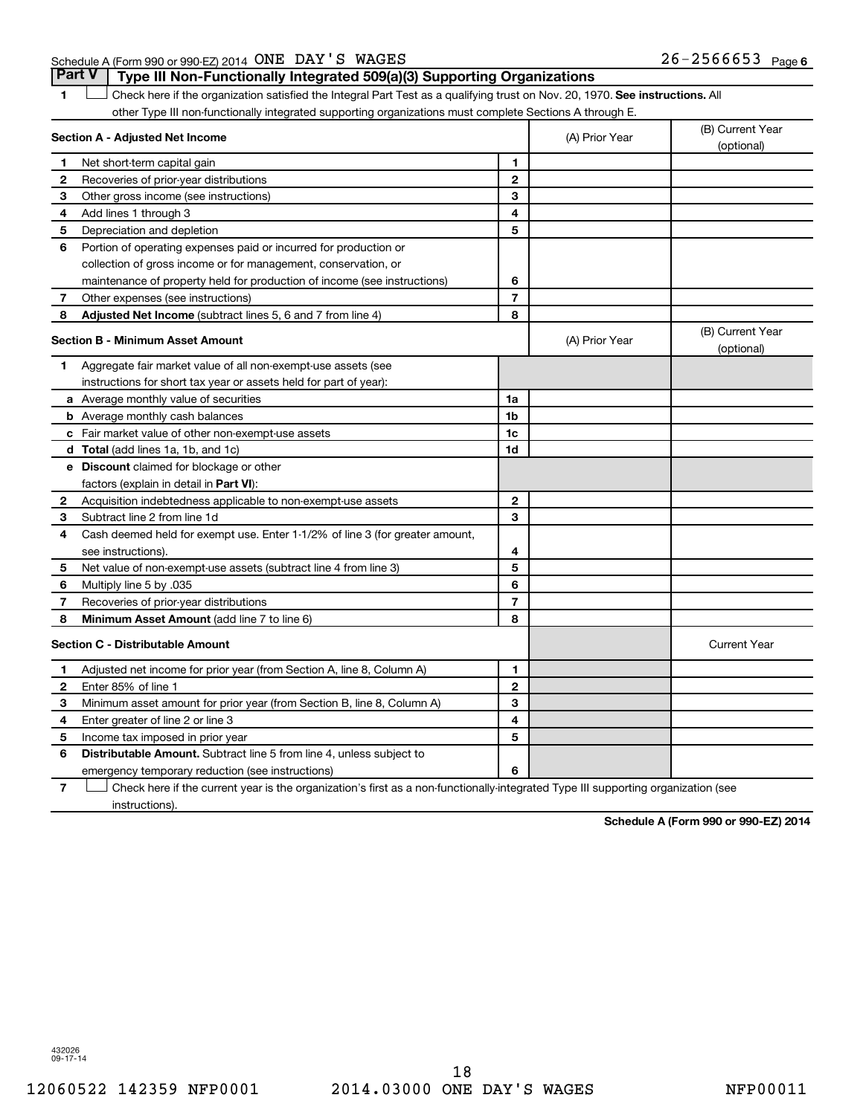#### Schedule A (Form 990 or 990-EZ) 2014 Page ONE DAY'S WAGES 26-2566653

1 **Letter on Reck here if the organization satisfied the Integral Part Test as a qualifying trust on Nov. 20, 1970. See instructions. All** other Type III non-functionally integrated supporting organizations must complete Sections A through E. **Part V Type III Non-Functionally Integrated 509(a)(3) Supporting Organizations** 

|              | Section A - Adjusted Net Income                                              | (A) Prior Year | (B) Current Year<br>(optional) |                                |
|--------------|------------------------------------------------------------------------------|----------------|--------------------------------|--------------------------------|
| 1            | Net short-term capital gain                                                  | 1              |                                |                                |
| $\mathbf{2}$ | Recoveries of prior-year distributions                                       | $\mathbf{2}$   |                                |                                |
| З            | Other gross income (see instructions)                                        | 3              |                                |                                |
| 4            | Add lines 1 through 3                                                        | 4              |                                |                                |
| 5            | Depreciation and depletion                                                   | 5              |                                |                                |
| 6            | Portion of operating expenses paid or incurred for production or             |                |                                |                                |
|              | collection of gross income or for management, conservation, or               |                |                                |                                |
|              | maintenance of property held for production of income (see instructions)     | 6              |                                |                                |
| 7            | Other expenses (see instructions)                                            | $\overline{7}$ |                                |                                |
| 8            | <b>Adjusted Net Income</b> (subtract lines 5, 6 and 7 from line 4)           | 8              |                                |                                |
|              | <b>Section B - Minimum Asset Amount</b>                                      |                | (A) Prior Year                 | (B) Current Year<br>(optional) |
| 1            | Aggregate fair market value of all non-exempt-use assets (see                |                |                                |                                |
|              | instructions for short tax year or assets held for part of year):            |                |                                |                                |
|              | a Average monthly value of securities                                        | 1a             |                                |                                |
|              | <b>b</b> Average monthly cash balances                                       | 1b             |                                |                                |
|              | c Fair market value of other non-exempt-use assets                           | 1 <sub>c</sub> |                                |                                |
|              | d Total (add lines 1a, 1b, and 1c)                                           | 1d             |                                |                                |
|              | <b>e</b> Discount claimed for blockage or other                              |                |                                |                                |
|              | factors (explain in detail in <b>Part VI</b> ):                              |                |                                |                                |
| $\mathbf{2}$ | Acquisition indebtedness applicable to non-exempt-use assets                 | $\mathbf{2}$   |                                |                                |
| 3            | Subtract line 2 from line 1d                                                 | 3              |                                |                                |
| 4            | Cash deemed held for exempt use. Enter 1-1/2% of line 3 (for greater amount, |                |                                |                                |
|              | see instructions).                                                           | 4              |                                |                                |
| 5            | Net value of non-exempt-use assets (subtract line 4 from line 3)             | 5              |                                |                                |
| 6            | Multiply line 5 by .035                                                      | 6              |                                |                                |
| 7            | Recoveries of prior-year distributions                                       | $\overline{7}$ |                                |                                |
| 8            | <b>Minimum Asset Amount (add line 7 to line 6)</b>                           | 8              |                                |                                |
|              | <b>Section C - Distributable Amount</b>                                      |                |                                | <b>Current Year</b>            |
| 1            | Adjusted net income for prior year (from Section A, line 8, Column A)        | 1              |                                |                                |
| $\mathbf{2}$ | Enter 85% of line 1                                                          | $\mathbf{2}$   |                                |                                |
| 3            | Minimum asset amount for prior year (from Section B, line 8, Column A)       | 3              |                                |                                |
| 4            | Enter greater of line 2 or line 3                                            | 4              |                                |                                |
| 5            | Income tax imposed in prior year                                             | 5              |                                |                                |
| 6            | Distributable Amount. Subtract line 5 from line 4, unless subject to         |                |                                |                                |
|              | emergency temporary reduction (see instructions)                             | 6              |                                |                                |
|              | .                                                                            |                |                                |                                |

**7** Check here if the current year is the organization's first as a non-functionally-integrated Type III supporting organization (see † instructions).

**Schedule A (Form 990 or 990-EZ) 2014**

432026 09-17-14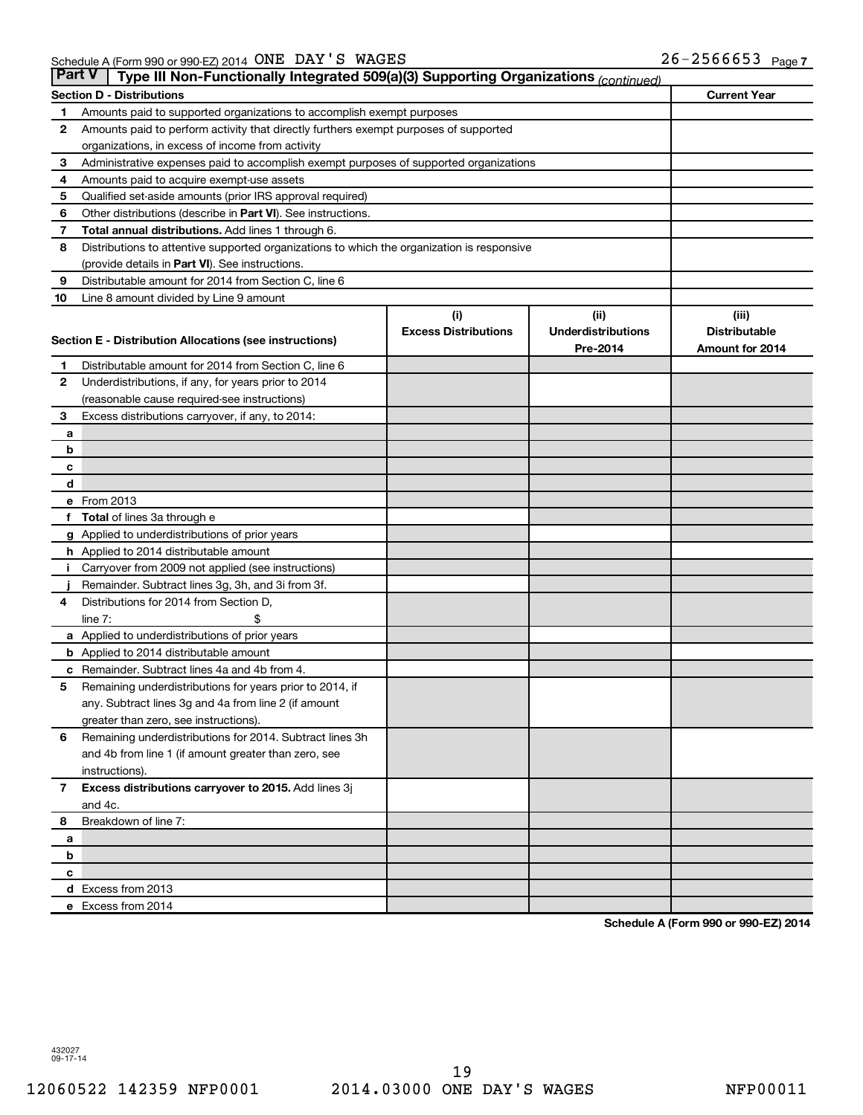| ∣ Part V∣    | Type III Non-Functionally Integrated 509(a)(3) Supporting Organizations (continued)        |                             |                           |                      |
|--------------|--------------------------------------------------------------------------------------------|-----------------------------|---------------------------|----------------------|
|              | <b>Section D - Distributions</b>                                                           |                             |                           | <b>Current Year</b>  |
| 1            | Amounts paid to supported organizations to accomplish exempt purposes                      |                             |                           |                      |
| $\mathbf{2}$ | Amounts paid to perform activity that directly furthers exempt purposes of supported       |                             |                           |                      |
|              | organizations, in excess of income from activity                                           |                             |                           |                      |
| 3            | Administrative expenses paid to accomplish exempt purposes of supported organizations      |                             |                           |                      |
| 4            | Amounts paid to acquire exempt-use assets                                                  |                             |                           |                      |
| 5            | Qualified set-aside amounts (prior IRS approval required)                                  |                             |                           |                      |
| 6            | Other distributions (describe in Part VI). See instructions.                               |                             |                           |                      |
| 7            | <b>Total annual distributions.</b> Add lines 1 through 6.                                  |                             |                           |                      |
| 8            | Distributions to attentive supported organizations to which the organization is responsive |                             |                           |                      |
|              | (provide details in Part VI). See instructions.                                            |                             |                           |                      |
| 9            | Distributable amount for 2014 from Section C, line 6                                       |                             |                           |                      |
| 10           | Line 8 amount divided by Line 9 amount                                                     |                             |                           |                      |
|              |                                                                                            | (i)                         | (ii)                      | (iii)                |
|              |                                                                                            | <b>Excess Distributions</b> | <b>Underdistributions</b> | <b>Distributable</b> |
|              | Section E - Distribution Allocations (see instructions)                                    |                             | Pre-2014                  | Amount for 2014      |
| 1            | Distributable amount for 2014 from Section C, line 6                                       |                             |                           |                      |
| $\mathbf{2}$ | Underdistributions, if any, for years prior to 2014                                        |                             |                           |                      |
|              | (reasonable cause required-see instructions)                                               |                             |                           |                      |
| 3            | Excess distributions carryover, if any, to 2014:                                           |                             |                           |                      |
| a            |                                                                                            |                             |                           |                      |
| b            |                                                                                            |                             |                           |                      |
| с            |                                                                                            |                             |                           |                      |
| d            |                                                                                            |                             |                           |                      |
|              | e From 2013                                                                                |                             |                           |                      |
| f            | <b>Total</b> of lines 3a through e                                                         |                             |                           |                      |
|              | <b>g</b> Applied to underdistributions of prior years                                      |                             |                           |                      |
|              | h Applied to 2014 distributable amount                                                     |                             |                           |                      |
|              | Carryover from 2009 not applied (see instructions)                                         |                             |                           |                      |
|              | Remainder. Subtract lines 3g, 3h, and 3i from 3f.                                          |                             |                           |                      |
| 4            | Distributions for 2014 from Section D,                                                     |                             |                           |                      |
|              | line $7:$                                                                                  |                             |                           |                      |
|              | a Applied to underdistributions of prior years                                             |                             |                           |                      |
|              | <b>b</b> Applied to 2014 distributable amount                                              |                             |                           |                      |
| с            | Remainder. Subtract lines 4a and 4b from 4.                                                |                             |                           |                      |
| 5            | Remaining underdistributions for years prior to 2014, if                                   |                             |                           |                      |
|              | any. Subtract lines 3g and 4a from line 2 (if amount                                       |                             |                           |                      |
|              | greater than zero, see instructions).                                                      |                             |                           |                      |
| 6            | Remaining underdistributions for 2014. Subtract lines 3h                                   |                             |                           |                      |
|              | and 4b from line 1 (if amount greater than zero, see                                       |                             |                           |                      |
|              | instructions).                                                                             |                             |                           |                      |
| $\mathbf{7}$ | Excess distributions carryover to 2015. Add lines 3j                                       |                             |                           |                      |
|              | and 4c.                                                                                    |                             |                           |                      |
| 8            | Breakdown of line 7:                                                                       |                             |                           |                      |
| а            |                                                                                            |                             |                           |                      |
| b            |                                                                                            |                             |                           |                      |
| c            |                                                                                            |                             |                           |                      |
|              | d Excess from 2013                                                                         |                             |                           |                      |
|              | e Excess from 2014                                                                         |                             |                           |                      |

**Schedule A (Form 990 or 990-EZ) 2014**

432027 09-17-14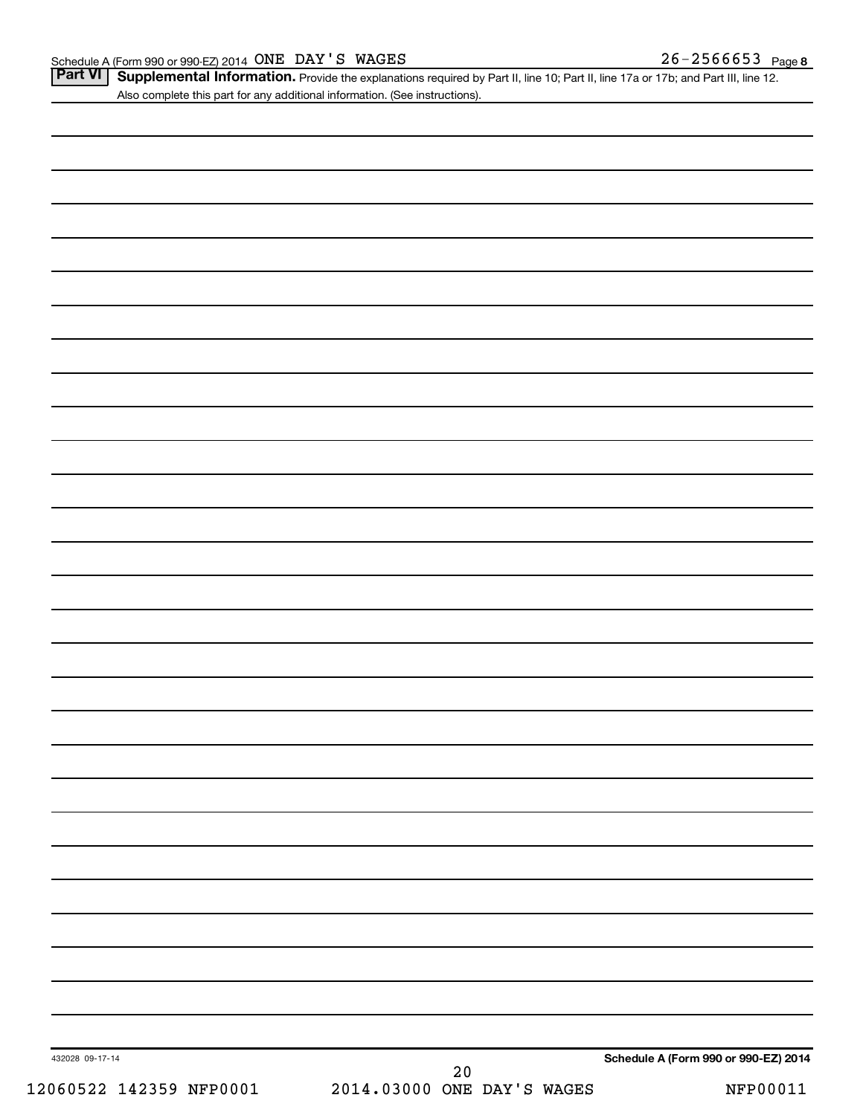Part VI | Supplemental Information. Provide the explanations required by Part II, line 10; Part II, line 17a or 17b; and Part III, line 12. Also complete this part for any additional information. (See instructions).

| 432028 09-17-14 | $20\,$ | Schedule A (Form 990 or 990-EZ) 2014 |
|-----------------|--------|--------------------------------------|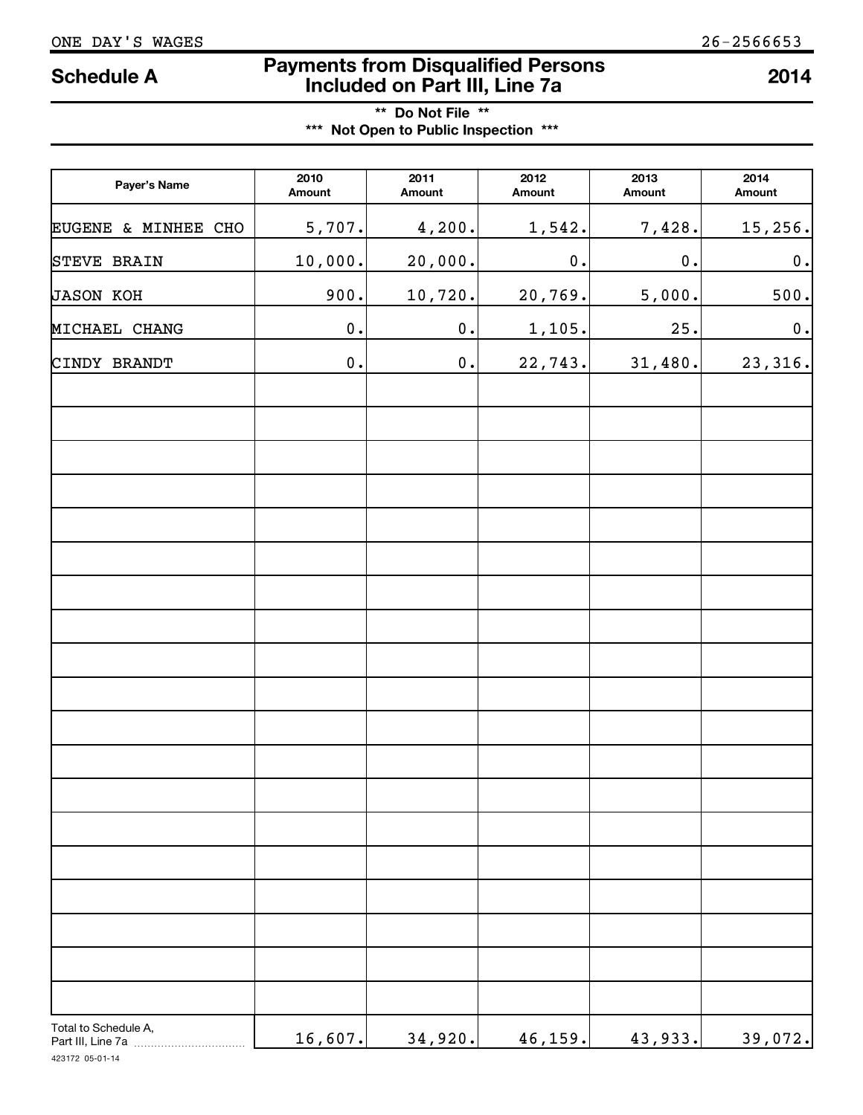# **Payments from Disqualified Persons Included on Part III, Line 7a Schedule A <sup>2014</sup>**

| ** Do Not File **                     |  |
|---------------------------------------|--|
| *** Not Open to Public Inspection *** |  |

| Payer's Name                              | 2010<br>Amount | 2011<br>Amount | 2012<br>Amount | 2013<br>Amount | 2014<br>Amount |
|-------------------------------------------|----------------|----------------|----------------|----------------|----------------|
| EUGENE & MINHEE CHO                       | 5,707.         | 4,200.         | 1,542.         | 7,428.         | 15,256.        |
| STEVE BRAIN                               | 10,000.        | 20,000.        | $\mathbf 0$ .  | $\mathbf 0$ .  | $\mathbf 0$ .  |
| <b>JASON KOH</b>                          | 900.           | 10,720.        | 20,769.        | 5,000.         | 500.           |
| MICHAEL CHANG                             | $\mathbf 0$ .  | $\mathbf 0$ .  | 1,105.         | 25.            | $\mathbf 0$ .  |
| CINDY BRANDT                              | $0$ .          | $\mathbf 0$ .  | 22,743.        | 31,480.        | 23,316.        |
|                                           |                |                |                |                |                |
|                                           |                |                |                |                |                |
|                                           |                |                |                |                |                |
|                                           |                |                |                |                |                |
|                                           |                |                |                |                |                |
|                                           |                |                |                |                |                |
|                                           |                |                |                |                |                |
|                                           |                |                |                |                |                |
|                                           |                |                |                |                |                |
|                                           |                |                |                |                |                |
|                                           |                |                |                |                |                |
|                                           |                |                |                |                |                |
|                                           |                |                |                |                |                |
|                                           |                |                |                |                |                |
|                                           |                |                |                |                |                |
|                                           |                |                |                |                |                |
|                                           |                |                |                |                |                |
|                                           |                |                |                |                |                |
|                                           |                |                |                |                |                |
| Total to Schedule A,<br>Part III, Line 7a | 16,607.        | 34,920.        | 46,159.        | 43,933.        | 39,072.        |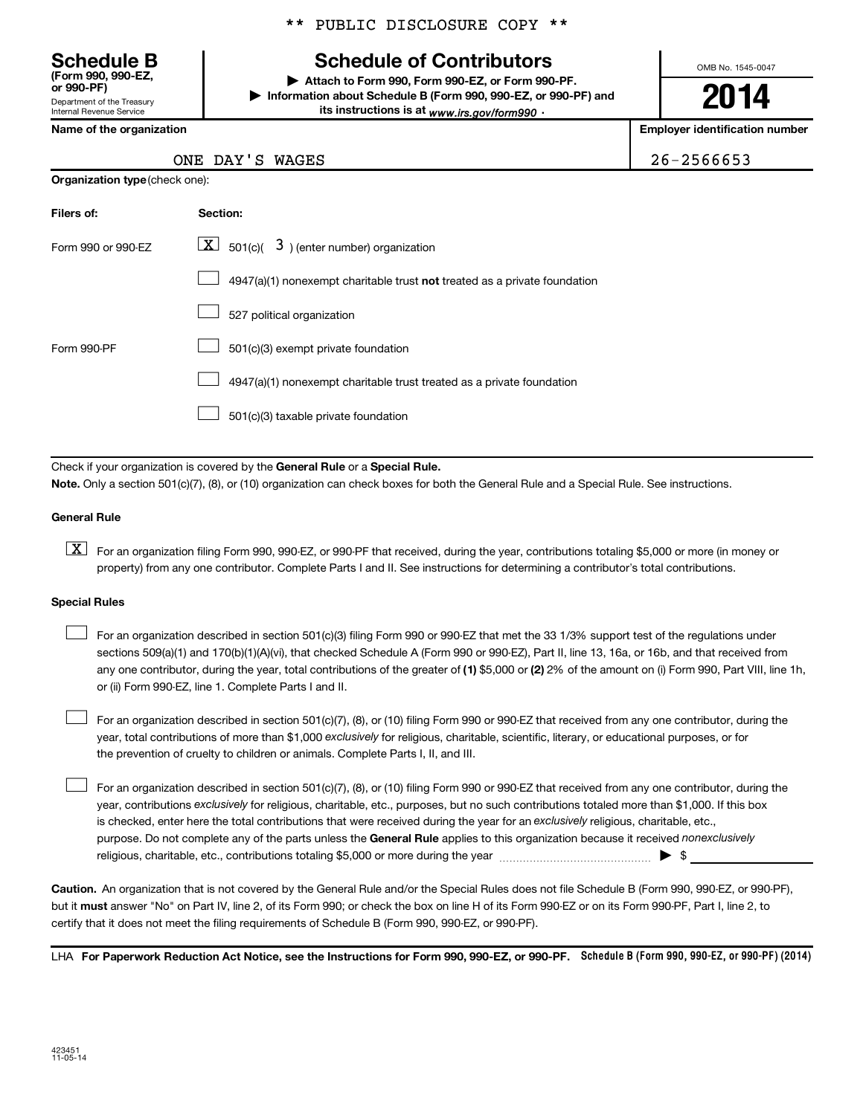Department of the Treasury Internal Revenue Service **(Form 990, 990-EZ,**

#### \*\* PUBLIC DISCLOSURE COPY \*\*

### **Schedule B Schedule of Contributors**

**or 990-PF) | Attach to Form 990, Form 990-EZ, or Form 990-PF. | Information about Schedule B (Form 990, 990-EZ, or 990-PF) and** its instructions is at <sub>www.irs.gov/form990  $\cdot$ </sub>

OMB No. 1545-0047

**2014**

**Name of the organization Employer identification number**

 $26 - 2566653$ 

|  |  |  | ONE DAY'S WAGES |
|--|--|--|-----------------|
|--|--|--|-----------------|

| <b>Organization type (check one):</b> |                                                                           |  |
|---------------------------------------|---------------------------------------------------------------------------|--|
| Filers of:                            | Section:                                                                  |  |
| Form 990 or 990-EZ                    | $\lfloor x \rfloor$ 501(c)( 3) (enter number) organization                |  |
|                                       | 4947(a)(1) nonexempt charitable trust not treated as a private foundation |  |
|                                       | 527 political organization                                                |  |
| Form 990-PF                           | 501(c)(3) exempt private foundation                                       |  |
|                                       | 4947(a)(1) nonexempt charitable trust treated as a private foundation     |  |
|                                       | 501(c)(3) taxable private foundation                                      |  |

Check if your organization is covered by the General Rule or a Special Rule.

**Note.**  Only a section 501(c)(7), (8), or (10) organization can check boxes for both the General Rule and a Special Rule. See instructions.

#### **General Rule**

**K** For an organization filing Form 990, 990-EZ, or 990-PF that received, during the year, contributions totaling \$5,000 or more (in money or property) from any one contributor. Complete Parts I and II. See instructions for determining a contributor's total contributions.

#### **Special Rules**

 $\Box$ 

any one contributor, during the year, total contributions of the greater of **(1)** \$5,000 or **(2)** 2% of the amount on (i) Form 990, Part VIII, line 1h, For an organization described in section 501(c)(3) filing Form 990 or 990-EZ that met the 33 1/3% support test of the regulations under sections 509(a)(1) and 170(b)(1)(A)(vi), that checked Schedule A (Form 990 or 990-EZ), Part II, line 13, 16a, or 16b, and that received from or (ii) Form 990-EZ, line 1. Complete Parts I and II.  $\Box$ 

year, total contributions of more than \$1,000 *exclusively* for religious, charitable, scientific, literary, or educational purposes, or for For an organization described in section 501(c)(7), (8), or (10) filing Form 990 or 990-EZ that received from any one contributor, during the the prevention of cruelty to children or animals. Complete Parts I, II, and III.  $\Box$ 

purpose. Do not complete any of the parts unless the General Rule applies to this organization because it received nonexclusively year, contributions exclusively for religious, charitable, etc., purposes, but no such contributions totaled more than \$1,000. If this box is checked, enter here the total contributions that were received during the year for an exclusively religious, charitable, etc., For an organization described in section 501(c)(7), (8), or (10) filing Form 990 or 990-EZ that received from any one contributor, during the religious, charitable, etc., contributions totaling \$5,000 or more during the year  $\ldots$  $\ldots$  $\ldots$  $\ldots$  $\ldots$  $\ldots$ 

**Caution.** An organization that is not covered by the General Rule and/or the Special Rules does not file Schedule B (Form 990, 990-EZ, or 990-PF),  **must** but it answer "No" on Part IV, line 2, of its Form 990; or check the box on line H of its Form 990-EZ or on its Form 990-PF, Part I, line 2, to certify that it does not meet the filing requirements of Schedule B (Form 990, 990-EZ, or 990-PF).

LHA For Paperwork Reduction Act Notice, see the Instructions for Form 990, 990-EZ, or 990-PF. Schedule B (Form 990, 990-EZ, or 990-PF) (2014)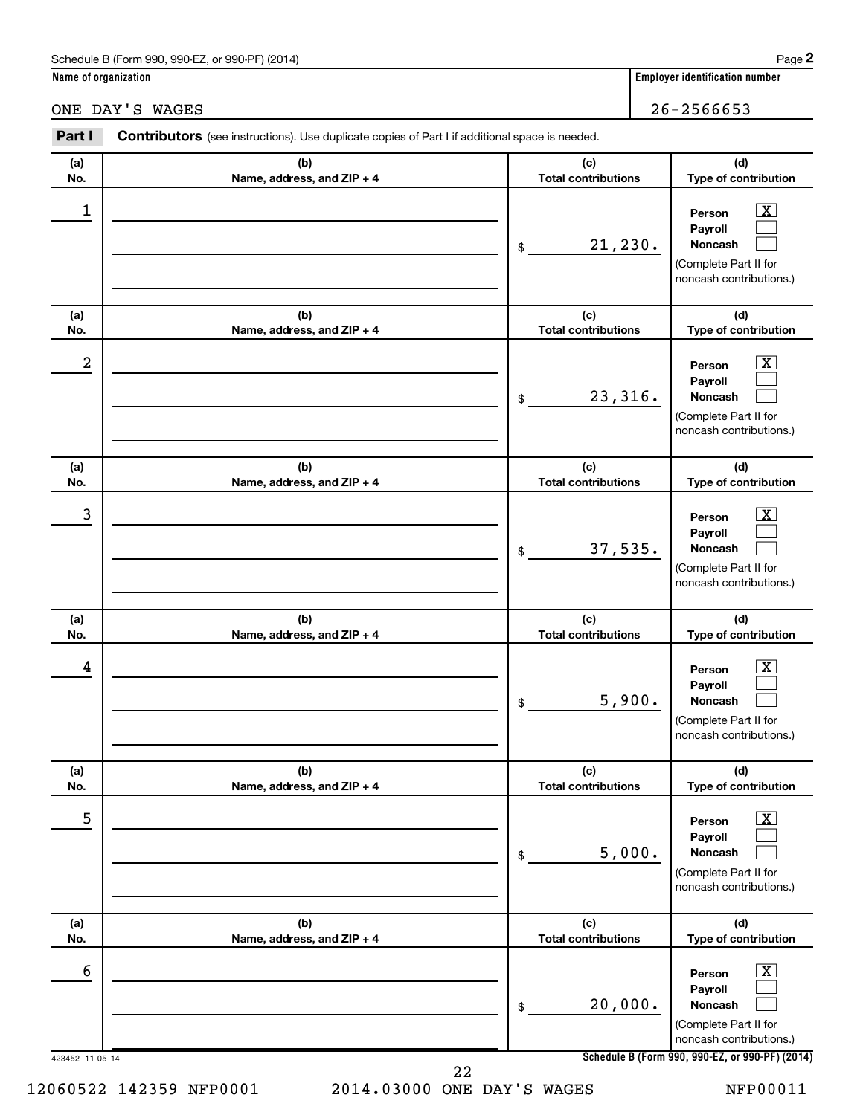**(b) Name, address, and ZIP + 4**

**Part I** Contributors (see instructions). Use duplicate copies of Part I if additional space is needed.

**(b) Name, address, and ZIP + 4**

**(b) Name, address, and ZIP + 4**

**(b) Name, address, and ZIP + 4**

**(a) No.**

**(a) No.**

**(a) No.**

**(a) No.**

**(a) No.**

**(d) Type of contribution**

> $\boxed{\textbf{X}}$  $\Box$  $\Box$

> $\boxed{\text{X}}$  $\Box$  $\Box$

> $\boxed{\text{X}}$  $\Box$  $\Box$

> $\boxed{\text{X}}$  $\Box$

**(d) Type of contribution**

(Complete Part II for noncash contributions.)

> **(d) Type of contribution**

(Complete Part II for noncash contributions.)

**(d) Type of contribution**

(Complete Part II for noncash contributions.)

**Person Payroll Noncash**

**Person Payroll Noncash**

**Person Payroll Noncash**

**Person Payroll**

**(c) Total contributions**

**(c) Total contributions**

21,230.

23,316.

37,535.

5,900.

\$

 $\begin{array}{|c|c|c|c|c|}\hline \ \text{1} & \text{Person} & \text{X} \ \hline \end{array}$ 

 $2$  Person  $\overline{\text{X}}$ 

 $\begin{array}{|c|c|c|c|c|c|}\hline \text{3} & \text{Person} & \text{X} \ \hline \end{array}$ 

 $\begin{array}{|c|c|c|c|c|}\hline \text{4} & \text{Person} & \text{\textbf{X}}\ \hline \end{array}$ 

\$

\$

**(c) Total contributions**

**(c) Total contributions**

#### ONE DAY'S WAGES 26-256653

|                              | 5,900.<br>S                | <b>Noncash</b><br>(Complete Part II for<br>noncash contributions.) |
|------------------------------|----------------------------|--------------------------------------------------------------------|
| (b)                          | (c)                        | (d)                                                                |
| Name, address, and $ZIP + 4$ | <b>Total contributions</b> | <b>Type of contribution</b>                                        |
|                              |                            | Dorcon                                                             |

| 5               |                                     | 5,000.<br>\$                      | $\overline{\mathbf{X}}$<br>Person<br><b>Payroll</b><br><b>Noncash</b><br>(Complete Part II for<br>noncash contributions.) |
|-----------------|-------------------------------------|-----------------------------------|---------------------------------------------------------------------------------------------------------------------------|
| (a)<br>No.      | (b)<br>Name, address, and $ZIP + 4$ | (c)<br><b>Total contributions</b> | (d)<br>Type of contribution                                                                                               |
| 6               |                                     | 20,000.<br>\$                     | $\boxed{\textbf{X}}$<br>Person<br><b>Payroll</b><br><b>Noncash</b><br>(Complete Part II for<br>noncash contributions.)    |
| 423452 11-05-14 |                                     |                                   | Schedule B (Form 990, 990-EZ, or 990-PF) (2014                                                                            |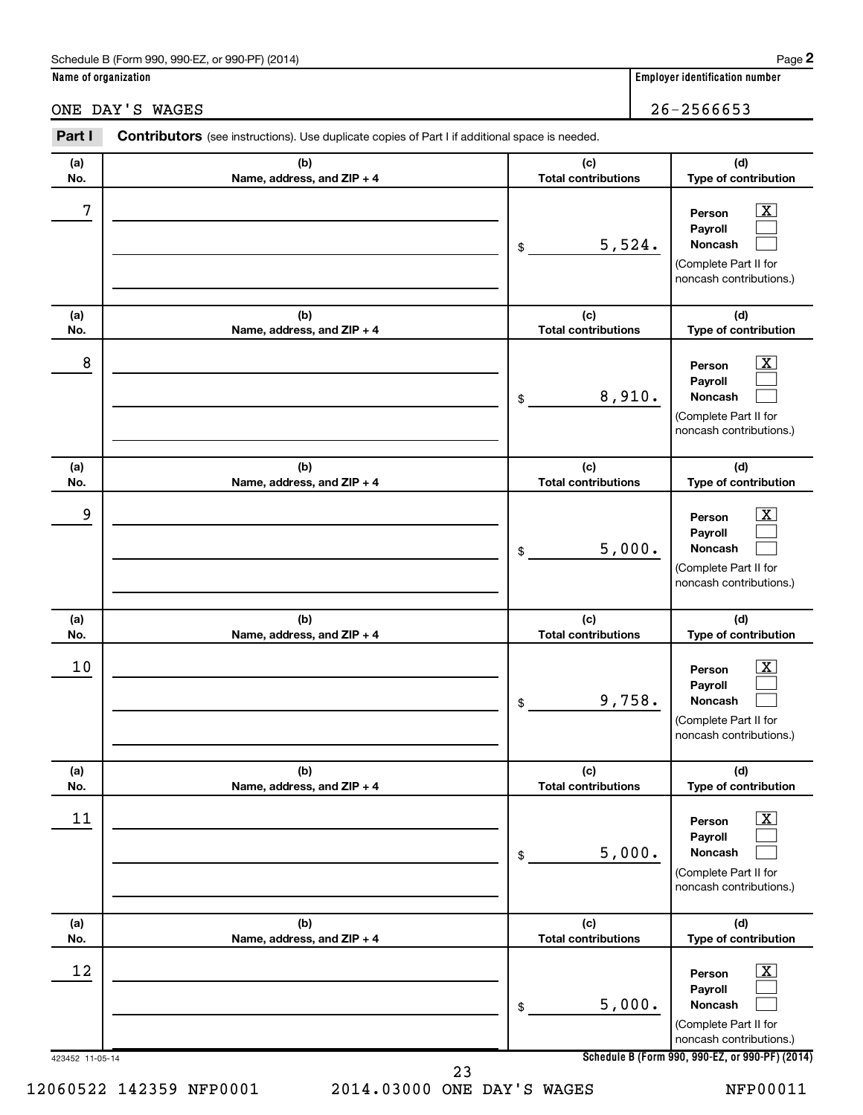#### ONE DAY'S WAGES 26-2566653

| Part I                | Contributors (see instructions). Use duplicate copies of Part I if additional space is needed. |                                   |                                                                                                                                                                |
|-----------------------|------------------------------------------------------------------------------------------------|-----------------------------------|----------------------------------------------------------------------------------------------------------------------------------------------------------------|
| (a)<br>No.            | (b)<br>Name, address, and ZIP + 4                                                              | (c)<br><b>Total contributions</b> | (d)<br>Type of contribution                                                                                                                                    |
| 7                     |                                                                                                | 5,524.<br>\$                      | $\boxed{\mathbf{X}}$<br>Person<br>Payroll<br>Noncash<br>(Complete Part II for<br>noncash contributions.)                                                       |
| (a)<br>No.            | (b)<br>Name, address, and ZIP + 4                                                              | (c)<br><b>Total contributions</b> | (d)<br>Type of contribution                                                                                                                                    |
| 8                     |                                                                                                | 8,910.<br>\$                      | $\boxed{\mathbf{X}}$<br>Person<br>Payroll<br>Noncash<br>(Complete Part II for<br>noncash contributions.)                                                       |
| (a)<br>No.            | (b)<br>Name, address, and ZIP + 4                                                              | (c)<br><b>Total contributions</b> | (d)<br>Type of contribution                                                                                                                                    |
| 9                     |                                                                                                | 5,000.<br>\$                      | $\mathbf{X}$<br>Person<br>Payroll<br>Noncash<br>(Complete Part II for<br>noncash contributions.)                                                               |
| (a)<br>No.            | (b)<br>Name, address, and ZIP + 4                                                              | (c)<br><b>Total contributions</b> | (d)<br>Type of contribution                                                                                                                                    |
| 10                    |                                                                                                | 9,758.<br>\$                      | $\mathbf{X}$<br>Person<br>Payroll<br>Noncash<br>(Complete Part II for<br>noncash contributions.)                                                               |
| (a)<br>No.            | (b)<br>Name, address, and ZIP + 4                                                              | (c)<br><b>Total contributions</b> | (d)<br>Type of contribution                                                                                                                                    |
| 11                    |                                                                                                | 5,000.<br>\$                      | $\boxed{\mathbf{X}}$<br>Person<br>Payroll<br>Noncash<br>(Complete Part II for<br>noncash contributions.)                                                       |
| (a)<br>No.            | (b)<br>Name, address, and ZIP + 4                                                              | (c)<br><b>Total contributions</b> | (d)<br>Type of contribution                                                                                                                                    |
| 12<br>423452 11-05-14 |                                                                                                | 5,000.<br>\$                      | $\overline{\mathbf{X}}$<br>Person<br>Payroll<br>Noncash<br>(Complete Part II for<br>noncash contributions.)<br>Schedule B (Form 990, 990-EZ, or 990-PF) (2014) |
|                       | 23                                                                                             |                                   |                                                                                                                                                                |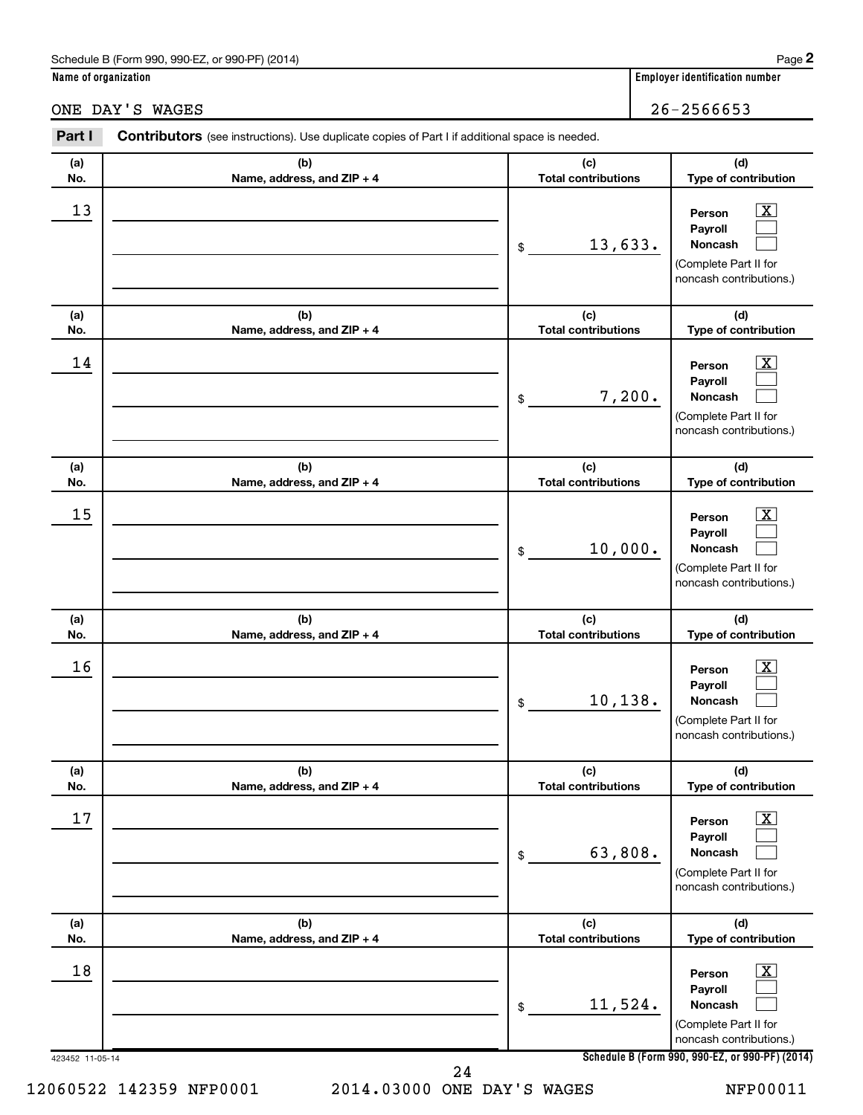#### ONE DAY'S WAGES 26-2566653

| Part I                | <b>Contributors</b> (see instructions). Use duplicate copies of Part I if additional space is needed. |                                   |                                                                                                                                                           |
|-----------------------|-------------------------------------------------------------------------------------------------------|-----------------------------------|-----------------------------------------------------------------------------------------------------------------------------------------------------------|
| (a)<br>No.            | (b)<br>Name, address, and ZIP + 4                                                                     | (c)<br><b>Total contributions</b> | (d)<br>Type of contribution                                                                                                                               |
| 13                    |                                                                                                       | 13,633.<br>\$                     | $\boxed{\text{X}}$<br>Person<br>Payroll<br>Noncash<br>(Complete Part II for<br>noncash contributions.)                                                    |
| (a)<br>No.            | (b)<br>Name, address, and ZIP + 4                                                                     | (c)<br><b>Total contributions</b> | (d)<br>Type of contribution                                                                                                                               |
| 14                    |                                                                                                       | 7,200.<br>\$                      | $\boxed{\text{X}}$<br>Person<br>Payroll<br>Noncash<br>(Complete Part II for<br>noncash contributions.)                                                    |
| (a)<br>No.            | (b)<br>Name, address, and ZIP + 4                                                                     | (c)<br><b>Total contributions</b> | (d)<br>Type of contribution                                                                                                                               |
| 15                    |                                                                                                       | 10,000.<br>\$                     | $\boxed{\text{X}}$<br>Person<br>Payroll<br>Noncash<br>(Complete Part II for<br>noncash contributions.)                                                    |
| (a)<br>No.            | (b)<br>Name, address, and ZIP + 4                                                                     | (c)<br><b>Total contributions</b> | (d)<br>Type of contribution                                                                                                                               |
| 16                    |                                                                                                       | 10, 138.<br>\$                    | $\boxed{\text{X}}$<br>Person<br>Payroll<br>Noncash<br>(Complete Part II for<br>noncash contributions.)                                                    |
| (a)<br>No.            | (b)<br>Name, address, and ZIP + 4                                                                     | (c)<br><b>Total contributions</b> | (d)<br>Type of contribution                                                                                                                               |
| 17                    |                                                                                                       | 63,808.<br>\$                     | $\boxed{\text{X}}$<br>Person<br>Payroll<br>Noncash<br>(Complete Part II for<br>noncash contributions.)                                                    |
| (a)<br>No.            | (b)<br>Name, address, and ZIP + 4                                                                     | (c)<br><b>Total contributions</b> | (d)<br>Type of contribution                                                                                                                               |
| 18<br>423452 11-05-14 |                                                                                                       | 11,524.<br>\$                     | $\boxed{\text{X}}$<br>Person<br>Payroll<br>Noncash<br>(Complete Part II for<br>noncash contributions.)<br>Schedule B (Form 990, 990-EZ, or 990-PF) (2014) |
|                       |                                                                                                       | 24                                |                                                                                                                                                           |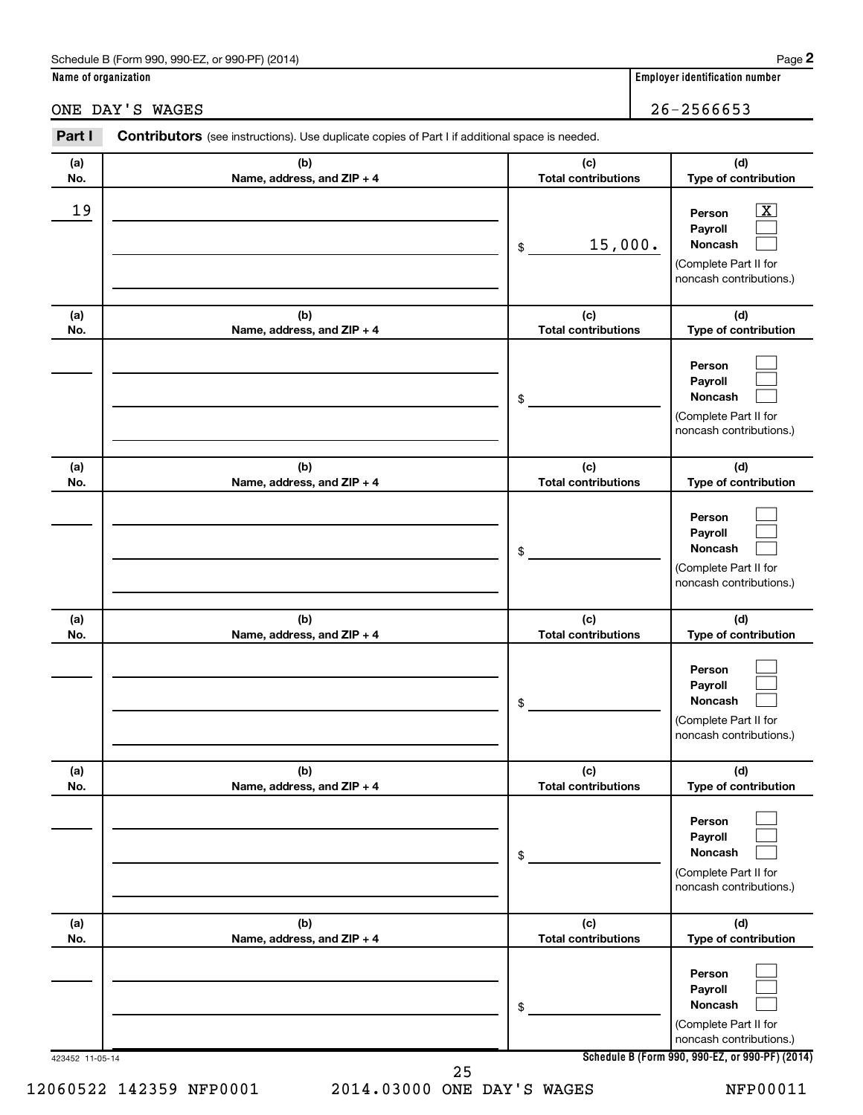#### ONE DAY'S WAGES 26-2566653

| Part I          | <b>Contributors</b> (see instructions). Use duplicate copies of Part I if additional space is needed. |                                   |                                                                                                        |
|-----------------|-------------------------------------------------------------------------------------------------------|-----------------------------------|--------------------------------------------------------------------------------------------------------|
| (a)<br>No.      | (b)<br>Name, address, and ZIP + 4                                                                     | (c)<br><b>Total contributions</b> | (d)<br>Type of contribution                                                                            |
| 19              |                                                                                                       | 15,000.<br>\$                     | $\boxed{\text{X}}$<br>Person<br>Payroll<br>Noncash<br>(Complete Part II for<br>noncash contributions.) |
| (a)<br>No.      | (b)<br>Name, address, and ZIP + 4                                                                     | (c)<br><b>Total contributions</b> | (d)<br>Type of contribution                                                                            |
|                 |                                                                                                       | \$                                | Person<br>Payroll<br>Noncash<br>(Complete Part II for<br>noncash contributions.)                       |
| (a)<br>No.      | (b)<br>Name, address, and ZIP + 4                                                                     | (c)<br><b>Total contributions</b> | (d)<br>Type of contribution                                                                            |
|                 |                                                                                                       | \$                                | Person<br>Payroll<br>Noncash<br>(Complete Part II for<br>noncash contributions.)                       |
| (a)<br>No.      | (b)<br>Name, address, and ZIP + 4                                                                     | (c)<br><b>Total contributions</b> | (d)<br>Type of contribution                                                                            |
|                 |                                                                                                       | \$                                | Person<br>Payroll<br>Noncash<br>(Complete Part II for<br>noncash contributions.)                       |
| (a)<br>No.      | (b)<br>Name, address, and ZIP + 4                                                                     | (c)<br><b>Total contributions</b> | (d)<br>Type of contribution                                                                            |
|                 |                                                                                                       | \$                                | Person<br>Payroll<br>Noncash<br>(Complete Part II for<br>noncash contributions.)                       |
| (a)<br>No.      | (b)<br>Name, address, and ZIP + 4                                                                     | (c)<br><b>Total contributions</b> | (d)<br>Type of contribution                                                                            |
|                 |                                                                                                       | \$                                | Person<br>Payroll<br>Noncash<br>(Complete Part II for<br>noncash contributions.)                       |
| 423452 11-05-14 |                                                                                                       | 25                                | Schedule B (Form 990, 990-EZ, or 990-PF) (2014)                                                        |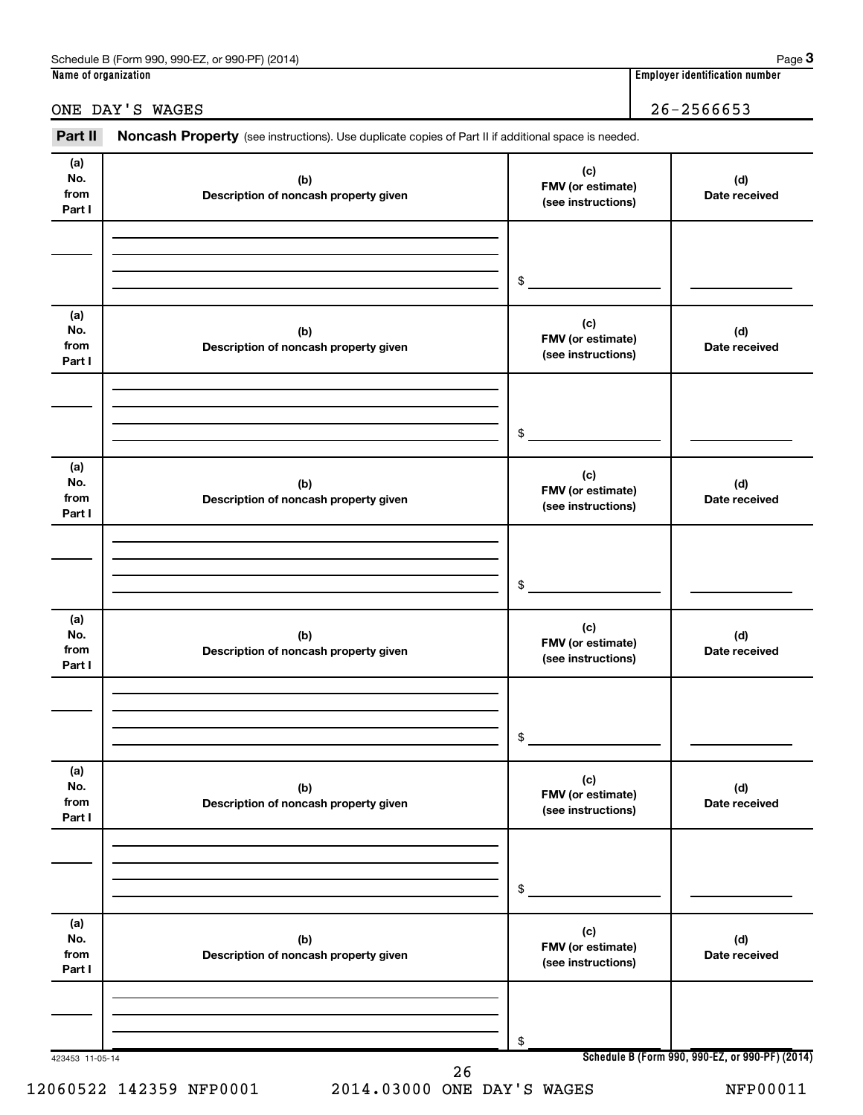ONE DAY'S WAGES 26-2566653

| (a)<br>No.                   | (b)                                          | (c)<br>FMV (or estimate)                       | (d)                                             |
|------------------------------|----------------------------------------------|------------------------------------------------|-------------------------------------------------|
| from<br>Part I               | Description of noncash property given        | (see instructions)                             | Date received                                   |
|                              |                                              |                                                |                                                 |
|                              |                                              | $$\mathbb{S}$$                                 |                                                 |
| (a)<br>No.<br>from<br>Part I | (b)<br>Description of noncash property given | (c)<br>FMV (or estimate)<br>(see instructions) | (d)<br>Date received                            |
|                              |                                              | \$                                             |                                                 |
| (a)<br>No.<br>from<br>Part I | (b)<br>Description of noncash property given | (c)<br>FMV (or estimate)<br>(see instructions) | (d)<br>Date received                            |
|                              |                                              | \$                                             |                                                 |
| (a)<br>No.<br>from<br>Part I | (b)<br>Description of noncash property given | (c)<br>FMV (or estimate)<br>(see instructions) | (d)<br>Date received                            |
|                              |                                              | \$                                             |                                                 |
| (a)<br>No.<br>from<br>Part I | (b)<br>Description of noncash property given | (c)<br>FMV (or estimate)<br>(see instructions) | (d)<br>Date received                            |
|                              |                                              | \$                                             |                                                 |
| (a)<br>No.<br>from<br>Part I | (b)<br>Description of noncash property given | (c)<br>FMV (or estimate)<br>(see instructions) | (d)<br>Date received                            |
|                              |                                              | \$                                             |                                                 |
| 423453 11-05-14              |                                              |                                                | Schedule B (Form 990, 990-EZ, or 990-PF) (2014) |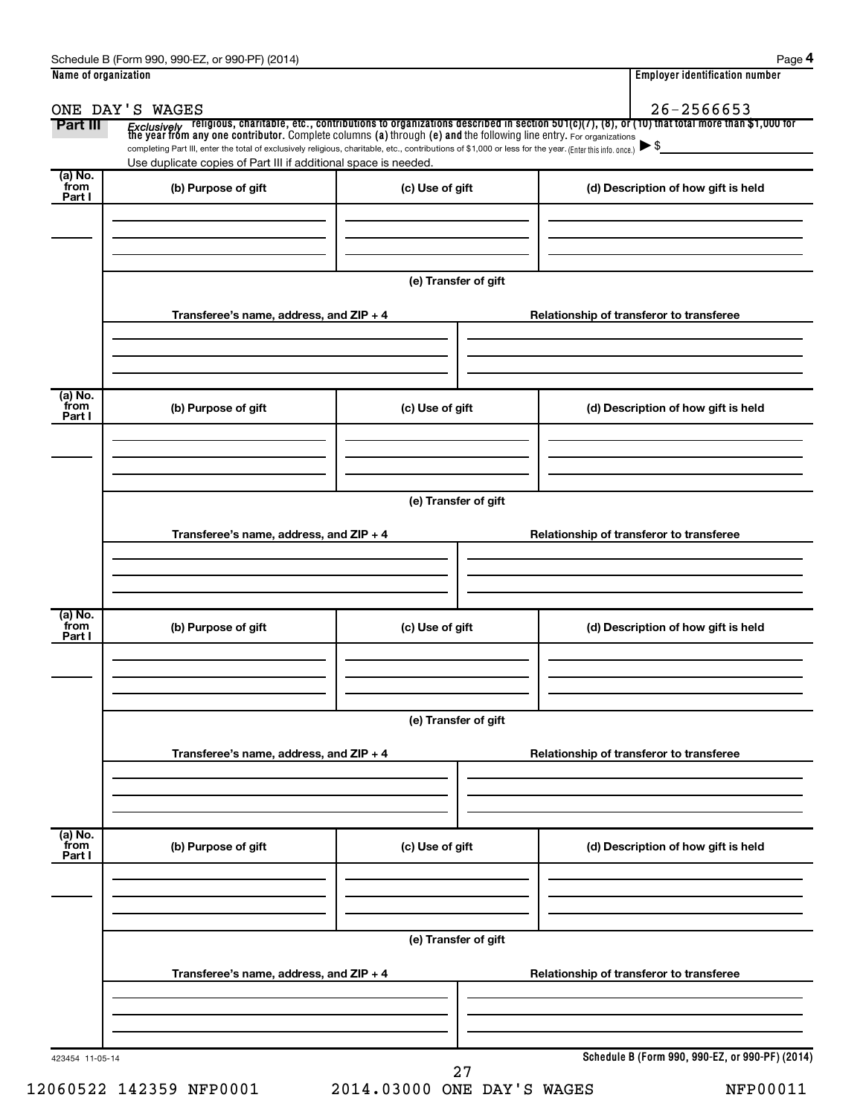| Part III                  | ONE DAY'S WAGES                                                                                                                                          |                      | $26 - 2566653$<br><i>Exclusively</i> religious, charitable, etc., contributions to organizations described in section 501(c)(7), (8), or (10) that total more than \$1,000 for<br>the year from any one contributor. Complete columns (a) through (e) and |
|---------------------------|----------------------------------------------------------------------------------------------------------------------------------------------------------|----------------------|-----------------------------------------------------------------------------------------------------------------------------------------------------------------------------------------------------------------------------------------------------------|
|                           | completing Part III, enter the total of exclusively religious, charitable, etc., contributions of \$1,000 or less for the year. (Enter this info. once.) |                      |                                                                                                                                                                                                                                                           |
|                           | Use duplicate copies of Part III if additional space is needed.                                                                                          |                      |                                                                                                                                                                                                                                                           |
| (a) No.<br>from<br>Part I | (b) Purpose of gift                                                                                                                                      | (c) Use of gift      | (d) Description of how gift is held                                                                                                                                                                                                                       |
|                           |                                                                                                                                                          | (e) Transfer of gift |                                                                                                                                                                                                                                                           |
|                           | Transferee's name, address, and ZIP + 4                                                                                                                  |                      | Relationship of transferor to transferee                                                                                                                                                                                                                  |
| (a) No.<br>from<br>Part I | (b) Purpose of gift                                                                                                                                      | (c) Use of gift      | (d) Description of how gift is held                                                                                                                                                                                                                       |
|                           |                                                                                                                                                          | (e) Transfer of gift |                                                                                                                                                                                                                                                           |
|                           |                                                                                                                                                          |                      |                                                                                                                                                                                                                                                           |
|                           | Transferee's name, address, and ZIP + 4                                                                                                                  |                      | Relationship of transferor to transferee                                                                                                                                                                                                                  |
|                           |                                                                                                                                                          |                      |                                                                                                                                                                                                                                                           |
| (a) No.<br>from<br>Part I | (b) Purpose of gift                                                                                                                                      | (c) Use of gift      | (d) Description of how gift is held                                                                                                                                                                                                                       |
|                           |                                                                                                                                                          | (e) Transfer of gift |                                                                                                                                                                                                                                                           |
|                           | Transferee's name, address, and ZIP + 4                                                                                                                  |                      | Relationship of transferor to transferee                                                                                                                                                                                                                  |
| (a) No.<br>from<br>Part I | (b) Purpose of gift                                                                                                                                      | (c) Use of gift      | (d) Description of how gift is held                                                                                                                                                                                                                       |
|                           |                                                                                                                                                          | (e) Transfer of gift |                                                                                                                                                                                                                                                           |
|                           | Transferee's name, address, and ZIP + 4                                                                                                                  |                      | Relationship of transferor to transferee                                                                                                                                                                                                                  |
|                           |                                                                                                                                                          |                      |                                                                                                                                                                                                                                                           |

<sup>12060522 142359</sup> NFP0001 2014.03000 ONE DAY'S WAGES NFP00011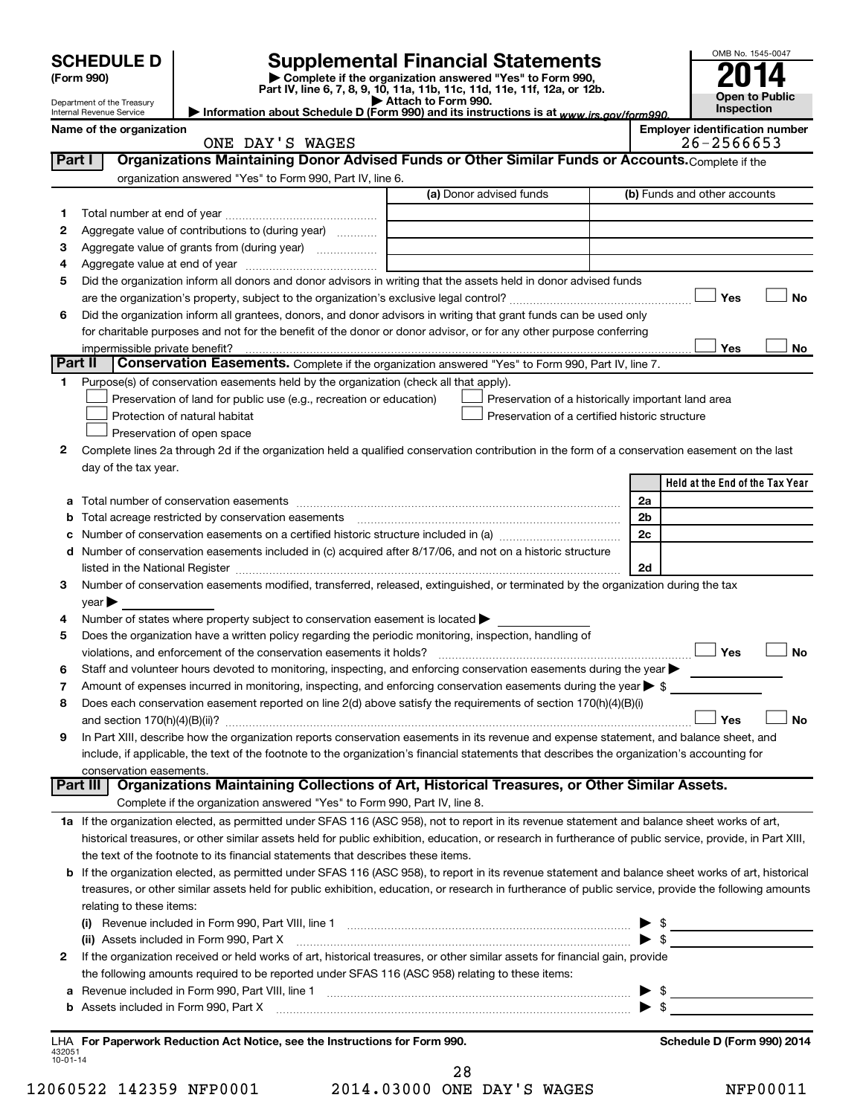|                          | <b>SCHEDULE D</b>                                      | <b>Supplemental Financial Statements</b>                                                                                                                                                                                                                                                                     |                     |                                                    |    | OMB No. 1545-0047                                       |
|--------------------------|--------------------------------------------------------|--------------------------------------------------------------------------------------------------------------------------------------------------------------------------------------------------------------------------------------------------------------------------------------------------------------|---------------------|----------------------------------------------------|----|---------------------------------------------------------|
|                          | (Form 990)                                             | Complete if the organization answered "Yes" to Form 990,                                                                                                                                                                                                                                                     |                     |                                                    |    |                                                         |
|                          |                                                        | Part IV, line 6, 7, 8, 9, 10, 11a, 11b, 11c, 11d, 11e, 11f, 12a, or 12b.                                                                                                                                                                                                                                     | Attach to Form 990. |                                                    |    | Open to Public                                          |
|                          | Department of the Treasury<br>Internal Revenue Service | Information about Schedule D (Form 990) and its instructions is at www.irs.gov/form990.                                                                                                                                                                                                                      |                     |                                                    |    | Inspection                                              |
|                          | Name of the organization                               | ONE DAY'S WAGES                                                                                                                                                                                                                                                                                              |                     |                                                    |    | <b>Employer identification number</b><br>$26 - 2566653$ |
| Part I                   |                                                        | Organizations Maintaining Donor Advised Funds or Other Similar Funds or Accounts. Complete if the                                                                                                                                                                                                            |                     |                                                    |    |                                                         |
|                          |                                                        | organization answered "Yes" to Form 990, Part IV, line 6.                                                                                                                                                                                                                                                    |                     |                                                    |    |                                                         |
|                          |                                                        |                                                                                                                                                                                                                                                                                                              |                     | (a) Donor advised funds                            |    | (b) Funds and other accounts                            |
| 1                        |                                                        |                                                                                                                                                                                                                                                                                                              |                     |                                                    |    |                                                         |
| 2                        |                                                        | Aggregate value of contributions to (during year)                                                                                                                                                                                                                                                            |                     |                                                    |    |                                                         |
| З                        |                                                        |                                                                                                                                                                                                                                                                                                              |                     |                                                    |    |                                                         |
| 4                        |                                                        |                                                                                                                                                                                                                                                                                                              |                     |                                                    |    |                                                         |
| 5                        |                                                        | Did the organization inform all donors and donor advisors in writing that the assets held in donor advised funds                                                                                                                                                                                             |                     |                                                    |    |                                                         |
|                          |                                                        |                                                                                                                                                                                                                                                                                                              |                     |                                                    |    | Yes<br>No                                               |
| 6                        |                                                        | Did the organization inform all grantees, donors, and donor advisors in writing that grant funds can be used only                                                                                                                                                                                            |                     |                                                    |    |                                                         |
|                          |                                                        | for charitable purposes and not for the benefit of the donor or donor advisor, or for any other purpose conferring                                                                                                                                                                                           |                     |                                                    |    |                                                         |
|                          | impermissible private benefit?                         |                                                                                                                                                                                                                                                                                                              |                     |                                                    |    | Yes<br>No.                                              |
| Part II                  |                                                        | Conservation Easements. Complete if the organization answered "Yes" to Form 990, Part IV, line 7.                                                                                                                                                                                                            |                     |                                                    |    |                                                         |
| 1                        |                                                        | Purpose(s) of conservation easements held by the organization (check all that apply).                                                                                                                                                                                                                        |                     |                                                    |    |                                                         |
|                          |                                                        | Preservation of land for public use (e.g., recreation or education)                                                                                                                                                                                                                                          |                     | Preservation of a historically important land area |    |                                                         |
|                          |                                                        | Protection of natural habitat                                                                                                                                                                                                                                                                                |                     | Preservation of a certified historic structure     |    |                                                         |
|                          |                                                        | Preservation of open space                                                                                                                                                                                                                                                                                   |                     |                                                    |    |                                                         |
| 2                        |                                                        | Complete lines 2a through 2d if the organization held a qualified conservation contribution in the form of a conservation easement on the last                                                                                                                                                               |                     |                                                    |    |                                                         |
|                          | day of the tax year.                                   |                                                                                                                                                                                                                                                                                                              |                     |                                                    |    | Held at the End of the Tax Year                         |
| а                        |                                                        |                                                                                                                                                                                                                                                                                                              |                     |                                                    | 2a |                                                         |
| b                        |                                                        | Total acreage restricted by conservation easements [11] matter conservation conservation of the set of the set of the set of the set of the set of the set of the set of the set of the set of the set of the set of the set o                                                                               |                     |                                                    | 2b |                                                         |
|                          |                                                        |                                                                                                                                                                                                                                                                                                              |                     |                                                    | 2c |                                                         |
| d                        |                                                        | Number of conservation easements included in (c) acquired after 8/17/06, and not on a historic structure                                                                                                                                                                                                     |                     |                                                    |    |                                                         |
|                          |                                                        |                                                                                                                                                                                                                                                                                                              |                     |                                                    | 2d |                                                         |
| 3                        |                                                        | Number of conservation easements modified, transferred, released, extinguished, or terminated by the organization during the tax                                                                                                                                                                             |                     |                                                    |    |                                                         |
|                          | $\vee$ ear $\blacktriangleright$                       |                                                                                                                                                                                                                                                                                                              |                     |                                                    |    |                                                         |
| 4                        |                                                        | Number of states where property subject to conservation easement is located $\blacktriangleright$                                                                                                                                                                                                            |                     |                                                    |    |                                                         |
| 5                        |                                                        | Does the organization have a written policy regarding the periodic monitoring, inspection, handling of                                                                                                                                                                                                       |                     |                                                    |    |                                                         |
|                          |                                                        |                                                                                                                                                                                                                                                                                                              |                     |                                                    |    | Yes<br>No                                               |
| 6                        |                                                        | Staff and volunteer hours devoted to monitoring, inspecting, and enforcing conservation easements during the year                                                                                                                                                                                            |                     |                                                    |    |                                                         |
| 7                        |                                                        | Amount of expenses incurred in monitoring, inspecting, and enforcing conservation easements during the year $\triangleright$ \$                                                                                                                                                                              |                     |                                                    |    |                                                         |
| 8                        |                                                        | Does each conservation easement reported on line 2(d) above satisfy the requirements of section 170(h)(4)(B)(i)                                                                                                                                                                                              |                     |                                                    |    |                                                         |
|                          |                                                        |                                                                                                                                                                                                                                                                                                              |                     |                                                    |    | Yes<br>No                                               |
| 9                        |                                                        | In Part XIII, describe how the organization reports conservation easements in its revenue and expense statement, and balance sheet, and                                                                                                                                                                      |                     |                                                    |    |                                                         |
|                          |                                                        | include, if applicable, the text of the footnote to the organization's financial statements that describes the organization's accounting for                                                                                                                                                                 |                     |                                                    |    |                                                         |
|                          | conservation easements.                                |                                                                                                                                                                                                                                                                                                              |                     |                                                    |    |                                                         |
|                          | Part III                                               | Organizations Maintaining Collections of Art, Historical Treasures, or Other Similar Assets.                                                                                                                                                                                                                 |                     |                                                    |    |                                                         |
|                          |                                                        | Complete if the organization answered "Yes" to Form 990, Part IV, line 8.                                                                                                                                                                                                                                    |                     |                                                    |    |                                                         |
|                          |                                                        | 1a If the organization elected, as permitted under SFAS 116 (ASC 958), not to report in its revenue statement and balance sheet works of art,                                                                                                                                                                |                     |                                                    |    |                                                         |
|                          |                                                        | historical treasures, or other similar assets held for public exhibition, education, or research in furtherance of public service, provide, in Part XIII,                                                                                                                                                    |                     |                                                    |    |                                                         |
|                          |                                                        | the text of the footnote to its financial statements that describes these items.                                                                                                                                                                                                                             |                     |                                                    |    |                                                         |
|                          |                                                        | b If the organization elected, as permitted under SFAS 116 (ASC 958), to report in its revenue statement and balance sheet works of art, historical<br>treasures, or other similar assets held for public exhibition, education, or research in furtherance of public service, provide the following amounts |                     |                                                    |    |                                                         |
|                          | relating to these items:                               |                                                                                                                                                                                                                                                                                                              |                     |                                                    |    |                                                         |
|                          |                                                        |                                                                                                                                                                                                                                                                                                              |                     |                                                    |    |                                                         |
|                          |                                                        | (ii) Assets included in Form 990, Part X                                                                                                                                                                                                                                                                     |                     |                                                    |    | $\triangleright$ \$                                     |
| 2                        |                                                        | If the organization received or held works of art, historical treasures, or other similar assets for financial gain, provide                                                                                                                                                                                 |                     |                                                    |    |                                                         |
|                          |                                                        | the following amounts required to be reported under SFAS 116 (ASC 958) relating to these items:                                                                                                                                                                                                              |                     |                                                    |    |                                                         |
| а                        |                                                        |                                                                                                                                                                                                                                                                                                              |                     |                                                    |    |                                                         |
| b                        |                                                        | Assets included in Form 990, Part X [111] Assets included in Form 990, Part X [11] Assets included in Form 990, Part X                                                                                                                                                                                       |                     |                                                    |    |                                                         |
|                          |                                                        |                                                                                                                                                                                                                                                                                                              |                     |                                                    |    |                                                         |
|                          |                                                        | LHA For Paperwork Reduction Act Notice, see the Instructions for Form 990.                                                                                                                                                                                                                                   |                     |                                                    |    | Schedule D (Form 990) 2014                              |
| 432051<br>$10 - 01 - 14$ |                                                        |                                                                                                                                                                                                                                                                                                              |                     |                                                    |    |                                                         |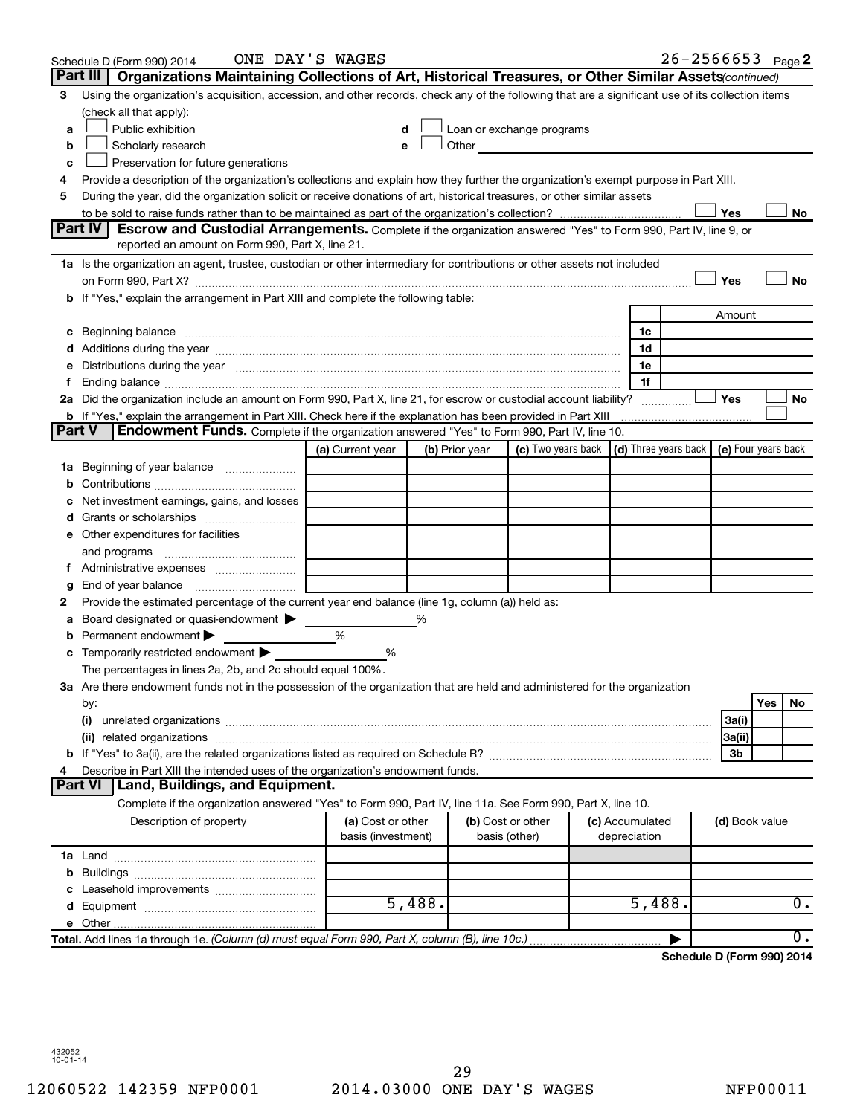|               | ONE DAY'S WAGES<br>Schedule D (Form 990) 2014                                                                                                                                                                                  |                    |        |                |                                                                                                                                                                                                                                |                 | $26 - 2566653$ Page 2                                    |                |     |    |
|---------------|--------------------------------------------------------------------------------------------------------------------------------------------------------------------------------------------------------------------------------|--------------------|--------|----------------|--------------------------------------------------------------------------------------------------------------------------------------------------------------------------------------------------------------------------------|-----------------|----------------------------------------------------------|----------------|-----|----|
|               | Part III   Organizations Maintaining Collections of Art, Historical Treasures, or Other Similar Assets (continued)                                                                                                             |                    |        |                |                                                                                                                                                                                                                                |                 |                                                          |                |     |    |
| 3             | Using the organization's acquisition, accession, and other records, check any of the following that are a significant use of its collection items                                                                              |                    |        |                |                                                                                                                                                                                                                                |                 |                                                          |                |     |    |
|               | (check all that apply):                                                                                                                                                                                                        |                    |        |                |                                                                                                                                                                                                                                |                 |                                                          |                |     |    |
| a             | Public exhibition                                                                                                                                                                                                              | d                  |        |                | Loan or exchange programs                                                                                                                                                                                                      |                 |                                                          |                |     |    |
| b             | Scholarly research                                                                                                                                                                                                             |                    |        |                | Other and the control of the control of the control of the control of the control of the control of the control of the control of the control of the control of the control of the control of the control of the control of th |                 |                                                          |                |     |    |
| c             | Preservation for future generations                                                                                                                                                                                            |                    |        |                |                                                                                                                                                                                                                                |                 |                                                          |                |     |    |
| 4             | Provide a description of the organization's collections and explain how they further the organization's exempt purpose in Part XIII.                                                                                           |                    |        |                |                                                                                                                                                                                                                                |                 |                                                          |                |     |    |
| 5             | During the year, did the organization solicit or receive donations of art, historical treasures, or other similar assets                                                                                                       |                    |        |                |                                                                                                                                                                                                                                |                 |                                                          |                |     |    |
|               |                                                                                                                                                                                                                                |                    |        |                |                                                                                                                                                                                                                                |                 |                                                          | Yes            |     | No |
|               | Part IV<br>Escrow and Custodial Arrangements. Complete if the organization answered "Yes" to Form 990, Part IV, line 9, or<br>reported an amount on Form 990, Part X, line 21.                                                 |                    |        |                |                                                                                                                                                                                                                                |                 |                                                          |                |     |    |
|               |                                                                                                                                                                                                                                |                    |        |                |                                                                                                                                                                                                                                |                 |                                                          |                |     |    |
|               | 1a Is the organization an agent, trustee, custodian or other intermediary for contributions or other assets not included                                                                                                       |                    |        |                |                                                                                                                                                                                                                                |                 |                                                          | Yes            |     | No |
|               | <b>b</b> If "Yes," explain the arrangement in Part XIII and complete the following table:                                                                                                                                      |                    |        |                |                                                                                                                                                                                                                                |                 |                                                          |                |     |    |
|               |                                                                                                                                                                                                                                |                    |        |                |                                                                                                                                                                                                                                |                 |                                                          | Amount         |     |    |
| c             | Beginning balance manufacture contracts and contracts and contracts and contracts and contracts and contracts and contracts and contracts and contracts and contracts and contracts and contracts and contracts and contracts  |                    |        |                |                                                                                                                                                                                                                                | 1c              |                                                          |                |     |    |
|               |                                                                                                                                                                                                                                |                    |        |                |                                                                                                                                                                                                                                | 1d              |                                                          |                |     |    |
|               | Distributions during the year measurement contains and all the year measurement of the state of the state of the state of the state of the state of the state of the state of the state of the state of the state of the state |                    |        |                |                                                                                                                                                                                                                                | 1e              |                                                          |                |     |    |
|               |                                                                                                                                                                                                                                |                    |        |                |                                                                                                                                                                                                                                | 1f              |                                                          |                |     |    |
|               | 2a Did the organization include an amount on Form 990, Part X, line 21, for escrow or custodial account liability?                                                                                                             |                    |        |                |                                                                                                                                                                                                                                |                 |                                                          | Yes            |     | No |
|               | <b>b</b> If "Yes," explain the arrangement in Part XIII. Check here if the explanation has been provided in Part XIII                                                                                                          |                    |        |                |                                                                                                                                                                                                                                |                 |                                                          |                |     |    |
| <b>Part V</b> | Endowment Funds. Complete if the organization answered "Yes" to Form 990, Part IV, line 10.                                                                                                                                    |                    |        |                |                                                                                                                                                                                                                                |                 |                                                          |                |     |    |
|               |                                                                                                                                                                                                                                | (a) Current year   |        | (b) Prior year | (c) Two years back                                                                                                                                                                                                             |                 | $\vert$ (d) Three years back $\vert$ (e) Four years back |                |     |    |
| ٦а            | Beginning of year balance                                                                                                                                                                                                      |                    |        |                |                                                                                                                                                                                                                                |                 |                                                          |                |     |    |
|               |                                                                                                                                                                                                                                |                    |        |                |                                                                                                                                                                                                                                |                 |                                                          |                |     |    |
|               | Net investment earnings, gains, and losses                                                                                                                                                                                     |                    |        |                |                                                                                                                                                                                                                                |                 |                                                          |                |     |    |
|               | Grants or scholarships                                                                                                                                                                                                         |                    |        |                |                                                                                                                                                                                                                                |                 |                                                          |                |     |    |
|               | e Other expenditures for facilities                                                                                                                                                                                            |                    |        |                |                                                                                                                                                                                                                                |                 |                                                          |                |     |    |
|               | and programs                                                                                                                                                                                                                   |                    |        |                |                                                                                                                                                                                                                                |                 |                                                          |                |     |    |
|               |                                                                                                                                                                                                                                |                    |        |                |                                                                                                                                                                                                                                |                 |                                                          |                |     |    |
|               | End of year balance                                                                                                                                                                                                            |                    |        |                |                                                                                                                                                                                                                                |                 |                                                          |                |     |    |
| 2             | Provide the estimated percentage of the current year end balance (line 1g, column (a)) held as:                                                                                                                                |                    |        |                |                                                                                                                                                                                                                                |                 |                                                          |                |     |    |
|               | Board designated or quasi-endowment                                                                                                                                                                                            |                    | %      |                |                                                                                                                                                                                                                                |                 |                                                          |                |     |    |
|               | Permanent endowment                                                                                                                                                                                                            | %                  |        |                |                                                                                                                                                                                                                                |                 |                                                          |                |     |    |
| с             | Temporarily restricted endowment                                                                                                                                                                                               | %                  |        |                |                                                                                                                                                                                                                                |                 |                                                          |                |     |    |
|               | The percentages in lines 2a, 2b, and 2c should equal 100%.                                                                                                                                                                     |                    |        |                |                                                                                                                                                                                                                                |                 |                                                          |                |     |    |
|               | 3a Are there endowment funds not in the possession of the organization that are held and administered for the organization                                                                                                     |                    |        |                |                                                                                                                                                                                                                                |                 |                                                          |                |     |    |
|               | by:                                                                                                                                                                                                                            |                    |        |                |                                                                                                                                                                                                                                |                 |                                                          |                | Yes | No |
|               | (i)                                                                                                                                                                                                                            |                    |        |                |                                                                                                                                                                                                                                |                 |                                                          | 3a(i)          |     |    |
|               | (ii) related organizations                                                                                                                                                                                                     |                    |        |                |                                                                                                                                                                                                                                |                 |                                                          | 3a(ii)<br>3b   |     |    |
|               | Describe in Part XIII the intended uses of the organization's endowment funds.                                                                                                                                                 |                    |        |                |                                                                                                                                                                                                                                |                 |                                                          |                |     |    |
|               | Land, Buildings, and Equipment.<br>Part VI                                                                                                                                                                                     |                    |        |                |                                                                                                                                                                                                                                |                 |                                                          |                |     |    |
|               | Complete if the organization answered "Yes" to Form 990, Part IV, line 11a. See Form 990, Part X, line 10.                                                                                                                     |                    |        |                |                                                                                                                                                                                                                                |                 |                                                          |                |     |    |
|               | Description of property                                                                                                                                                                                                        | (a) Cost or other  |        |                | (b) Cost or other                                                                                                                                                                                                              | (c) Accumulated |                                                          | (d) Book value |     |    |
|               |                                                                                                                                                                                                                                | basis (investment) |        |                | basis (other)                                                                                                                                                                                                                  | depreciation    |                                                          |                |     |    |
|               |                                                                                                                                                                                                                                |                    |        |                |                                                                                                                                                                                                                                |                 |                                                          |                |     |    |
| b             |                                                                                                                                                                                                                                |                    |        |                |                                                                                                                                                                                                                                |                 |                                                          |                |     |    |
|               | Leasehold improvements                                                                                                                                                                                                         |                    |        |                |                                                                                                                                                                                                                                |                 |                                                          |                |     |    |
|               |                                                                                                                                                                                                                                |                    | 5,488. |                |                                                                                                                                                                                                                                | 5,488.          |                                                          |                |     | Ο. |
|               |                                                                                                                                                                                                                                |                    |        |                |                                                                                                                                                                                                                                |                 |                                                          |                |     |    |
|               | Total. Add lines 1a through 1e. (Column (d) must equal Form 990, Part X, column (B), line 10c.)                                                                                                                                |                    |        |                |                                                                                                                                                                                                                                |                 |                                                          |                |     | ο. |
|               |                                                                                                                                                                                                                                |                    |        |                |                                                                                                                                                                                                                                |                 | Schodule D (Form 990) 2014                               |                |     |    |

**Schedule D (Form 990) 2014**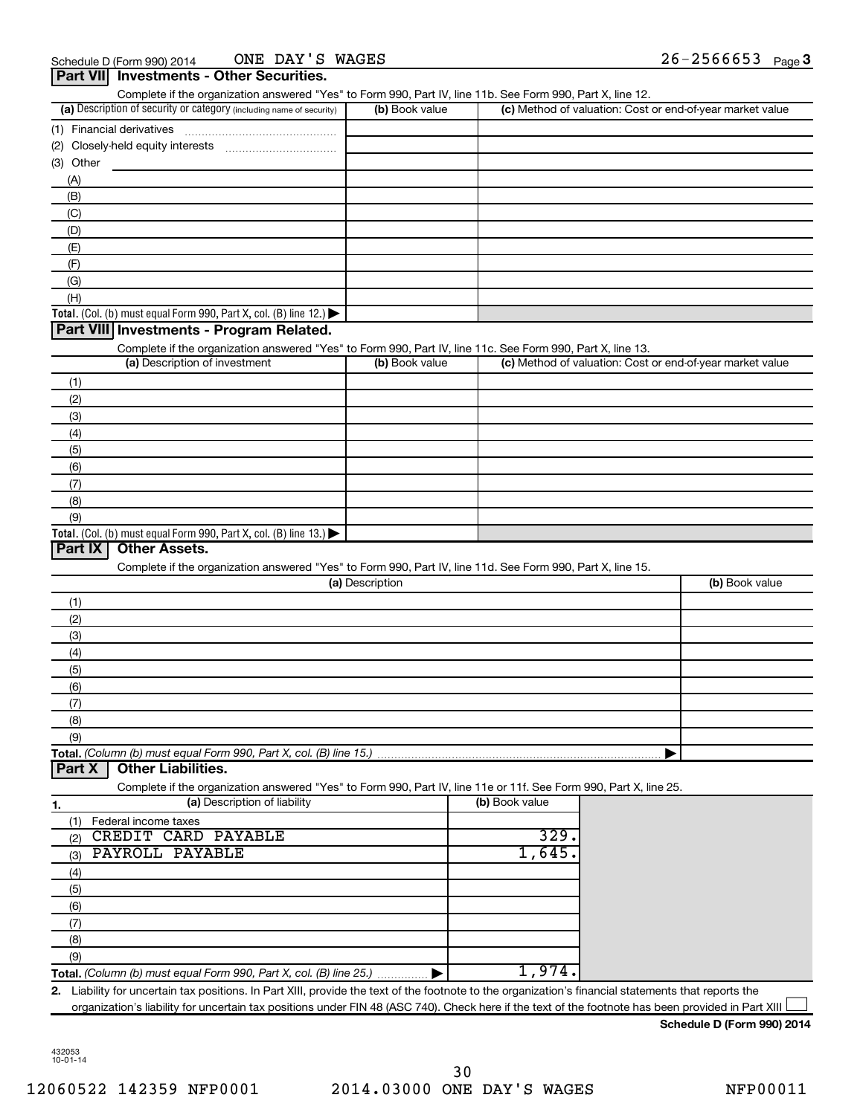| Complete if the organization answered "Yes" to Form 990, Part IV, line 11b. See Form 990, Part X, line 12.                                                                                                                                                                                                 |                 |                |                                                           |
|------------------------------------------------------------------------------------------------------------------------------------------------------------------------------------------------------------------------------------------------------------------------------------------------------------|-----------------|----------------|-----------------------------------------------------------|
| (a) Description of security or category (including name of security)                                                                                                                                                                                                                                       | (b) Book value  |                | (c) Method of valuation: Cost or end-of-year market value |
|                                                                                                                                                                                                                                                                                                            |                 |                |                                                           |
| (2)                                                                                                                                                                                                                                                                                                        |                 |                |                                                           |
| (3) Other                                                                                                                                                                                                                                                                                                  |                 |                |                                                           |
| (A)                                                                                                                                                                                                                                                                                                        |                 |                |                                                           |
| (B)                                                                                                                                                                                                                                                                                                        |                 |                |                                                           |
| (C)                                                                                                                                                                                                                                                                                                        |                 |                |                                                           |
| (D)                                                                                                                                                                                                                                                                                                        |                 |                |                                                           |
| (E)                                                                                                                                                                                                                                                                                                        |                 |                |                                                           |
|                                                                                                                                                                                                                                                                                                            |                 |                |                                                           |
| (F)                                                                                                                                                                                                                                                                                                        |                 |                |                                                           |
| (G)                                                                                                                                                                                                                                                                                                        |                 |                |                                                           |
| (H)                                                                                                                                                                                                                                                                                                        |                 |                |                                                           |
| Total. (Col. (b) must equal Form 990, Part X, col. (B) line 12.) $\blacktriangleright$                                                                                                                                                                                                                     |                 |                |                                                           |
| Part VIII Investments - Program Related.                                                                                                                                                                                                                                                                   |                 |                |                                                           |
| Complete if the organization answered "Yes" to Form 990, Part IV, line 11c. See Form 990, Part X, line 13.                                                                                                                                                                                                 |                 |                |                                                           |
| (a) Description of investment                                                                                                                                                                                                                                                                              | (b) Book value  |                | (c) Method of valuation: Cost or end-of-year market value |
| (1)                                                                                                                                                                                                                                                                                                        |                 |                |                                                           |
| (2)                                                                                                                                                                                                                                                                                                        |                 |                |                                                           |
| (3)                                                                                                                                                                                                                                                                                                        |                 |                |                                                           |
| (4)                                                                                                                                                                                                                                                                                                        |                 |                |                                                           |
|                                                                                                                                                                                                                                                                                                            |                 |                |                                                           |
| (5)                                                                                                                                                                                                                                                                                                        |                 |                |                                                           |
| (6)                                                                                                                                                                                                                                                                                                        |                 |                |                                                           |
| (7)                                                                                                                                                                                                                                                                                                        |                 |                |                                                           |
| (8)                                                                                                                                                                                                                                                                                                        |                 |                |                                                           |
| (9)                                                                                                                                                                                                                                                                                                        |                 |                |                                                           |
| Total. (Col. (b) must equal Form 990, Part X, col. (B) line 13.) $\blacktriangleright$                                                                                                                                                                                                                     |                 |                |                                                           |
| <b>Other Assets.</b><br>Part IX                                                                                                                                                                                                                                                                            |                 |                |                                                           |
| Complete if the organization answered "Yes" to Form 990, Part IV, line 11d. See Form 990, Part X, line 15.                                                                                                                                                                                                 |                 |                |                                                           |
|                                                                                                                                                                                                                                                                                                            | (a) Description |                | (b) Book value                                            |
| (1)                                                                                                                                                                                                                                                                                                        |                 |                |                                                           |
| (2)                                                                                                                                                                                                                                                                                                        |                 |                |                                                           |
|                                                                                                                                                                                                                                                                                                            |                 |                |                                                           |
| (3)                                                                                                                                                                                                                                                                                                        |                 |                |                                                           |
| (4)                                                                                                                                                                                                                                                                                                        |                 |                |                                                           |
| (5)                                                                                                                                                                                                                                                                                                        |                 |                |                                                           |
| (6)                                                                                                                                                                                                                                                                                                        |                 |                |                                                           |
| (7)                                                                                                                                                                                                                                                                                                        |                 |                |                                                           |
| (8)                                                                                                                                                                                                                                                                                                        |                 |                |                                                           |
| (9)                                                                                                                                                                                                                                                                                                        |                 |                |                                                           |
|                                                                                                                                                                                                                                                                                                            |                 |                |                                                           |
| <b>Other Liabilities.</b><br>Part X                                                                                                                                                                                                                                                                        |                 |                |                                                           |
| Complete if the organization answered "Yes" to Form 990, Part IV, line 11e or 11f. See Form 990, Part X, line 25.                                                                                                                                                                                          |                 |                |                                                           |
| (a) Description of liability                                                                                                                                                                                                                                                                               |                 | (b) Book value |                                                           |
| 1.                                                                                                                                                                                                                                                                                                         |                 |                |                                                           |
| Federal income taxes<br>(1)<br>CREDIT CARD PAYABLE                                                                                                                                                                                                                                                         |                 | 329.           |                                                           |
| (2)                                                                                                                                                                                                                                                                                                        |                 |                |                                                           |
| PAYROLL PAYABLE<br>(3)                                                                                                                                                                                                                                                                                     |                 | 1,645.         |                                                           |
| (4)                                                                                                                                                                                                                                                                                                        |                 |                |                                                           |
| (5)                                                                                                                                                                                                                                                                                                        |                 |                |                                                           |
| (6)                                                                                                                                                                                                                                                                                                        |                 |                |                                                           |
| (7)                                                                                                                                                                                                                                                                                                        |                 |                |                                                           |
| (8)                                                                                                                                                                                                                                                                                                        |                 |                |                                                           |
|                                                                                                                                                                                                                                                                                                            |                 |                |                                                           |
|                                                                                                                                                                                                                                                                                                            |                 |                |                                                           |
| (9)                                                                                                                                                                                                                                                                                                        |                 |                |                                                           |
| Total. (Column (b) must equal Form 990, Part X, col. (B) line 25.) ▶                                                                                                                                                                                                                                       |                 | 1,974.         |                                                           |
| 2. Liability for uncertain tax positions. In Part XIII, provide the text of the footnote to the organization's financial statements that reports the<br>organization's liability for uncertain tax positions under FIN 48 (ASC 740). Check here if the text of the footnote has been provided in Part XIII |                 |                |                                                           |

**Schedule D (Form 990) 2014**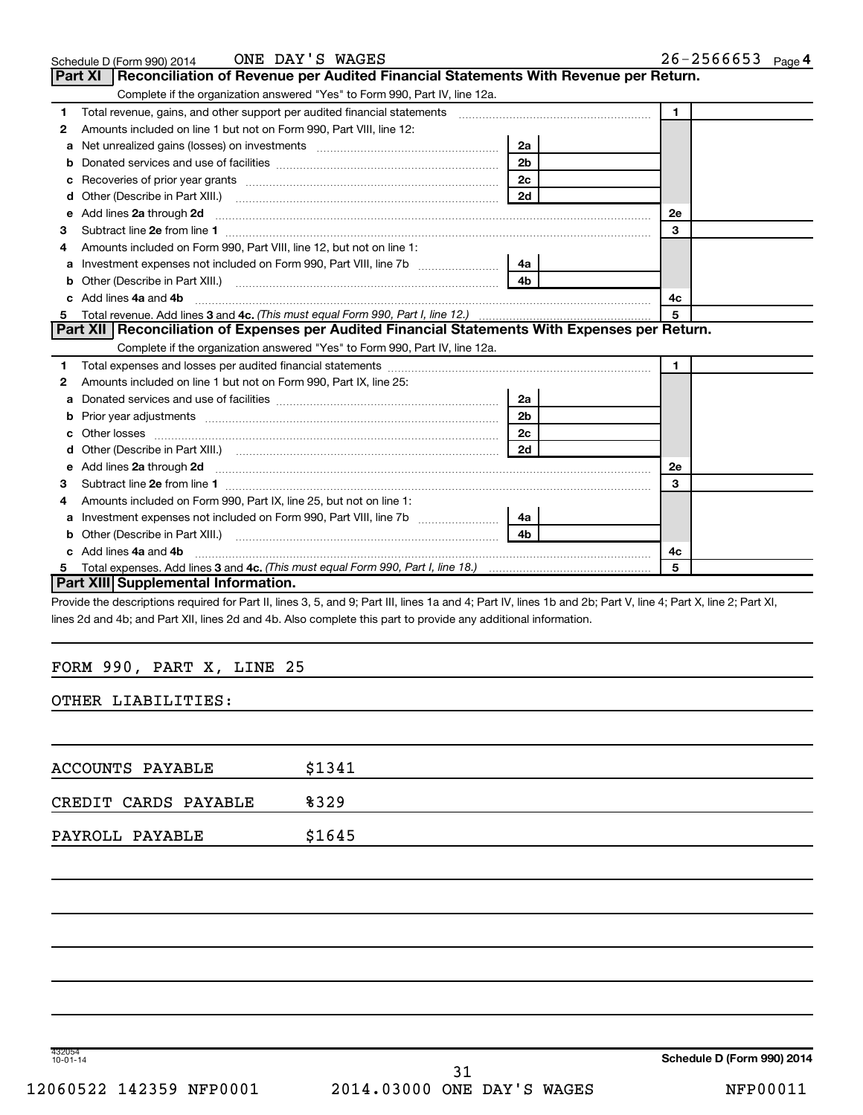|   | ONE DAY'S WAGES<br>Schedule D (Form 990) 2014                                                                                                                                                                                        |                | $26 - 2566653$ Page 4 |
|---|--------------------------------------------------------------------------------------------------------------------------------------------------------------------------------------------------------------------------------------|----------------|-----------------------|
|   | Part XI   Reconciliation of Revenue per Audited Financial Statements With Revenue per Return.                                                                                                                                        |                |                       |
|   | Complete if the organization answered "Yes" to Form 990, Part IV, line 12a.                                                                                                                                                          |                |                       |
| 1 | Total revenue, gains, and other support per audited financial statements [[[[[[[[[[[[[[[[[[[[[[[[[]]]]]]]]]]]                                                                                                                        |                | $\mathbf{1}$          |
| 2 | Amounts included on line 1 but not on Form 990, Part VIII, line 12:                                                                                                                                                                  |                |                       |
| a |                                                                                                                                                                                                                                      | 2a             |                       |
| b |                                                                                                                                                                                                                                      | 2 <sub>b</sub> |                       |
| с |                                                                                                                                                                                                                                      | 2c             |                       |
| d |                                                                                                                                                                                                                                      | 2d             |                       |
| е | Add lines 2a through 2d <b>continuum contract and all contract and all contract and all contract and all contract and all contract and all contract and all contract and all contract and all contract and all contract and all </b> |                | <b>2e</b>             |
| 3 |                                                                                                                                                                                                                                      |                | 3                     |
|   | Amounts included on Form 990, Part VIII, line 12, but not on line 1:                                                                                                                                                                 |                |                       |
| a |                                                                                                                                                                                                                                      | 4a             |                       |
| b |                                                                                                                                                                                                                                      | 4 <sub>b</sub> |                       |
|   | Add lines 4a and 4b                                                                                                                                                                                                                  | 4c             |                       |
| 5 |                                                                                                                                                                                                                                      | 5              |                       |
|   | Part XII   Reconciliation of Expenses per Audited Financial Statements With Expenses per Return.                                                                                                                                     |                |                       |
|   | Complete if the organization answered "Yes" to Form 990, Part IV, line 12a.                                                                                                                                                          |                |                       |
| 1 |                                                                                                                                                                                                                                      |                | $\mathbf{1}$          |
| 2 | Amounts included on line 1 but not on Form 990, Part IX, line 25:                                                                                                                                                                    |                |                       |
| a |                                                                                                                                                                                                                                      | 2a             |                       |
| b |                                                                                                                                                                                                                                      | 2 <sub>b</sub> |                       |
|   |                                                                                                                                                                                                                                      | 2c             |                       |
|   |                                                                                                                                                                                                                                      | 2d             |                       |
| e | Add lines 2a through 2d <b>must be a constructed as the constant of the constant of the constant of the construction</b>                                                                                                             |                | 2е                    |
| 3 |                                                                                                                                                                                                                                      |                | 3                     |
| 4 | Amounts included on Form 990, Part IX, line 25, but not on line 1:                                                                                                                                                                   |                |                       |
| a |                                                                                                                                                                                                                                      | 4a             |                       |
|   |                                                                                                                                                                                                                                      | 4b             |                       |
|   | Add lines 4a and 4b                                                                                                                                                                                                                  |                | 4c                    |
| 5 |                                                                                                                                                                                                                                      |                | 5                     |
|   | Part XIII Supplemental Information.                                                                                                                                                                                                  |                |                       |

Provide the descriptions required for Part II, lines 3, 5, and 9; Part III, lines 1a and 4; Part IV, lines 1b and 2b; Part V, line 4; Part X, line 2; Part XI, lines 2d and 4b; and Part XII, lines 2d and 4b. Also complete this part to provide any additional information.

#### FORM 990, PART X, LINE 25

#### OTHER LIABILITIES:

| ACCOUNTS PAYABLE     | \$1341 |
|----------------------|--------|
| CREDIT CARDS PAYABLE | 8329   |
| PAYROLL PAYABLE      | \$1645 |

**Schedule D (Form 990) 2014**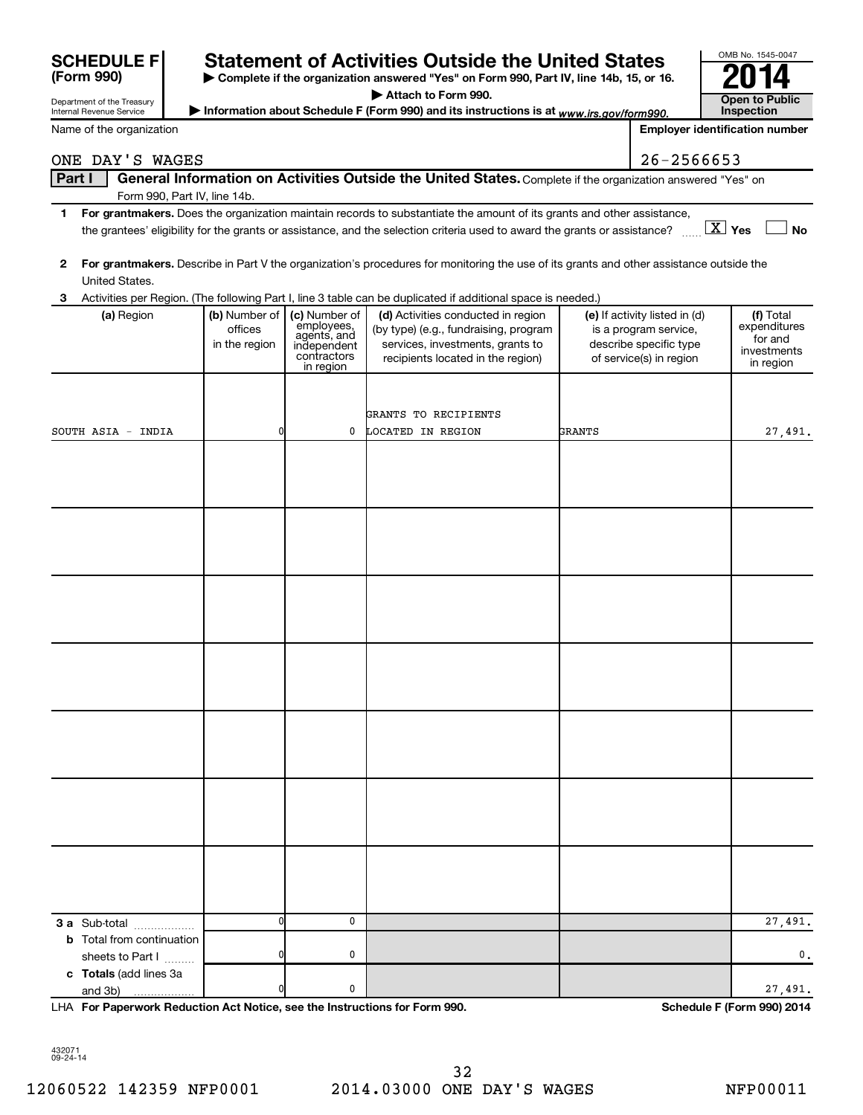| Т.           |                                  |                                           |                                                                                       | For grantmakers. Does the organization maintain records to substantiate the amount of its grants and other assistance,                               |                                                                                                             |                                                                  |
|--------------|----------------------------------|-------------------------------------------|---------------------------------------------------------------------------------------|------------------------------------------------------------------------------------------------------------------------------------------------------|-------------------------------------------------------------------------------------------------------------|------------------------------------------------------------------|
|              |                                  |                                           |                                                                                       | the grantees' eligibility for the grants or assistance, and the selection criteria used to award the grants or assistance?                           | $\boxed{\text{X}}$ Yes                                                                                      | <b>No</b>                                                        |
|              |                                  |                                           |                                                                                       |                                                                                                                                                      |                                                                                                             |                                                                  |
| $\mathbf{2}$ | United States.                   |                                           |                                                                                       | For grantmakers. Describe in Part V the organization's procedures for monitoring the use of its grants and other assistance outside the              |                                                                                                             |                                                                  |
| 3            |                                  |                                           |                                                                                       | Activities per Region. (The following Part I, line 3 table can be duplicated if additional space is needed.)                                         |                                                                                                             |                                                                  |
|              | (a) Region                       | (b) Number of<br>offices<br>in the region | (c) Number of<br>employees,<br>agents, and<br>independent<br>contractors<br>in region | (d) Activities conducted in region<br>(by type) (e.g., fundraising, program<br>services, investments, grants to<br>recipients located in the region) | (e) If activity listed in (d)<br>is a program service,<br>describe specific type<br>of service(s) in region | (f) Total<br>expenditures<br>for and<br>investments<br>in region |
|              |                                  |                                           |                                                                                       | GRANTS TO RECIPIENTS                                                                                                                                 |                                                                                                             |                                                                  |
|              | SOUTH ASIA - INDIA               | 01                                        | 0                                                                                     | LOCATED IN REGION                                                                                                                                    | GRANTS                                                                                                      | 27,491.                                                          |
|              |                                  |                                           |                                                                                       |                                                                                                                                                      |                                                                                                             |                                                                  |
|              |                                  |                                           |                                                                                       |                                                                                                                                                      |                                                                                                             |                                                                  |
|              |                                  |                                           |                                                                                       |                                                                                                                                                      |                                                                                                             |                                                                  |
|              |                                  |                                           |                                                                                       |                                                                                                                                                      |                                                                                                             |                                                                  |
|              |                                  |                                           |                                                                                       |                                                                                                                                                      |                                                                                                             |                                                                  |
|              |                                  |                                           |                                                                                       |                                                                                                                                                      |                                                                                                             |                                                                  |
|              |                                  |                                           |                                                                                       |                                                                                                                                                      |                                                                                                             |                                                                  |
|              | 3 a Sub-total                    | οI                                        | $\mathbf 0$                                                                           |                                                                                                                                                      |                                                                                                             | 27,491.                                                          |
|              | <b>b</b> Total from continuation |                                           |                                                                                       |                                                                                                                                                      |                                                                                                             |                                                                  |
|              | sheets to Part I                 | ŋ                                         | 0                                                                                     |                                                                                                                                                      |                                                                                                             | $\mathbf{0}$ .                                                   |
|              | c Totals (add lines 3a           |                                           |                                                                                       |                                                                                                                                                      |                                                                                                             |                                                                  |

|              | Department of the Treasury<br><b>Internal Revenue Service</b> | Information about Schedule F (Form 990) and its instructions is at www.irs.gov/form990.                                                                                                                                                              | <b>Open to Public</b><br><b>Inspection</b> |                                       |
|--------------|---------------------------------------------------------------|------------------------------------------------------------------------------------------------------------------------------------------------------------------------------------------------------------------------------------------------------|--------------------------------------------|---------------------------------------|
|              | Name of the organization                                      |                                                                                                                                                                                                                                                      |                                            | <b>Employer identification number</b> |
|              | ONE DAY'S WAGES                                               |                                                                                                                                                                                                                                                      | $26 - 2566653$                             |                                       |
|              | Part I                                                        | General Information on Activities Outside the United States. Complete if the organization answered "Yes" on                                                                                                                                          |                                            |                                       |
|              |                                                               | Form 990, Part IV, line 14b.                                                                                                                                                                                                                         |                                            |                                       |
|              |                                                               | For grantmakers. Does the organization maintain records to substantiate the amount of its grants and other assistance,<br>the grantees' eligibility for the grants or assistance, and the selection criteria used to award the grants or assistance? |                                            | $\overline{X}$ Yes<br>Nο              |
| $\mathbf{2}$ | United States.                                                | For grantmakers. Describe in Part V the organization's procedures for monitoring the use of its grants and other assistance outside the                                                                                                              |                                            |                                       |

| <b>SCHEDULE FI</b> | <b>Statement of Activities Outside the United States</b>                                 | OMB No. 1545-00 |
|--------------------|------------------------------------------------------------------------------------------|-----------------|
| (Form 990)         | ▶ Complete if the organization answered "Yes" on Form 990, Part IV, line 14b, 15, or 16. | 2014            |
|                    |                                                                                          |                 |

**| Attach to Form 990.**

Internal Revenue Service

432071 09-24-14

and 3b)

**For Paperwork Reduction Act Notice, see the Instructions for Form 990. Schedule F (Form 990) 2014** LHA

0 0 0  $\vert$ 

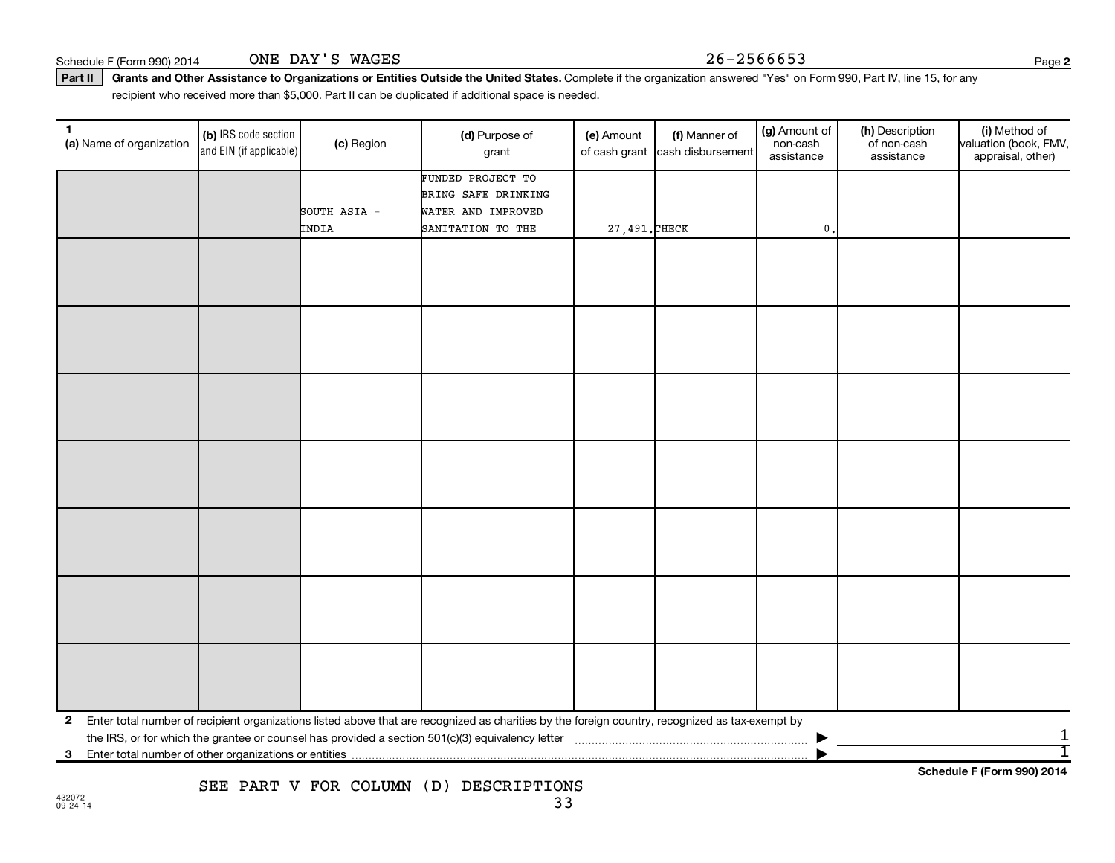Schedule F (Form 990) 2014 ONE DAY'S WAGES 26-2566653

Part II | Grants and Other Assistance to Organizations or Entities Outside the United States. Complete if the organization answered "Yes" on Form 990, Part IV, line 15, for any recipient who received more than \$5,000. Part II can be duplicated if additional space is needed.

| $\mathbf{1}$<br>(a) Name of organization | (b) IRS code section<br>and EIN (if applicable) | (c) Region   | (d) Purpose of<br>grant                                                                                                                         | (e) Amount     | (f) Manner of<br>of cash grant cash disbursement | (g) Amount of<br>non-cash<br>assistance | (h) Description<br>of non-cash<br>assistance | (i) Method of<br>valuation (book, FMV,<br>appraisal, other) |  |
|------------------------------------------|-------------------------------------------------|--------------|-------------------------------------------------------------------------------------------------------------------------------------------------|----------------|--------------------------------------------------|-----------------------------------------|----------------------------------------------|-------------------------------------------------------------|--|
|                                          |                                                 | SOUTH ASIA - | FUNDED PROJECT TO<br>BRING SAFE DRINKING<br>WATER AND IMPROVED                                                                                  |                |                                                  |                                         |                                              |                                                             |  |
|                                          |                                                 | INDIA        | SANITATION TO THE                                                                                                                               | 27, 491. CHECK |                                                  | 0.                                      |                                              |                                                             |  |
|                                          |                                                 |              |                                                                                                                                                 |                |                                                  |                                         |                                              |                                                             |  |
|                                          |                                                 |              |                                                                                                                                                 |                |                                                  |                                         |                                              |                                                             |  |
|                                          |                                                 |              |                                                                                                                                                 |                |                                                  |                                         |                                              |                                                             |  |
|                                          |                                                 |              |                                                                                                                                                 |                |                                                  |                                         |                                              |                                                             |  |
|                                          |                                                 |              |                                                                                                                                                 |                |                                                  |                                         |                                              |                                                             |  |
|                                          |                                                 |              |                                                                                                                                                 |                |                                                  |                                         |                                              |                                                             |  |
|                                          |                                                 |              |                                                                                                                                                 |                |                                                  |                                         |                                              |                                                             |  |
|                                          |                                                 |              |                                                                                                                                                 |                |                                                  |                                         |                                              |                                                             |  |
|                                          |                                                 |              |                                                                                                                                                 |                |                                                  |                                         |                                              |                                                             |  |
|                                          |                                                 |              |                                                                                                                                                 |                |                                                  |                                         |                                              |                                                             |  |
|                                          |                                                 |              |                                                                                                                                                 |                |                                                  |                                         |                                              |                                                             |  |
| $\mathbf{2}$                             |                                                 |              | Enter total number of recipient organizations listed above that are recognized as charities by the foreign country, recognized as tax-exempt by |                |                                                  |                                         |                                              |                                                             |  |
| 3                                        | Cahadule E (Faum 000) 0014                      |              |                                                                                                                                                 |                |                                                  |                                         |                                              |                                                             |  |

SEE PART V FOR COLUMN (D) DESCRIPTIONS

**Schedule F (Form 990) 2014**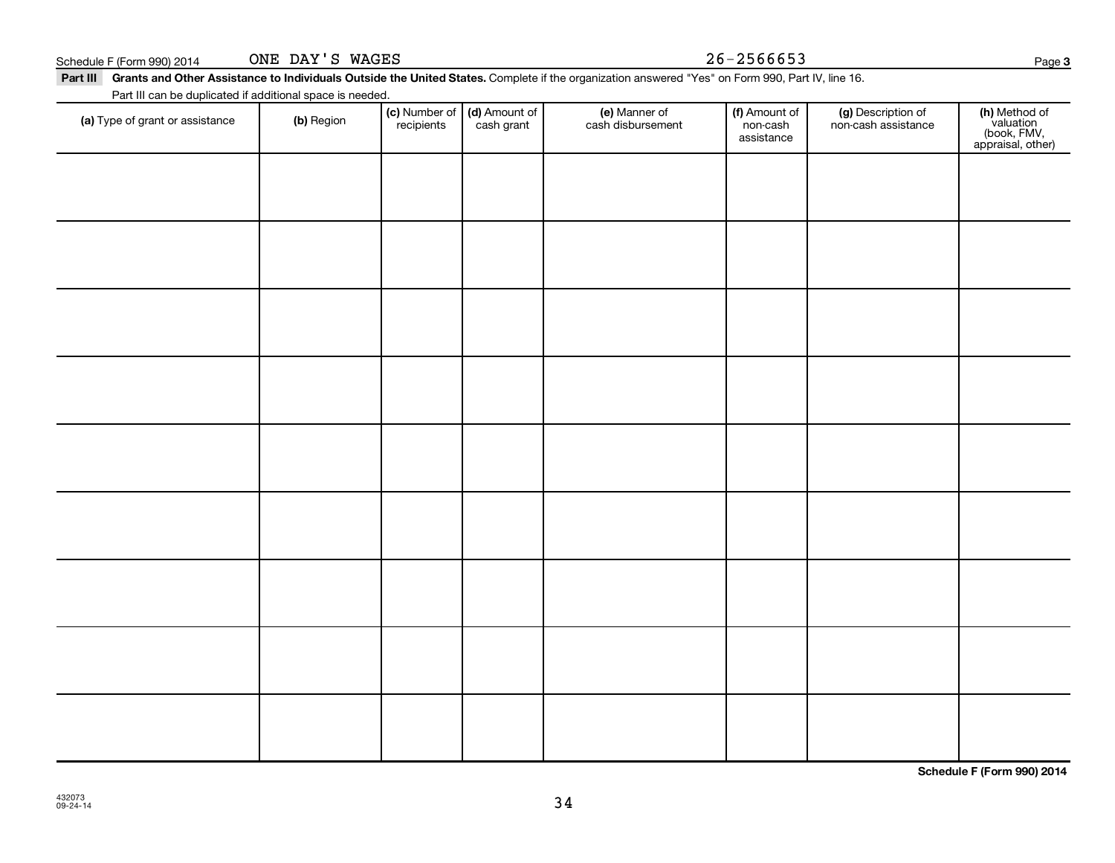| Part III                                                  |            |                             |                             | Grants and Other Assistance to Individuals Outside the United States. Complete if the organization answered "Yes" on Form 990, Part IV, line 16. |                                         |                                           |                   |
|-----------------------------------------------------------|------------|-----------------------------|-----------------------------|--------------------------------------------------------------------------------------------------------------------------------------------------|-----------------------------------------|-------------------------------------------|-------------------|
| Part III can be duplicated if additional space is needed. |            |                             |                             |                                                                                                                                                  |                                         |                                           |                   |
| (a) Type of grant or assistance                           | (b) Region | (c) Number of<br>recipients | (d) Amount of<br>cash grant | (e) Manner of<br>cash disbursement                                                                                                               | (f) Amount of<br>non-cash<br>assistance | (g) Description of<br>non-cash assistance | (h)<br>(b<br>appr |
|                                                           |            |                             |                             |                                                                                                                                                  |                                         |                                           |                   |
|                                                           |            |                             |                             |                                                                                                                                                  |                                         |                                           |                   |
|                                                           |            |                             |                             |                                                                                                                                                  |                                         |                                           |                   |

ONE DAY'S WAGES 26-2566653

**3**

**(h)** Method of<br>valuation<br>(book, FMV,<br>appraisal, other)

**Schedule F (Form 990) 2014**

Schedule F (Form 990) 2014 Page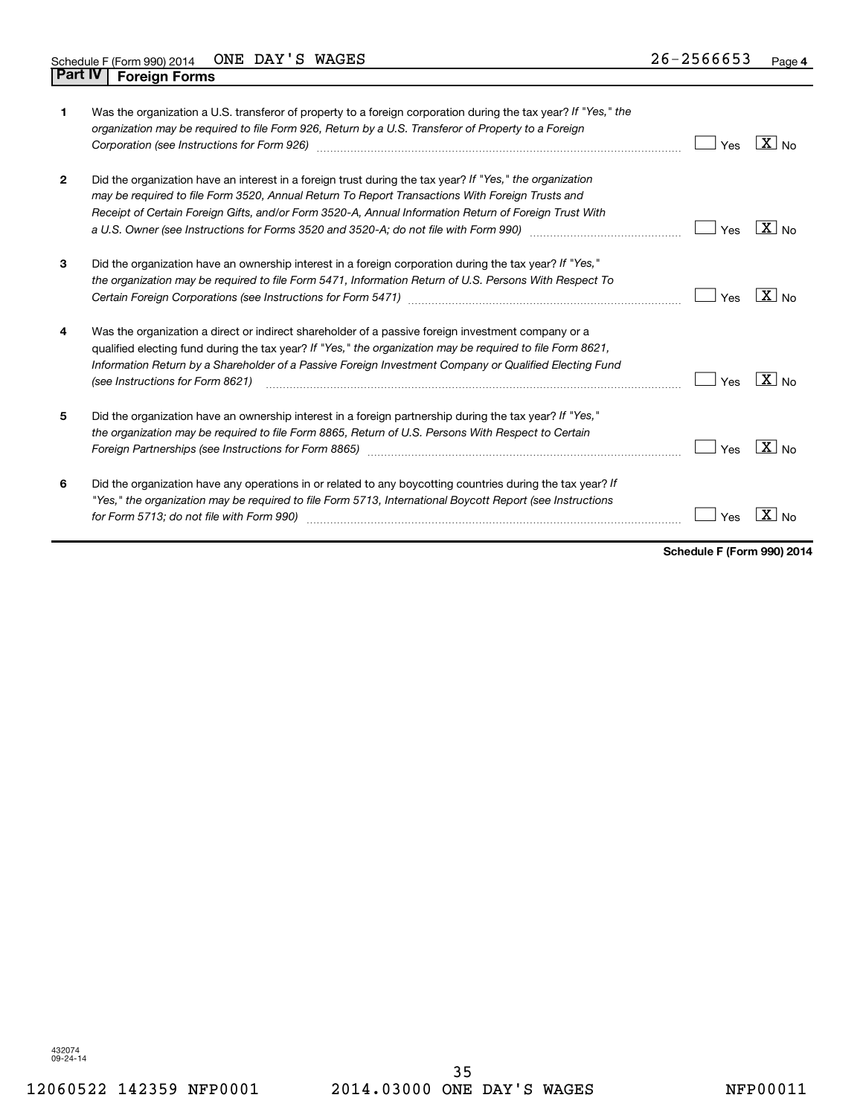| 1            | Was the organization a U.S. transferor of property to a foreign corporation during the tax year? If "Yes," the<br>organization may be required to file Form 926, Return by a U.S. Transferor of Property to a Foreign<br>Corporation (see Instructions for Form 926)                                                                                                                                                                   | Yes | $ X _{N_{\Omega}}$ |
|--------------|----------------------------------------------------------------------------------------------------------------------------------------------------------------------------------------------------------------------------------------------------------------------------------------------------------------------------------------------------------------------------------------------------------------------------------------|-----|--------------------|
| $\mathbf{2}$ | Did the organization have an interest in a foreign trust during the tax year? If "Yes," the organization<br>may be required to file Form 3520, Annual Return To Report Transactions With Foreign Trusts and<br>Receipt of Certain Foreign Gifts, and/or Form 3520-A, Annual Information Return of Foreign Trust With<br>a U.S. Owner (see Instructions for Forms 3520 and 3520-A; do not file with Form 990) manual content of the Min | Yes | $X_{\text{No}}$    |
| 3            | Did the organization have an ownership interest in a foreign corporation during the tax year? If "Yes,"<br>the organization may be required to file Form 5471, Information Return of U.S. Persons With Respect To                                                                                                                                                                                                                      | Yes | $X _{N0}$          |
| 4            | Was the organization a direct or indirect shareholder of a passive foreign investment company or a<br>qualified electing fund during the tax year? If "Yes," the organization may be required to file Form 8621,<br>Information Return by a Shareholder of a Passive Foreign Investment Company or Qualified Electing Fund<br>(see Instructions for Form 8621)                                                                         | Yes | $\sqrt{X}$ No      |
| 5            | Did the organization have an ownership interest in a foreign partnership during the tax year? If "Yes,"<br>the organization may be required to file Form 8865, Return of U.S. Persons With Respect to Certain<br>Foreign Partnerships (see Instructions for Form 8865)                                                                                                                                                                 | Yes | $X _{\text{No}}$   |
| 6            | Did the organization have any operations in or related to any boycotting countries during the tax year? If<br>"Yes," the organization may be required to file Form 5713, International Boycott Report (see Instructions<br>for Form 5713; do not file with Form 990)                                                                                                                                                                   | Yes |                    |

**Schedule F (Form 990) 2014**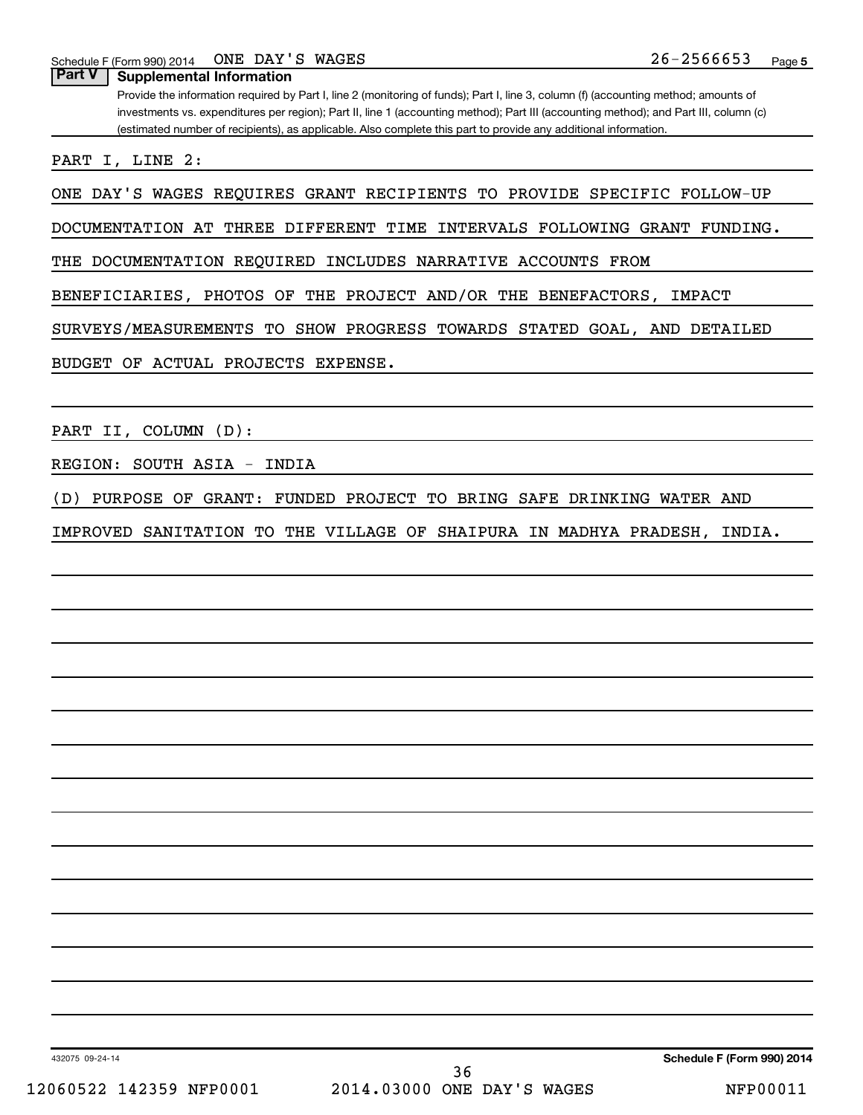Schedule F (Form 990) 2014  $\quad$  ONE DAY'S WAGES  $\quad 26 - 2566653$ ONE DAY'S WAGES

**Part V Supplemental Information**

Provide the information required by Part I, line 2 (monitoring of funds); Part I, line 3, column (f) (accounting method; amounts of investments vs. expenditures per region); Part II, line 1 (accounting method); Part III (accounting method); and Part III, column (c) (estimated number of recipients), as applicable. Also complete this part to provide any additional information.

PART I, LINE 2:

ONE DAY'S WAGES REQUIRES GRANT RECIPIENTS TO PROVIDE SPECIFIC FOLLOW-UP

DOCUMENTATION AT THREE DIFFERENT TIME INTERVALS FOLLOWING GRANT FUNDING.

THE DOCUMENTATION REQUIRED INCLUDES NARRATIVE ACCOUNTS FROM

BENEFICIARIES, PHOTOS OF THE PROJECT AND/OR THE BENEFACTORS, IMPACT

SURVEYS/MEASUREMENTS TO SHOW PROGRESS TOWARDS STATED GOAL, AND DETAILED

BUDGET OF ACTUAL PROJECTS EXPENSE.

PART II, COLUMN (D):

REGION: SOUTH ASIA - INDIA

(D) PURPOSE OF GRANT: FUNDED PROJECT TO BRING SAFE DRINKING WATER AND

IMPROVED SANITATION TO THE VILLAGE OF SHAIPURA IN MADHYA PRADESH, INDIA.

432075 09-24-14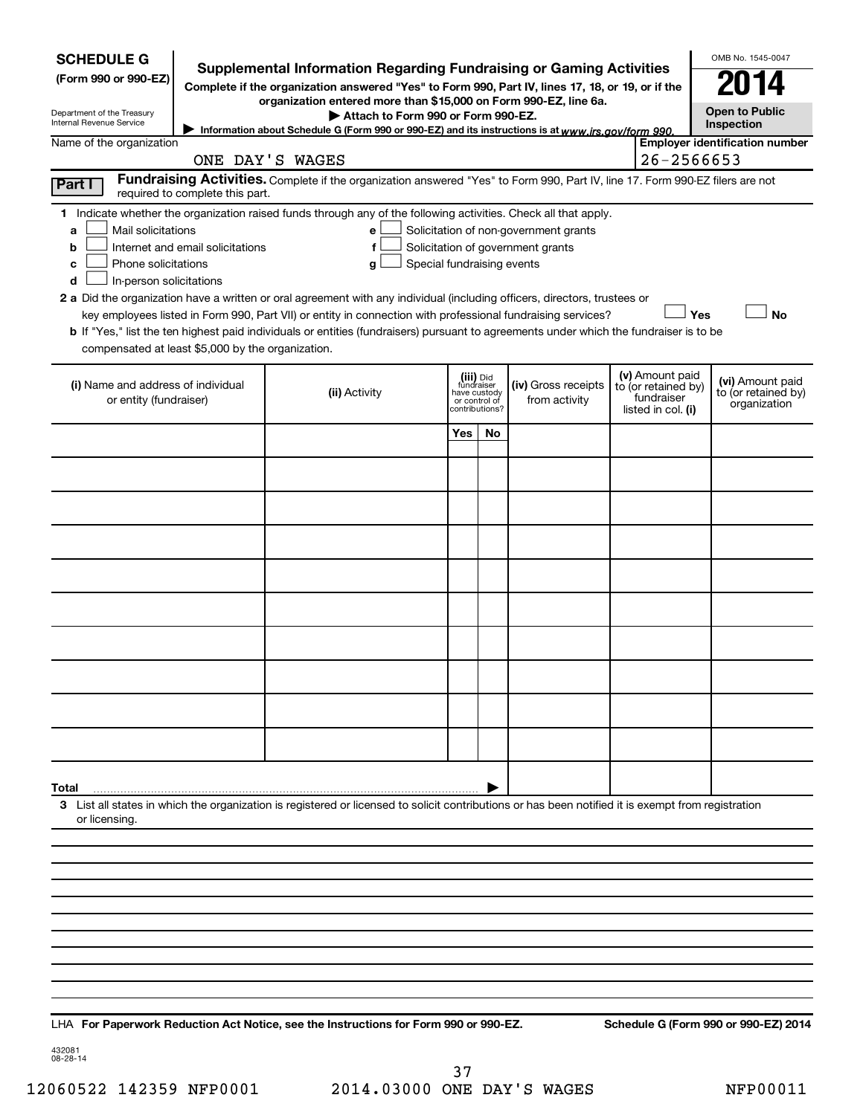| <b>SCHEDULE G</b><br>(Form 990 or 990-EZ)<br>Department of the Treasury<br>Internal Revenue Service                                                                               | Supplemental Information Regarding Fundraising or Gaming Activities<br>Complete if the organization answered "Yes" to Form 990, Part IV, lines 17, 18, or 19, or if the<br>organization entered more than \$15,000 on Form 990-EZ, line 6a.<br>Attach to Form 990 or Form 990-EZ.<br>Information about Schedule G (Form 990 or 990-EZ) and its instructions is at www.irs.gov/form 990.                                                                                                                                                            |                |                                                          |                                                                            |                                                                            | OMB No. 1545-0047<br><b>Open to Public</b><br>Inspection |
|-----------------------------------------------------------------------------------------------------------------------------------------------------------------------------------|----------------------------------------------------------------------------------------------------------------------------------------------------------------------------------------------------------------------------------------------------------------------------------------------------------------------------------------------------------------------------------------------------------------------------------------------------------------------------------------------------------------------------------------------------|----------------|----------------------------------------------------------|----------------------------------------------------------------------------|----------------------------------------------------------------------------|----------------------------------------------------------|
| Name of the organization                                                                                                                                                          | ONE DAY'S WAGES                                                                                                                                                                                                                                                                                                                                                                                                                                                                                                                                    |                |                                                          |                                                                            | $26 - 2566653$                                                             | <b>Employer identification number</b>                    |
| Part I<br>required to complete this part.                                                                                                                                         | Fundraising Activities. Complete if the organization answered "Yes" to Form 990, Part IV, line 17. Form 990-EZ filers are not                                                                                                                                                                                                                                                                                                                                                                                                                      |                |                                                          |                                                                            |                                                                            |                                                          |
| Mail solicitations<br>a<br>Internet and email solicitations<br>b<br>Phone solicitations<br>c<br>In-person solicitations<br>d<br>compensated at least \$5,000 by the organization. | 1 Indicate whether the organization raised funds through any of the following activities. Check all that apply.<br>e<br>f<br>Special fundraising events<br>g<br>2 a Did the organization have a written or oral agreement with any individual (including officers, directors, trustees or<br>key employees listed in Form 990, Part VII) or entity in connection with professional fundraising services?<br>b If "Yes," list the ten highest paid individuals or entities (fundraisers) pursuant to agreements under which the fundraiser is to be |                |                                                          | Solicitation of non-government grants<br>Solicitation of government grants |                                                                            | Yes<br><b>No</b>                                         |
| (i) Name and address of individual<br>or entity (fundraiser)                                                                                                                      | (ii) Activity                                                                                                                                                                                                                                                                                                                                                                                                                                                                                                                                      | contributions? | (iii) Did<br>fundraiser<br>have custody<br>or control of | (iv) Gross receipts<br>from activity                                       | (v) Amount paid<br>to (or retained by)<br>fundraiser<br>listed in col. (i) | (vi) Amount paid<br>to (or retained by)<br>organization  |
|                                                                                                                                                                                   |                                                                                                                                                                                                                                                                                                                                                                                                                                                                                                                                                    | Yes            | No                                                       |                                                                            |                                                                            |                                                          |
|                                                                                                                                                                                   |                                                                                                                                                                                                                                                                                                                                                                                                                                                                                                                                                    |                |                                                          |                                                                            |                                                                            |                                                          |
|                                                                                                                                                                                   |                                                                                                                                                                                                                                                                                                                                                                                                                                                                                                                                                    |                |                                                          |                                                                            |                                                                            |                                                          |
|                                                                                                                                                                                   |                                                                                                                                                                                                                                                                                                                                                                                                                                                                                                                                                    |                |                                                          |                                                                            |                                                                            |                                                          |
|                                                                                                                                                                                   |                                                                                                                                                                                                                                                                                                                                                                                                                                                                                                                                                    |                |                                                          |                                                                            |                                                                            |                                                          |
|                                                                                                                                                                                   |                                                                                                                                                                                                                                                                                                                                                                                                                                                                                                                                                    |                |                                                          |                                                                            |                                                                            |                                                          |
|                                                                                                                                                                                   |                                                                                                                                                                                                                                                                                                                                                                                                                                                                                                                                                    |                |                                                          |                                                                            |                                                                            |                                                          |
|                                                                                                                                                                                   |                                                                                                                                                                                                                                                                                                                                                                                                                                                                                                                                                    |                |                                                          |                                                                            |                                                                            |                                                          |
|                                                                                                                                                                                   |                                                                                                                                                                                                                                                                                                                                                                                                                                                                                                                                                    |                |                                                          |                                                                            |                                                                            |                                                          |
|                                                                                                                                                                                   |                                                                                                                                                                                                                                                                                                                                                                                                                                                                                                                                                    |                |                                                          |                                                                            |                                                                            |                                                          |
|                                                                                                                                                                                   |                                                                                                                                                                                                                                                                                                                                                                                                                                                                                                                                                    |                |                                                          |                                                                            |                                                                            |                                                          |
| Total<br>or licensing.                                                                                                                                                            | 3 List all states in which the organization is registered or licensed to solicit contributions or has been notified it is exempt from registration                                                                                                                                                                                                                                                                                                                                                                                                 |                |                                                          |                                                                            |                                                                            |                                                          |
|                                                                                                                                                                                   |                                                                                                                                                                                                                                                                                                                                                                                                                                                                                                                                                    |                |                                                          |                                                                            |                                                                            |                                                          |
|                                                                                                                                                                                   |                                                                                                                                                                                                                                                                                                                                                                                                                                                                                                                                                    |                |                                                          |                                                                            |                                                                            |                                                          |
|                                                                                                                                                                                   |                                                                                                                                                                                                                                                                                                                                                                                                                                                                                                                                                    |                |                                                          |                                                                            |                                                                            |                                                          |
|                                                                                                                                                                                   |                                                                                                                                                                                                                                                                                                                                                                                                                                                                                                                                                    |                |                                                          |                                                                            |                                                                            |                                                          |
|                                                                                                                                                                                   |                                                                                                                                                                                                                                                                                                                                                                                                                                                                                                                                                    |                |                                                          |                                                                            |                                                                            |                                                          |
|                                                                                                                                                                                   |                                                                                                                                                                                                                                                                                                                                                                                                                                                                                                                                                    |                |                                                          |                                                                            |                                                                            |                                                          |
|                                                                                                                                                                                   |                                                                                                                                                                                                                                                                                                                                                                                                                                                                                                                                                    |                |                                                          |                                                                            |                                                                            |                                                          |
|                                                                                                                                                                                   |                                                                                                                                                                                                                                                                                                                                                                                                                                                                                                                                                    |                |                                                          |                                                                            |                                                                            |                                                          |

**For Paperwork Reduction Act Notice, see the Instructions for Form 990 or 990-EZ. Schedule G (Form 990 or 990-EZ) 2014** LHA

432081 08-28-14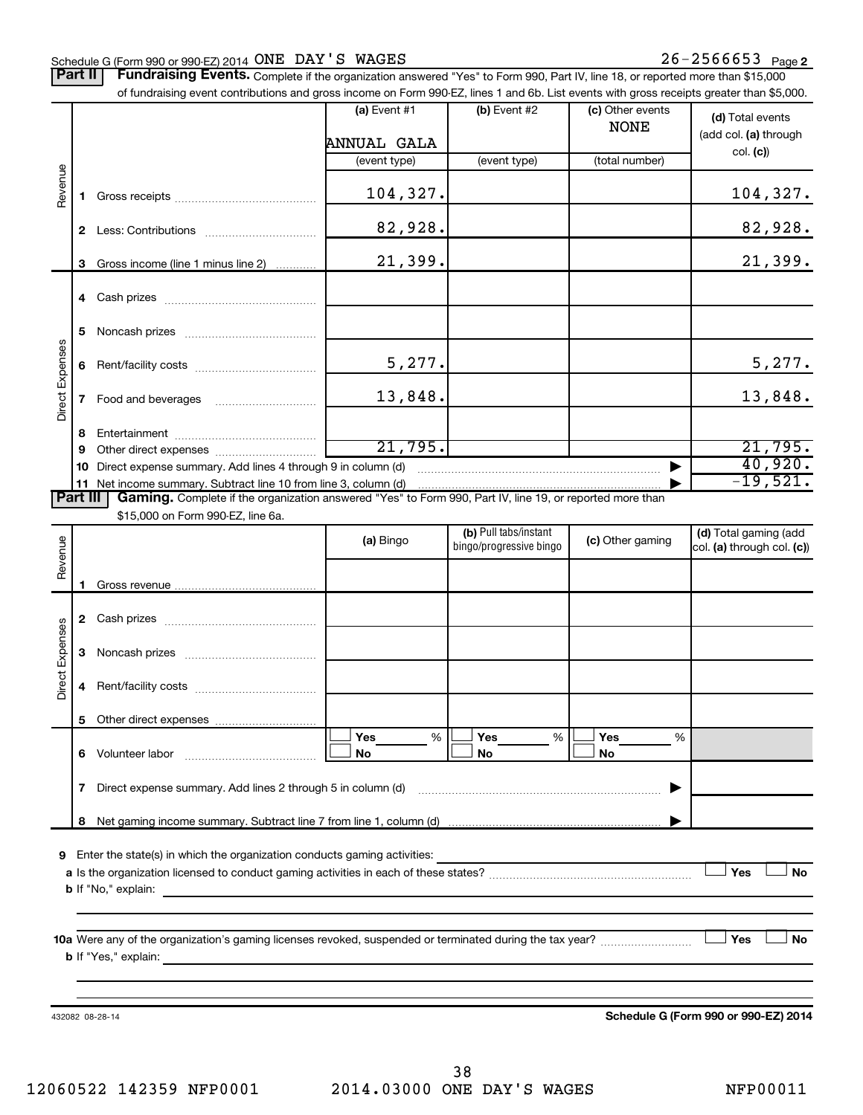#### Schedule G (Form 990 or 990-EZ) 2014  $\overline{\text{ONE}}$   $\overline{\text{DAY}}$  S  $\overline{\text{WAGES}}$  26 - 2566653  $\overline{\text{Page}}$

Part II | Fundraising Events. Complete if the organization answered "Yes" to Form 990, Part IV, line 18, or reported more than \$15,000

|                 |    | of fundraising event contributions and gross income on Form 990-EZ, lines 1 and 6b. List events with gross receipts greater than \$5,000.          |                |                                                  |                                 |                                                     |
|-----------------|----|----------------------------------------------------------------------------------------------------------------------------------------------------|----------------|--------------------------------------------------|---------------------------------|-----------------------------------------------------|
|                 |    |                                                                                                                                                    | $(a)$ Event #1 | (b) Event #2                                     | (c) Other events<br><b>NONE</b> | (d) Total events                                    |
|                 |    |                                                                                                                                                    | ANNUAL GALA    |                                                  |                                 | (add col. (a) through<br>col. (c)                   |
|                 |    |                                                                                                                                                    | (event type)   | (event type)                                     | (total number)                  |                                                     |
| Revenue         | 1. |                                                                                                                                                    | 104,327.       |                                                  |                                 | 104, 327.                                           |
|                 |    |                                                                                                                                                    | 82,928.        |                                                  |                                 | 82,928.                                             |
|                 | 3  | Gross income (line 1 minus line 2)                                                                                                                 | 21,399.        |                                                  |                                 | 21,399.                                             |
|                 |    |                                                                                                                                                    |                |                                                  |                                 |                                                     |
|                 |    |                                                                                                                                                    |                |                                                  |                                 |                                                     |
|                 | 5  |                                                                                                                                                    |                |                                                  |                                 |                                                     |
| Direct Expenses | 6  |                                                                                                                                                    | 5,277.         |                                                  |                                 | 5,277.                                              |
|                 | 7  | Food and beverages                                                                                                                                 | 13,848.        |                                                  |                                 | 13,848.                                             |
|                 | 8  |                                                                                                                                                    |                |                                                  |                                 |                                                     |
|                 | 9  |                                                                                                                                                    | 21,795.        |                                                  |                                 | 21,795.                                             |
|                 | 10 | Direct expense summary. Add lines 4 through 9 in column (d)                                                                                        |                |                                                  |                                 | 40,920.                                             |
|                 |    | 11 Net income summary. Subtract line 10 from line 3, column (d)                                                                                    |                |                                                  |                                 | $-19,521.$                                          |
| <b>Part III</b> |    | Gaming. Complete if the organization answered "Yes" to Form 990, Part IV, line 19, or reported more than                                           |                |                                                  |                                 |                                                     |
|                 |    | \$15,000 on Form 990-EZ, line 6a.                                                                                                                  |                |                                                  |                                 |                                                     |
| Revenue         |    |                                                                                                                                                    | (a) Bingo      | (b) Pull tabs/instant<br>bingo/progressive bingo | (c) Other gaming                | (d) Total gaming (add<br>col. (a) through col. (c)) |
|                 |    |                                                                                                                                                    |                |                                                  |                                 |                                                     |
|                 | 1. |                                                                                                                                                    |                |                                                  |                                 |                                                     |
|                 | 2  |                                                                                                                                                    |                |                                                  |                                 |                                                     |
|                 | 3  |                                                                                                                                                    |                |                                                  |                                 |                                                     |
| Direct Expenses | 4  |                                                                                                                                                    |                |                                                  |                                 |                                                     |
|                 |    | 5 Other direct expenses                                                                                                                            |                |                                                  |                                 |                                                     |
|                 |    |                                                                                                                                                    | Yes<br>%       | Yes<br>%                                         | Yes<br>%                        |                                                     |
|                 |    |                                                                                                                                                    | No             | No                                               | No                              |                                                     |
|                 | 7  | Direct expense summary. Add lines 2 through 5 in column (d)                                                                                        |                |                                                  |                                 |                                                     |
|                 |    |                                                                                                                                                    |                |                                                  |                                 |                                                     |
|                 |    |                                                                                                                                                    |                |                                                  |                                 |                                                     |
| 9               |    | Enter the state(s) in which the organization conducts gaming activities:                                                                           |                |                                                  |                                 |                                                     |
|                 |    |                                                                                                                                                    |                |                                                  |                                 | Yes<br>No                                           |
|                 |    | <b>b</b> If "No," explain:<br><u> 1989 - Andrea Santa Andrea Santa Andrea Santa Andrea Santa Andrea Santa Andrea Santa Andrea Santa Andrea San</u> |                |                                                  |                                 |                                                     |
|                 |    |                                                                                                                                                    |                |                                                  |                                 |                                                     |
|                 |    |                                                                                                                                                    |                |                                                  |                                 | Yes<br>No                                           |
|                 |    |                                                                                                                                                    |                |                                                  |                                 |                                                     |
|                 |    |                                                                                                                                                    |                |                                                  |                                 |                                                     |
|                 |    | 432082 08-28-14                                                                                                                                    |                |                                                  |                                 | Schedule G (Form 990 or 990-EZ) 2014                |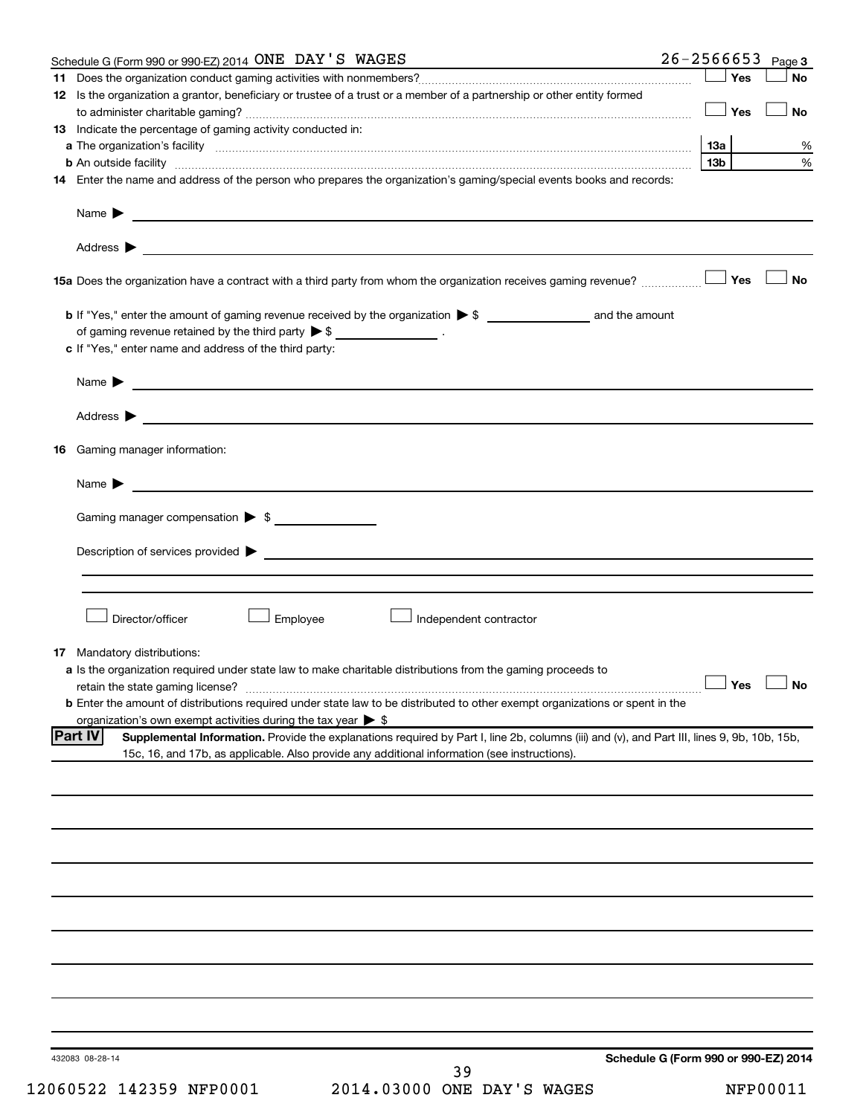|    | Schedule G (Form 990 or 990-EZ) 2014 ONE DAY'S WAGES                                                                                                                                                                                          | $26 - 2566653$ Page 3                |            |                      |
|----|-----------------------------------------------------------------------------------------------------------------------------------------------------------------------------------------------------------------------------------------------|--------------------------------------|------------|----------------------|
|    |                                                                                                                                                                                                                                               |                                      | 」Yes       | <b>No</b>            |
|    | 12 Is the organization a grantor, beneficiary or trustee of a trust or a member of a partnership or other entity formed                                                                                                                       |                                      | $\Box$ Yes | <b>No</b>            |
|    | 13 Indicate the percentage of gaming activity conducted in:                                                                                                                                                                                   |                                      |            |                      |
|    |                                                                                                                                                                                                                                               |                                      |            | %                    |
|    |                                                                                                                                                                                                                                               | 13b l                                |            | %                    |
|    | 14 Enter the name and address of the person who prepares the organization's gaming/special events books and records:                                                                                                                          |                                      |            |                      |
|    |                                                                                                                                                                                                                                               |                                      |            |                      |
|    |                                                                                                                                                                                                                                               |                                      |            |                      |
|    | <b>15a</b> Does the organization have a contract with a third party from whom the organization receives gaming revenue? $\ldots$                                                                                                              |                                      |            | <b>No</b>            |
|    |                                                                                                                                                                                                                                               |                                      |            |                      |
|    | of gaming revenue retained by the third party $\triangleright$ \$ __________________.                                                                                                                                                         |                                      |            |                      |
|    | c If "Yes," enter name and address of the third party:                                                                                                                                                                                        |                                      |            |                      |
|    | Name $\blacktriangleright$<br><u> 1989 - Johann Barbara, marka a shekara tsa 1989 - An tsa 1989 - An tsa 1989 - An tsa 1989 - An tsa 1989 - An</u>                                                                                            |                                      |            |                      |
|    |                                                                                                                                                                                                                                               |                                      |            |                      |
|    | 16 Gaming manager information:                                                                                                                                                                                                                |                                      |            |                      |
|    | Name $\blacktriangleright$<br><u> 1989 - Johann Barbara, martin amerikan basal dan berasal dan berasal dalam basal dan berasal dan berasal dan</u>                                                                                            |                                      |            |                      |
|    | Gaming manager compensation > \$                                                                                                                                                                                                              |                                      |            |                      |
|    |                                                                                                                                                                                                                                               |                                      |            |                      |
|    |                                                                                                                                                                                                                                               |                                      |            |                      |
|    |                                                                                                                                                                                                                                               |                                      |            |                      |
|    | Director/officer<br>Employee<br>Independent contractor                                                                                                                                                                                        |                                      |            |                      |
| 17 | Mandatory distributions:                                                                                                                                                                                                                      |                                      |            |                      |
|    | a Is the organization required under state law to make charitable distributions from the gaming proceeds to                                                                                                                                   |                                      |            |                      |
|    |                                                                                                                                                                                                                                               |                                      |            | $\Box$ Yes $\Box$ No |
|    | <b>b</b> Enter the amount of distributions required under state law to be distributed to other exempt organizations or spent in the                                                                                                           |                                      |            |                      |
|    | organization's own exempt activities during the tax year $\triangleright$ \$<br><b>Part IV</b><br>Supplemental Information. Provide the explanations required by Part I, line 2b, columns (iii) and (v), and Part III, lines 9, 9b, 10b, 15b, |                                      |            |                      |
|    | 15c, 16, and 17b, as applicable. Also provide any additional information (see instructions).                                                                                                                                                  |                                      |            |                      |
|    |                                                                                                                                                                                                                                               |                                      |            |                      |
|    |                                                                                                                                                                                                                                               |                                      |            |                      |
|    |                                                                                                                                                                                                                                               |                                      |            |                      |
|    |                                                                                                                                                                                                                                               |                                      |            |                      |
|    |                                                                                                                                                                                                                                               |                                      |            |                      |
|    |                                                                                                                                                                                                                                               |                                      |            |                      |
|    |                                                                                                                                                                                                                                               |                                      |            |                      |
|    |                                                                                                                                                                                                                                               |                                      |            |                      |
|    |                                                                                                                                                                                                                                               |                                      |            |                      |
|    |                                                                                                                                                                                                                                               |                                      |            |                      |
|    | 432083 08-28-14<br>39                                                                                                                                                                                                                         | Schedule G (Form 990 or 990-EZ) 2014 |            |                      |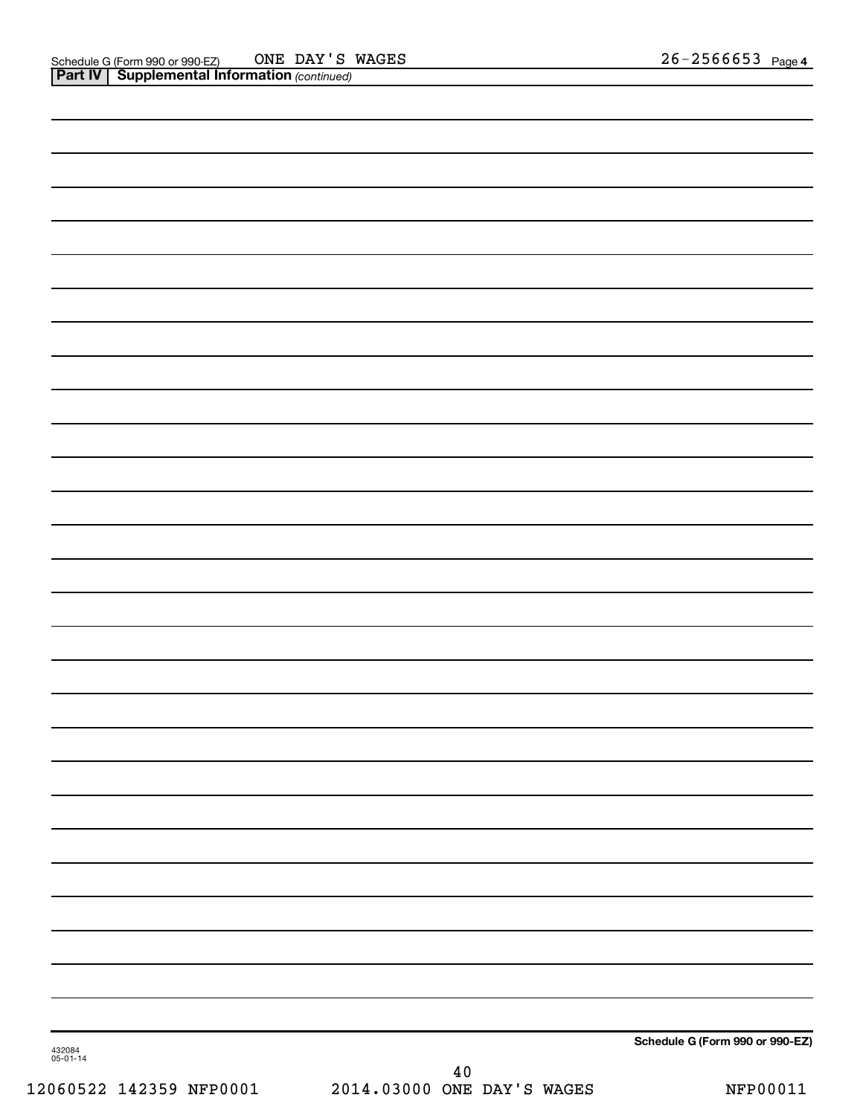|                    | Schedule G (Form 990 or 990-EZ) |
|--------------------|---------------------------------|
| 432084<br>05-01-14 |                                 |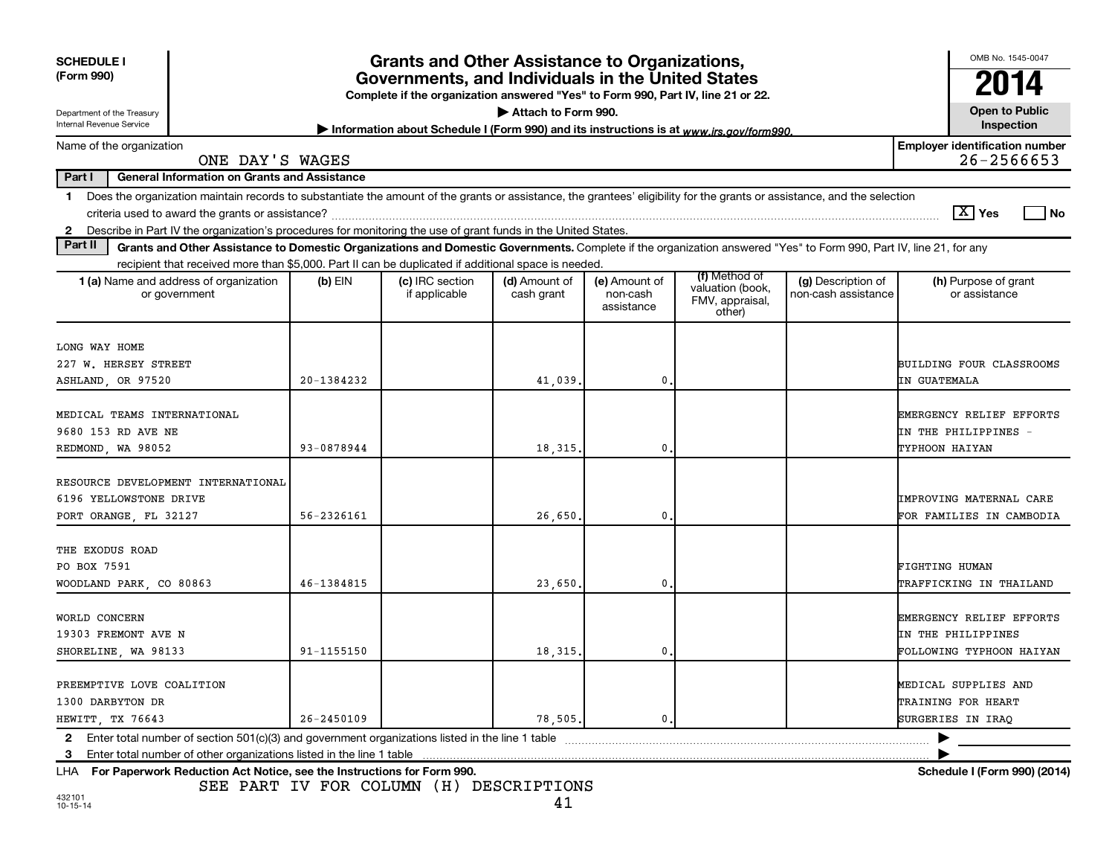| <b>SCHEDULE I</b><br>Grants and Other Assistance to Organizations,<br>(Form 990)<br>Governments, and Individuals in the United States<br>Complete if the organization answered "Yes" to Form 990, Part IV, line 21 or 22.<br>Attach to Form 990.<br>Department of the Treasury<br>Internal Revenue Service<br>Information about Schedule I (Form 990) and its instructions is at $www.irs. aov/form990$ |                                                     |            |                                                                                                     |                             |                                         |                                                                |                                                                                                                                                                    | OMB No. 1545-0047<br>2014<br><b>Open to Public</b><br>Inspection           |
|---------------------------------------------------------------------------------------------------------------------------------------------------------------------------------------------------------------------------------------------------------------------------------------------------------------------------------------------------------------------------------------------------------|-----------------------------------------------------|------------|-----------------------------------------------------------------------------------------------------|-----------------------------|-----------------------------------------|----------------------------------------------------------------|--------------------------------------------------------------------------------------------------------------------------------------------------------------------|----------------------------------------------------------------------------|
| Name of the organization                                                                                                                                                                                                                                                                                                                                                                                | ONE DAY'S WAGES                                     |            |                                                                                                     |                             |                                         |                                                                |                                                                                                                                                                    | <b>Employer identification number</b><br>$26 - 2566653$                    |
| Part I                                                                                                                                                                                                                                                                                                                                                                                                  | <b>General Information on Grants and Assistance</b> |            |                                                                                                     |                             |                                         |                                                                |                                                                                                                                                                    |                                                                            |
| 1 Does the organization maintain records to substantiate the amount of the grants or assistance, the grantees' eligibility for the grants or assistance, and the selection                                                                                                                                                                                                                              |                                                     |            |                                                                                                     |                             |                                         |                                                                |                                                                                                                                                                    |                                                                            |
|                                                                                                                                                                                                                                                                                                                                                                                                         |                                                     |            |                                                                                                     |                             |                                         |                                                                |                                                                                                                                                                    | $\boxed{X}$ Yes<br>l No                                                    |
| Describe in Part IV the organization's procedures for monitoring the use of grant funds in the United States.<br>$\mathbf{2}$                                                                                                                                                                                                                                                                           |                                                     |            |                                                                                                     |                             |                                         |                                                                |                                                                                                                                                                    |                                                                            |
| Part II                                                                                                                                                                                                                                                                                                                                                                                                 |                                                     |            | recipient that received more than \$5,000. Part II can be duplicated if additional space is needed. |                             |                                         |                                                                | Grants and Other Assistance to Domestic Organizations and Domestic Governments. Complete if the organization answered "Yes" to Form 990, Part IV, line 21, for any |                                                                            |
| 1 (a) Name and address of organization<br>or government                                                                                                                                                                                                                                                                                                                                                 |                                                     | $(b)$ EIN  | (c) IRC section<br>if applicable                                                                    | (d) Amount of<br>cash grant | (e) Amount of<br>non-cash<br>assistance | (f) Method of<br>valuation (book,<br>FMV, appraisal,<br>other) | (g) Description of<br>non-cash assistance                                                                                                                          | (h) Purpose of grant<br>or assistance                                      |
| LONG WAY HOME<br>227 W. HERSEY STREET<br>ASHLAND, OR 97520                                                                                                                                                                                                                                                                                                                                              |                                                     | 20-1384232 |                                                                                                     | 41,039                      | 0                                       |                                                                |                                                                                                                                                                    | BUILDING FOUR CLASSROOMS<br>IN GUATEMALA                                   |
| MEDICAL TEAMS INTERNATIONAL<br>9680 153 RD AVE NE<br>REDMOND, WA 98052                                                                                                                                                                                                                                                                                                                                  |                                                     | 93-0878944 |                                                                                                     | 18,315,                     | $\mathbf{0}$                            |                                                                |                                                                                                                                                                    | EMERGENCY RELIEF EFFORTS<br>IN THE PHILIPPINES -<br>TYPHOON HAIYAN         |
| RESOURCE DEVELOPMENT INTERNATIONAL<br>6196 YELLOWSTONE DRIVE<br>PORT ORANGE, FL 32127                                                                                                                                                                                                                                                                                                                   |                                                     | 56-2326161 |                                                                                                     | 26,650                      | $\mathbf{0}$                            |                                                                |                                                                                                                                                                    | <b>IMPROVING MATERNAL CARE</b><br>FOR FAMILIES IN CAMBODIA                 |
| THE EXODUS ROAD<br>PO BOX 7591<br>WOODLAND PARK, CO 80863                                                                                                                                                                                                                                                                                                                                               |                                                     | 46-1384815 |                                                                                                     | 23,650.                     | 0                                       |                                                                |                                                                                                                                                                    | <b>FIGHTING HUMAN</b><br>TRAFFICKING IN THAILAND                           |
| WORLD CONCERN<br>19303 FREMONT AVE N<br>SHORELINE, WA 98133                                                                                                                                                                                                                                                                                                                                             |                                                     | 91-1155150 |                                                                                                     | 18, 315.                    | $\mathbf{0}$                            |                                                                |                                                                                                                                                                    | EMERGENCY RELIEF EFFORTS<br>IN THE PHILIPPINES<br>FOLLOWING TYPHOON HAIYAN |
| PREEMPTIVE LOVE COALITION<br>1300 DARBYTON DR<br>HEWITT, TX 76643                                                                                                                                                                                                                                                                                                                                       |                                                     | 26-2450109 |                                                                                                     | 78,505.                     | $\mathbf{0}$                            |                                                                |                                                                                                                                                                    | MEDICAL SUPPLIES AND<br>TRAINING FOR HEART<br>SURGERIES IN IRAQ            |
| Enter total number of section 501(c)(3) and government organizations listed in the line 1 table<br>$\mathbf{2}$<br>3<br>For Paperwork Reduction Act Notice, see the Instructions for Form 990.<br>LHA                                                                                                                                                                                                   |                                                     |            |                                                                                                     |                             |                                         |                                                                |                                                                                                                                                                    | Schedule I (Form 990) (2014)                                               |

SEE PART IV FOR COLUMN (H) DESCRIPTIONS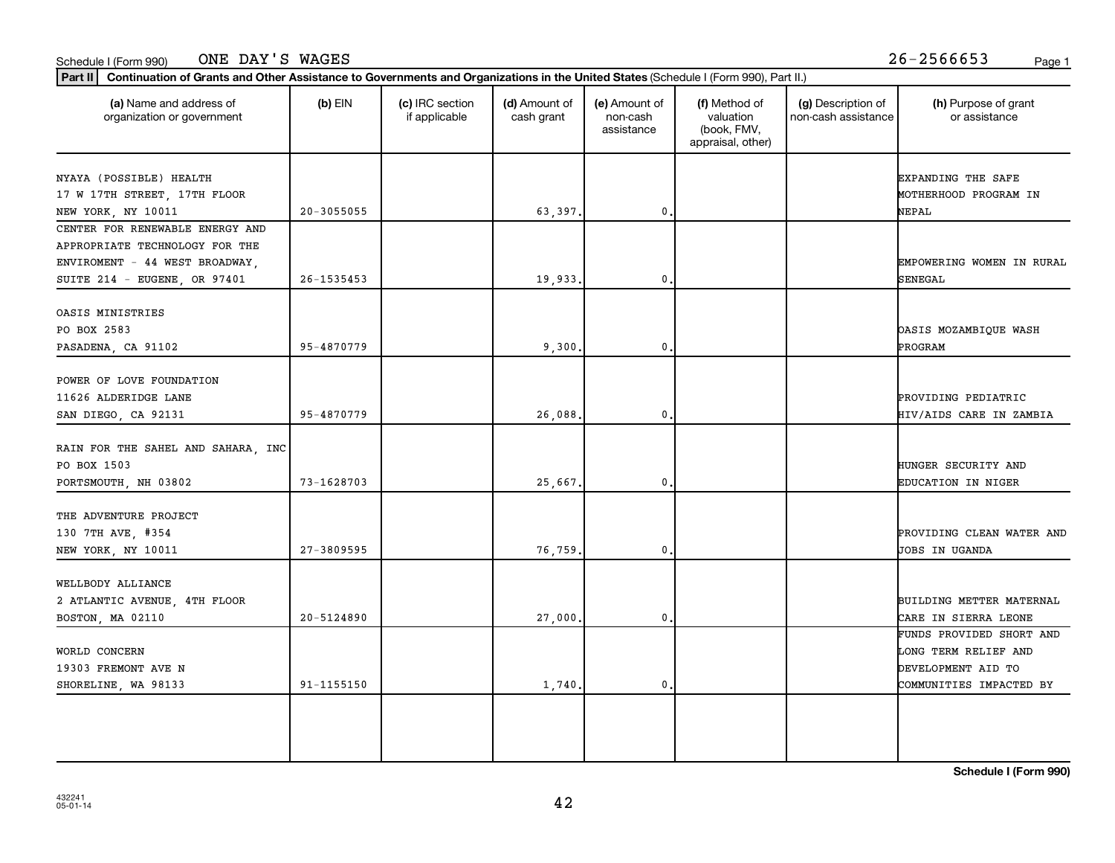| Schedule I | I (Form 990) | DAY'S WAGES<br>ONE | 2566653<br>$26 -$ | Page |
|------------|--------------|--------------------|-------------------|------|
|------------|--------------|--------------------|-------------------|------|

| (a) Name and address of<br>organization or government                                                                               | $(b)$ EIN      | (c) IRC section<br>if applicable | (d) Amount of<br>cash grant | (e) Amount of<br>non-cash<br>assistance | (f) Method of<br>valuation<br>(book, FMV,<br>appraisal, other) | (g) Description of<br>non-cash assistance | (h) Purpose of grant<br>or assistance                                                             |
|-------------------------------------------------------------------------------------------------------------------------------------|----------------|----------------------------------|-----------------------------|-----------------------------------------|----------------------------------------------------------------|-------------------------------------------|---------------------------------------------------------------------------------------------------|
| NYAYA (POSSIBLE) HEALTH<br>17 W 17TH STREET, 17TH FLOOR<br>NEW YORK, NY 10011                                                       | $20 - 3055055$ |                                  | 63,397.                     | $\mathbf{0}$                            |                                                                |                                           | EXPANDING THE SAFE<br>MOTHERHOOD PROGRAM IN<br>NEPAL                                              |
| CENTER FOR RENEWABLE ENERGY AND<br>APPROPRIATE TECHNOLOGY FOR THE<br>ENVIROMENT - 44 WEST BROADWAY,<br>SUITE 214 - EUGENE, OR 97401 | $26 - 1535453$ |                                  | 19,933.                     | 0                                       |                                                                |                                           | EMPOWERING WOMEN IN RURAL<br>SENEGAL                                                              |
| OASIS MINISTRIES<br>PO BOX 2583<br>PASADENA, CA 91102                                                                               | 95-4870779     |                                  | 9,300.                      | $\mathbf{0}$                            |                                                                |                                           | <b>DASIS MOZAMBIQUE WASH</b><br>PROGRAM                                                           |
| POWER OF LOVE FOUNDATION<br>11626 ALDERIDGE LANE<br>SAN DIEGO, CA 92131                                                             | 95-4870779     |                                  | 26,088                      | $\mathbf{0}$                            |                                                                |                                           | PROVIDING PEDIATRIC<br>HIV/AIDS CARE IN ZAMBIA                                                    |
| RAIN FOR THE SAHEL AND SAHARA, INC<br>PO BOX 1503<br>PORTSMOUTH, NH 03802                                                           | 73-1628703     |                                  | 25,667.                     | $\mathbf{0}$                            |                                                                |                                           | HUNGER SECURITY AND<br>EDUCATION IN NIGER                                                         |
| THE ADVENTURE PROJECT<br>130 7TH AVE, #354<br>NEW YORK, NY 10011                                                                    | $27 - 3809595$ |                                  | 76,759.                     | $\mathbf 0$                             |                                                                |                                           | PROVIDING CLEAN WATER AND<br><b>JOBS IN UGANDA</b>                                                |
| WELLBODY ALLIANCE<br>2 ATLANTIC AVENUE, 4TH FLOOR<br>BOSTON, MA 02110                                                               | $20 - 5124890$ |                                  | 27,000.                     | $\mathbf{0}$                            |                                                                |                                           | BUILDING METTER MATERNAL<br>CARE IN SIERRA LEONE                                                  |
| WORLD CONCERN<br>19303 FREMONT AVE N<br>SHORELINE, WA 98133                                                                         | 91-1155150     |                                  | 1,740                       | $\mathbf 0$ .                           |                                                                |                                           | FUNDS PROVIDED SHORT AND<br>LONG TERM RELIEF AND<br>DEVELOPMENT AID TO<br>COMMUNITIES IMPACTED BY |
|                                                                                                                                     |                |                                  |                             |                                         |                                                                |                                           |                                                                                                   |

**Schedule I (Form 990)**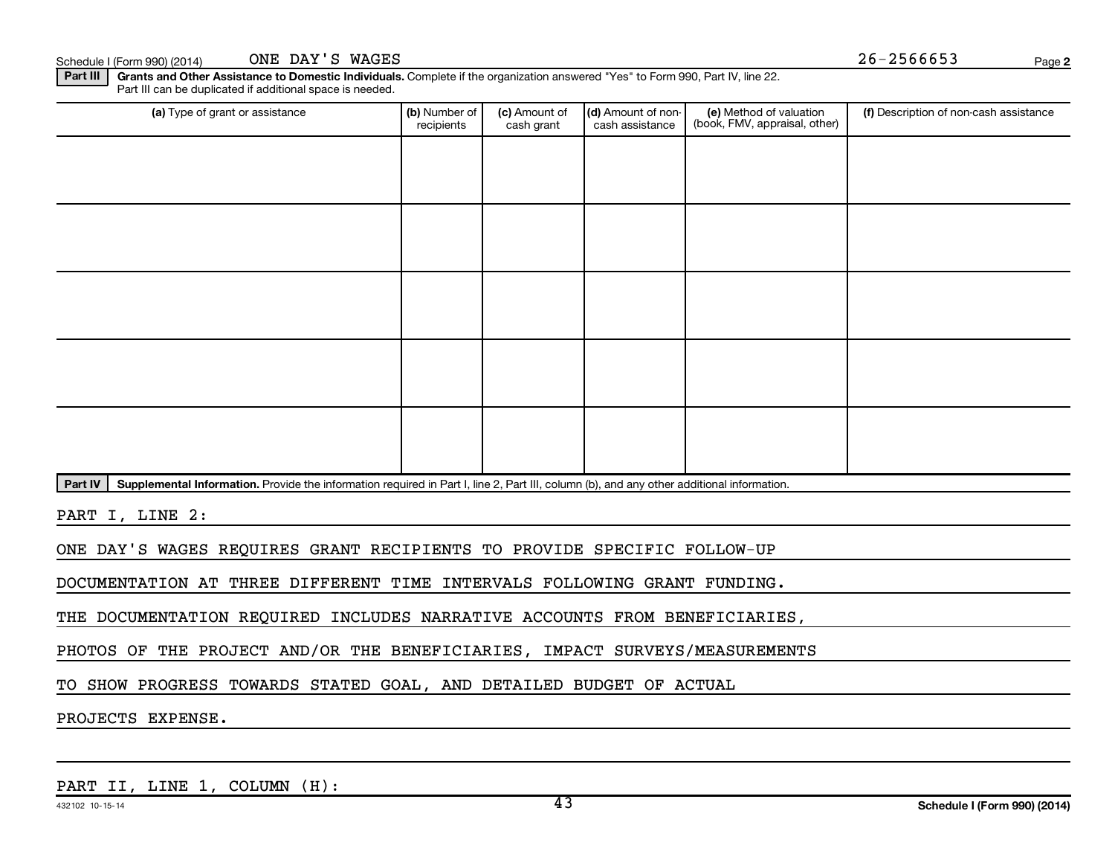Schedule I (Form 990) (2014) ONE DAY'S WAGES  $26-2566653$ ONE DAY'S WAGES

**2**

Part III | Grants and Other Assistance to Domestic Individuals. Complete if the organization answered "Yes" to Form 990, Part IV, line 22. Part III can be duplicated if additional space is needed.

| (a) Type of grant or assistance | (b) Number of<br>recipients | (c) Amount of<br>cash grant | (d) Amount of non-<br>cash assistance | (e) Method of valuation<br>(book, FMV, appraisal, other) | (f) Description of non-cash assistance |
|---------------------------------|-----------------------------|-----------------------------|---------------------------------------|----------------------------------------------------------|----------------------------------------|
|                                 |                             |                             |                                       |                                                          |                                        |
|                                 |                             |                             |                                       |                                                          |                                        |
|                                 |                             |                             |                                       |                                                          |                                        |
|                                 |                             |                             |                                       |                                                          |                                        |
|                                 |                             |                             |                                       |                                                          |                                        |
|                                 |                             |                             |                                       |                                                          |                                        |
|                                 |                             |                             |                                       |                                                          |                                        |
|                                 |                             |                             |                                       |                                                          |                                        |
|                                 |                             |                             |                                       |                                                          |                                        |
|                                 |                             |                             |                                       |                                                          |                                        |

Part IV | Supplemental Information. Provide the information required in Part I, line 2, Part III, column (b), and any other additional information.

PART I, LINE 2:

ONE DAY'S WAGES REQUIRES GRANT RECIPIENTS TO PROVIDE SPECIFIC FOLLOW-UP

DOCUMENTATION AT THREE DIFFERENT TIME INTERVALS FOLLOWING GRANT FUNDING.

THE DOCUMENTATION REQUIRED INCLUDES NARRATIVE ACCOUNTS FROM BENEFICIARIES,

PHOTOS OF THE PROJECT AND/OR THE BENEFICIARIES, IMPACT SURVEYS/MEASUREMENTS

TO SHOW PROGRESS TOWARDS STATED GOAL, AND DETAILED BUDGET OF ACTUAL

PROJECTS EXPENSE.

PART II, LINE 1, COLUMN (H):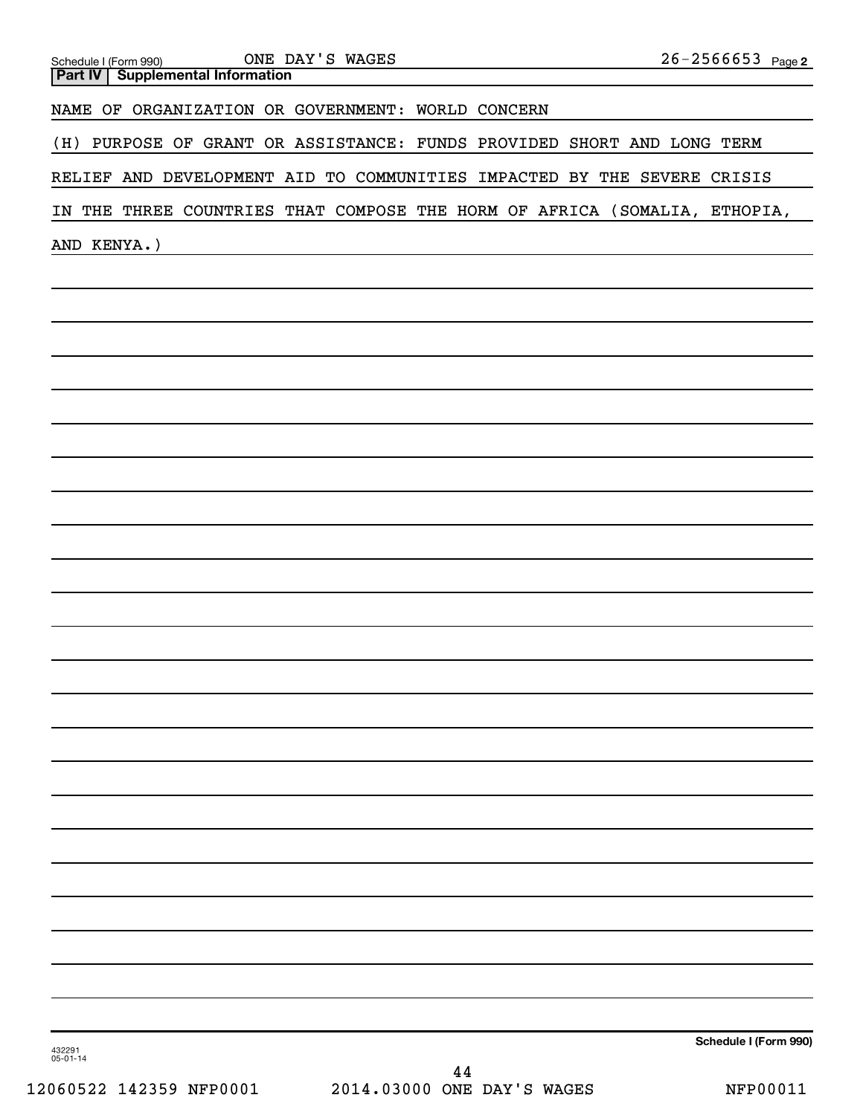| ONE DAY'S WAGES<br>Schedule I (Form 990)<br>Part IV Supplemental Information | $26 - 2566653$ Page 2 |
|------------------------------------------------------------------------------|-----------------------|
| NAME OF ORGANIZATION OR GOVERNMENT: WORLD CONCERN                            |                       |
| PURPOSE OF GRANT OR ASSISTANCE: FUNDS PROVIDED SHORT AND LONG TERM<br>(H)    |                       |
| RELIEF AND DEVELOPMENT AID TO COMMUNITIES IMPACTED BY THE SEVERE CRISIS      |                       |
| IN THE THREE COUNTRIES THAT COMPOSE THE HORM OF AFRICA (SOMALIA, ETHOPIA,    |                       |
| AND KENYA.)                                                                  |                       |
|                                                                              |                       |
|                                                                              |                       |
|                                                                              |                       |
|                                                                              |                       |
|                                                                              |                       |
|                                                                              |                       |
|                                                                              |                       |
|                                                                              |                       |
|                                                                              |                       |
|                                                                              |                       |
|                                                                              |                       |
|                                                                              |                       |
|                                                                              |                       |
|                                                                              |                       |
|                                                                              |                       |
|                                                                              |                       |
|                                                                              |                       |
|                                                                              |                       |
|                                                                              |                       |
|                                                                              |                       |
|                                                                              |                       |
|                                                                              |                       |
| 432291<br>$05 - 01 - 14$                                                     | Schedule I (Form 990) |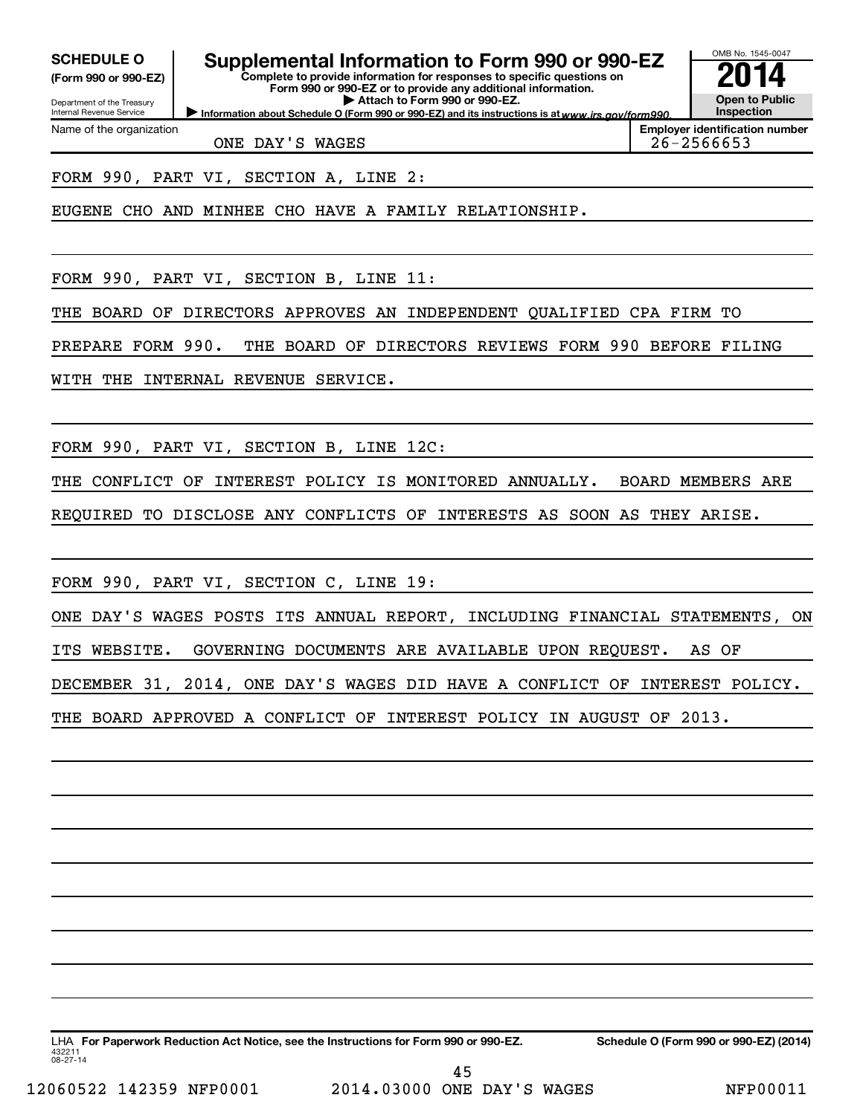**(Form 990 or 990-EZ)**

Department of the Treasury Internal Revenue Service

# **SCHEDULE O Supplemental Information to Form 990 or 990-EZ 2014**

Information about Schedule O (Form 990 or 990-EZ) and its instructions is at www.irs.gov/form990. **Complete to provide information for responses to specific questions on Form 990 or 990-EZ or to provide any additional information. | Attach to Form 990 or 990-EZ.**



**Employer identification number**

Name of the organization ONE DAY'S WAGES 26-2566653

FORM 990, PART VI, SECTION A, LINE 2:

EUGENE CHO AND MINHEE CHO HAVE A FAMILY RELATIONSHIP.

FORM 990, PART VI, SECTION B, LINE 11:

THE BOARD OF DIRECTORS APPROVES AN INDEPENDENT QUALIFIED CPA FIRM TO

PREPARE FORM 990. THE BOARD OF DIRECTORS REVIEWS FORM 990 BEFORE FILING

WITH THE INTERNAL REVENUE SERVICE.

FORM 990, PART VI, SECTION B, LINE 12C:

THE CONFLICT OF INTEREST POLICY IS MONITORED ANNUALLY. BOARD MEMBERS ARE

REQUIRED TO DISCLOSE ANY CONFLICTS OF INTERESTS AS SOON AS THEY ARISE.

FORM 990, PART VI, SECTION C, LINE 19:

ONE DAY'S WAGES POSTS ITS ANNUAL REPORT, INCLUDING FINANCIAL STATEMENTS, ON

ITS WEBSITE. GOVERNING DOCUMENTS ARE AVAILABLE UPON REQUEST. AS OF

DECEMBER 31, 2014, ONE DAY'S WAGES DID HAVE A CONFLICT OF INTEREST POLICY.

THE BOARD APPROVED A CONFLICT OF INTEREST POLICY IN AUGUST OF 2013.

LHA For Paperwork Reduction Act Notice, see the Instructions for Form 990 or 990-EZ. Schedule O (Form 990 or 990-EZ) (2014)